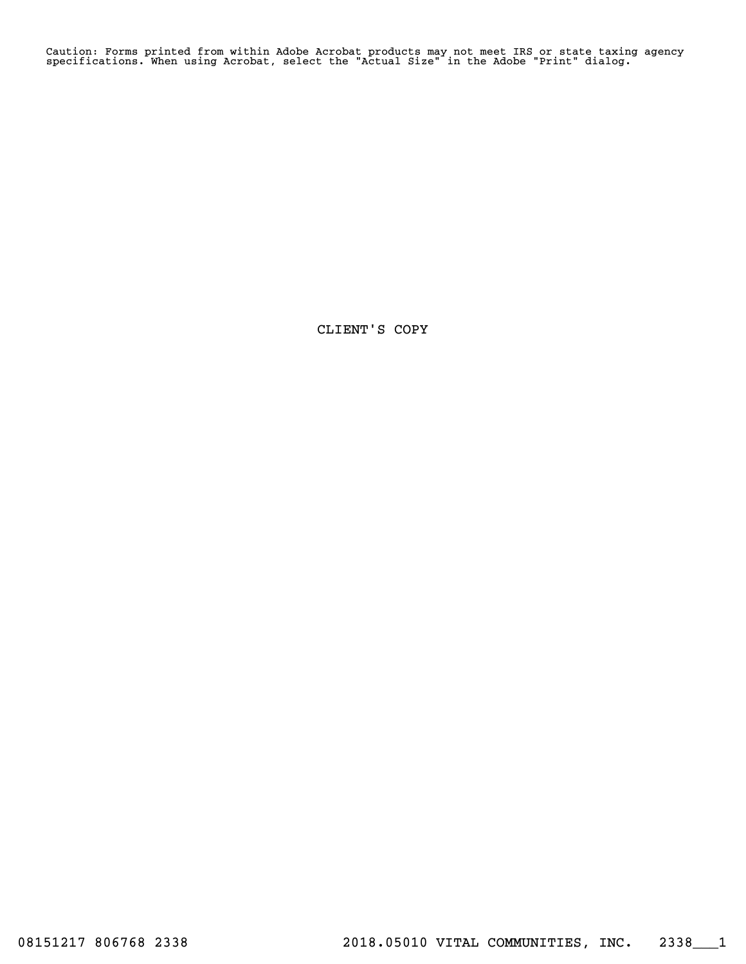Caution: Forms printed from within Adobe Acrobat products may not meet IRS or state taxing agency specifications. When using Acrobat, select the "Actual Size" in the Adobe "Print" dialog.

CLIENT'S COPY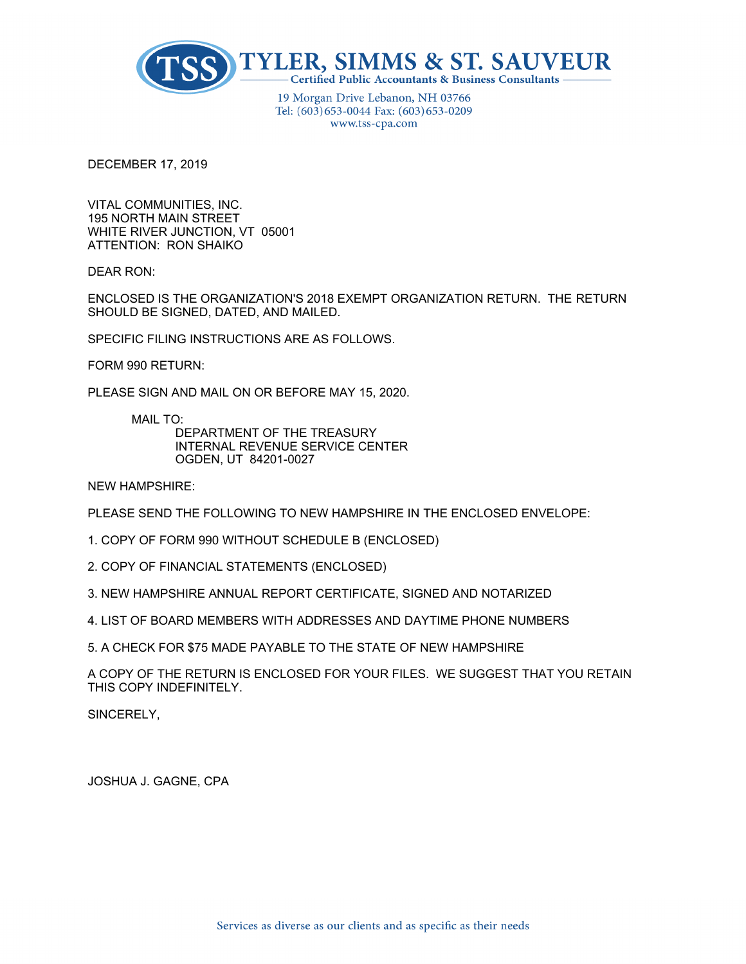

19 Morgan Drive Lebanon, NH 03766 Tel: (603) 653-0044 Fax: (603) 653-0209 www.tss-cpa.com

DECEMBER 17, 2019

VITAL COMMUNITIES, INC. 195 NORTH MAIN STREET WHITE RIVER JUNCTION, VT 05001 ATTENTION: RON SHAIKO

DEAR RON:

ENCLOSED IS THE ORGANIZATION'S 2018 EXEMPT ORGANIZATION RETURN. THE RETURN SHOULD BE SIGNED, DATED, AND MAILED.

SPECIFIC FILING INSTRUCTIONS ARE AS FOLLOWS.

FORM 990 RETURN:

PLEASE SIGN AND MAIL ON OR BEFORE MAY 15, 2020.

MAIL TO:

DEPARTMENT OF THE TREASURY INTERNAL REVENUE SERVICE CENTER OGDEN, UT 84201-0027

NEW HAMPSHIRE:

PLEASE SEND THE FOLLOWING TO NEW HAMPSHIRE IN THE ENCLOSED ENVELOPE:

- 1. COPY OF FORM 990 WITHOUT SCHEDULE B (ENCLOSED)
- 2. COPY OF FINANCIAL STATEMENTS (ENCLOSED)
- 3. NEW HAMPSHIRE ANNUAL REPORT CERTIFICATE, SIGNED AND NOTARIZED
- 4. LIST OF BOARD MEMBERS WITH ADDRESSES AND DAYTIME PHONE NUMBERS

5. A CHECK FOR \$75 MADE PAYABLE TO THE STATE OF NEW HAMPSHIRE

A COPY OF THE RETURN IS ENCLOSED FOR YOUR FILES. WE SUGGEST THAT YOU RETAIN THIS COPY INDEFINITELY.

SINCERELY,

JOSHUA J. GAGNE, CPA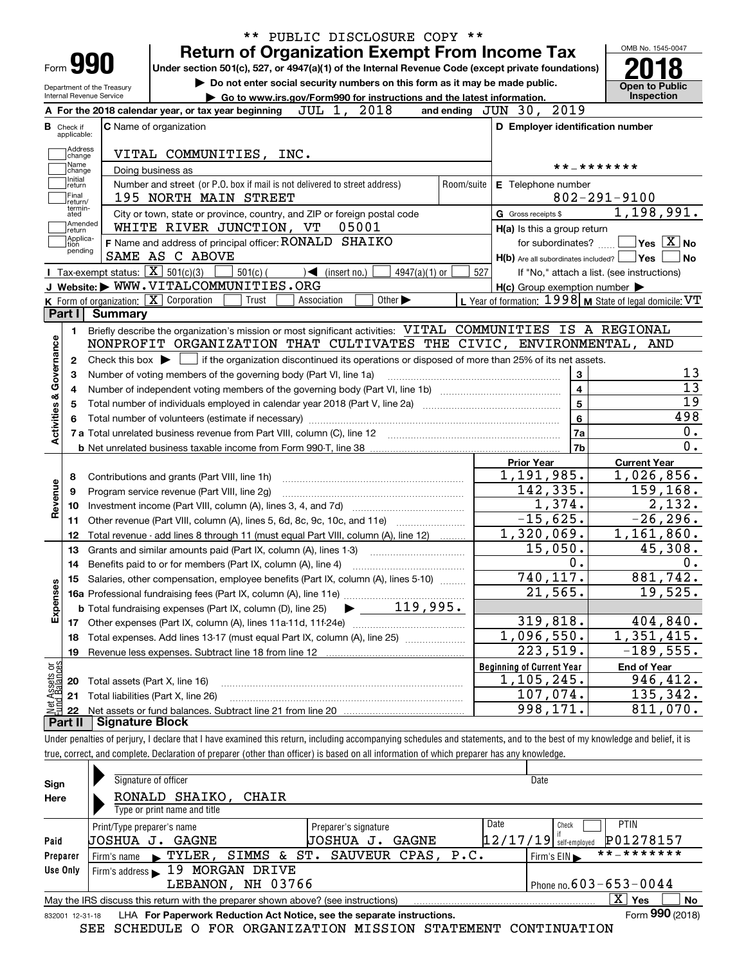|                                |                             |                                                               | PUBLIC DISCLOSURE COPY **<br>$***$                                                                                                                                         |                 |                                                     |                                                             |
|--------------------------------|-----------------------------|---------------------------------------------------------------|----------------------------------------------------------------------------------------------------------------------------------------------------------------------------|-----------------|-----------------------------------------------------|-------------------------------------------------------------|
|                                |                             |                                                               | <b>Return of Organization Exempt From Income Tax</b>                                                                                                                       |                 |                                                     | OMB No. 1545-0047                                           |
|                                |                             | <b>Form 990</b>                                               | Under section 501(c), 527, or 4947(a)(1) of the Internal Revenue Code (except private foundations)                                                                         |                 |                                                     |                                                             |
|                                |                             | Department of the Treasury                                    | Do not enter social security numbers on this form as it may be made public.                                                                                                |                 |                                                     | <b>Open to Public</b>                                       |
|                                |                             | Internal Revenue Service                                      | Go to www.irs.gov/Form990 for instructions and the latest information.<br>A For the 2018 calendar year, or tax year beginning $JUL$ 1, $2018$                              |                 | and ending JUN 30, 2019                             | Inspection                                                  |
|                                | <b>B</b> Check if           |                                                               | <b>C</b> Name of organization                                                                                                                                              |                 | D Employer identification number                    |                                                             |
|                                | applicable:                 |                                                               |                                                                                                                                                                            |                 |                                                     |                                                             |
|                                | Address<br>change           |                                                               | VITAL COMMUNITIES, INC.                                                                                                                                                    |                 |                                                     |                                                             |
|                                | Name<br>change              | * * _ * * * * * * *                                           |                                                                                                                                                                            |                 |                                                     |                                                             |
|                                | Initial<br>return           |                                                               | Doing business as<br>Number and street (or P.O. box if mail is not delivered to street address)<br>Room/suite                                                              |                 | E Telephone number                                  |                                                             |
|                                | Final<br>return/            |                                                               | 195 NORTH MAIN STREET                                                                                                                                                      |                 |                                                     | $802 - 291 - 9100$                                          |
|                                | termin-<br>ated             |                                                               | City or town, state or province, country, and ZIP or foreign postal code                                                                                                   |                 | G Gross receipts \$                                 | 1,198,991.                                                  |
|                                | Amended<br>return           |                                                               | WHITE RIVER JUNCTION, VT<br>05001                                                                                                                                          |                 | H(a) Is this a group return                         |                                                             |
|                                | Applica-<br>tion<br>pending |                                                               | F Name and address of principal officer: RONALD SHAIKO                                                                                                                     |                 | for subordinates?                                   | $\sqrt{}$ Yes $\sqrt{}$ X $\sqrt{}$ No                      |
|                                |                             |                                                               | SAME AS C ABOVE                                                                                                                                                            |                 | $H(b)$ Are all subordinates included? $\Box$ Yes    | No                                                          |
|                                |                             | <b>I</b> Tax-exempt status: $\overline{\mathbf{X}}$ 501(c)(3) | $501(c)$ (<br>$\sqrt{\phantom{a}}$ (insert no.)<br>4947(a)(1) or                                                                                                           | 527             |                                                     | If "No," attach a list. (see instructions)                  |
|                                |                             |                                                               | J Website: WWW.VITALCOMMUNITIES.ORG                                                                                                                                        |                 | $H(c)$ Group exemption number $\blacktriangleright$ |                                                             |
|                                | Part I                      | <b>Summary</b>                                                | K Form of organization: $\boxed{\mathbf{X}}$ Corporation<br>Trust<br>Other $\blacktriangleright$<br>Association                                                            |                 |                                                     | L Year of formation: $1998$ M State of legal domicile: $VT$ |
|                                |                             |                                                               | Briefly describe the organization's mission or most significant activities: VITAL COMMUNITIES IS A REGIONAL                                                                |                 |                                                     |                                                             |
|                                | 1                           |                                                               | NONPROFIT ORGANIZATION THAT CULTIVATES THE CIVIC, ENVIRONMENTAL, AND                                                                                                       |                 |                                                     |                                                             |
| Activities & Governance        | 2                           |                                                               | Check this box $\blacktriangleright \Box$ if the organization discontinued its operations or disposed of more than 25% of its net assets.                                  |                 |                                                     |                                                             |
|                                | 3                           |                                                               | Number of voting members of the governing body (Part VI, line 1a)                                                                                                          |                 | 3                                                   | 13                                                          |
|                                | 4                           |                                                               |                                                                                                                                                                            | $\overline{13}$ |                                                     |                                                             |
|                                | 5                           |                                                               |                                                                                                                                                                            |                 | $\overline{\mathbf{4}}$<br>$\overline{\mathbf{5}}$  | $\overline{19}$                                             |
|                                | 6                           |                                                               |                                                                                                                                                                            |                 | 6                                                   | 498                                                         |
|                                |                             |                                                               |                                                                                                                                                                            |                 | 7a                                                  | 0.                                                          |
|                                |                             |                                                               |                                                                                                                                                                            |                 | 7b                                                  | 0.                                                          |
|                                |                             |                                                               |                                                                                                                                                                            |                 | <b>Prior Year</b>                                   | <b>Current Year</b>                                         |
|                                | 8                           |                                                               |                                                                                                                                                                            |                 | $\overline{1}$ , 191, 985.                          | 1,026,856.                                                  |
|                                | 9                           |                                                               | Program service revenue (Part VIII, line 2g)                                                                                                                               |                 | 142,335.                                            | 159,168.                                                    |
| Revenue                        | 10                          |                                                               |                                                                                                                                                                            |                 | 1,374.                                              | 2,132.                                                      |
|                                | 11                          |                                                               | Other revenue (Part VIII, column (A), lines 5, 6d, 8c, 9c, 10c, and 11e) <i></i>                                                                                           |                 | $-15,625.$                                          | $-26, 296.$                                                 |
|                                | 12                          |                                                               | Total revenue - add lines 8 through 11 (must equal Part VIII, column (A), line 12)                                                                                         |                 | 1,320,069.                                          | 1,161,860.                                                  |
|                                | 13                          |                                                               | Grants and similar amounts paid (Part IX, column (A), lines 1-3)                                                                                                           |                 | 15,050.                                             | 45,308.                                                     |
|                                | 14                          |                                                               | Benefits paid to or for members (Part IX, column (A), line 4)                                                                                                              |                 | 0.                                                  | 0.                                                          |
|                                | 15                          |                                                               | Salaries, other compensation, employee benefits (Part IX, column (A), lines 5-10)                                                                                          |                 | 740,117.                                            | 881,742.                                                    |
|                                |                             |                                                               |                                                                                                                                                                            |                 | 21,565.                                             | 19,525.                                                     |
| Expenses                       |                             |                                                               |                                                                                                                                                                            |                 |                                                     |                                                             |
|                                | 17                          |                                                               |                                                                                                                                                                            |                 | 319,818.                                            | 404,840.                                                    |
|                                | 18                          |                                                               | Total expenses. Add lines 13-17 (must equal Part IX, column (A), line 25)                                                                                                  |                 | 1,096,550.                                          | 1,351,415.                                                  |
|                                | 19                          |                                                               | Revenue less expenses. Subtract line 18 from line 12                                                                                                                       |                 | 223,519.                                            | $-189,555.$                                                 |
|                                |                             |                                                               |                                                                                                                                                                            |                 | <b>Beginning of Current Year</b>                    | <b>End of Year</b>                                          |
|                                | 20                          | Total assets (Part X, line 16)                                |                                                                                                                                                                            |                 | $1,105,245$ .<br>107,074.                           | 946,412.<br>135,342.                                        |
| Net Assets or<br>Fund Balances | 21<br>22                    |                                                               | Total liabilities (Part X, line 26)                                                                                                                                        |                 | 998,171.                                            | 811,070.                                                    |
|                                | Part II                     | <b>Signature Block</b>                                        |                                                                                                                                                                            |                 |                                                     |                                                             |
|                                |                             |                                                               | Under penalties of perjury, I declare that I have examined this return, including accompanying schedules and statements, and to the best of my knowledge and belief, it is |                 |                                                     |                                                             |
|                                |                             |                                                               | true, correct, and complete. Declaration of preparer (other than officer) is based on all information of which preparer has any knowledge.                                 |                 |                                                     |                                                             |

| Sign     | Signature of officer                                                                                         |                                | Date                             |                           |  |  |  |  |  |  |  |  |
|----------|--------------------------------------------------------------------------------------------------------------|--------------------------------|----------------------------------|---------------------------|--|--|--|--|--|--|--|--|
| Here     | RONALD SHAIKO,<br>CHAIR                                                                                      |                                |                                  |                           |  |  |  |  |  |  |  |  |
|          | Type or print name and title                                                                                 |                                |                                  |                           |  |  |  |  |  |  |  |  |
|          | Print/Type preparer's name                                                                                   | Preparer's signature           | Date<br>Check                    | <b>PTIN</b>               |  |  |  |  |  |  |  |  |
| Paid     | JOSHUA J.<br>GAGNE                                                                                           | GAGNE<br>UOSHUA<br>J.          | $12/17/19$ self-employed         | P01278157                 |  |  |  |  |  |  |  |  |
| Preparer | Firm's name $\blacktriangleright$ TYLER,                                                                     | SIMMS & ST. SAUVEUR CPAS, P.C. | Firm's $EIN \blacktriangleright$ | **_*******                |  |  |  |  |  |  |  |  |
| Use Only | Firm's address $\blacktriangleright$ 19<br>MORGAN DRIVE                                                      |                                |                                  |                           |  |  |  |  |  |  |  |  |
|          | Phone no. $603 - 653 - 0044$<br>LEBANON, NH 03766                                                            |                                |                                  |                           |  |  |  |  |  |  |  |  |
|          | May the IRS discuss this return with the preparer shown above? (see instructions)                            |                                |                                  | $\mathbf{x}$<br>No<br>Yes |  |  |  |  |  |  |  |  |
|          | Form 990 (2018)<br>LHA For Paperwork Reduction Act Notice, see the separate instructions.<br>832001 12-31-18 |                                |                                  |                           |  |  |  |  |  |  |  |  |

SEE SCHEDULE O FOR ORGANIZATION MISSION STATEMENT CONTINUATION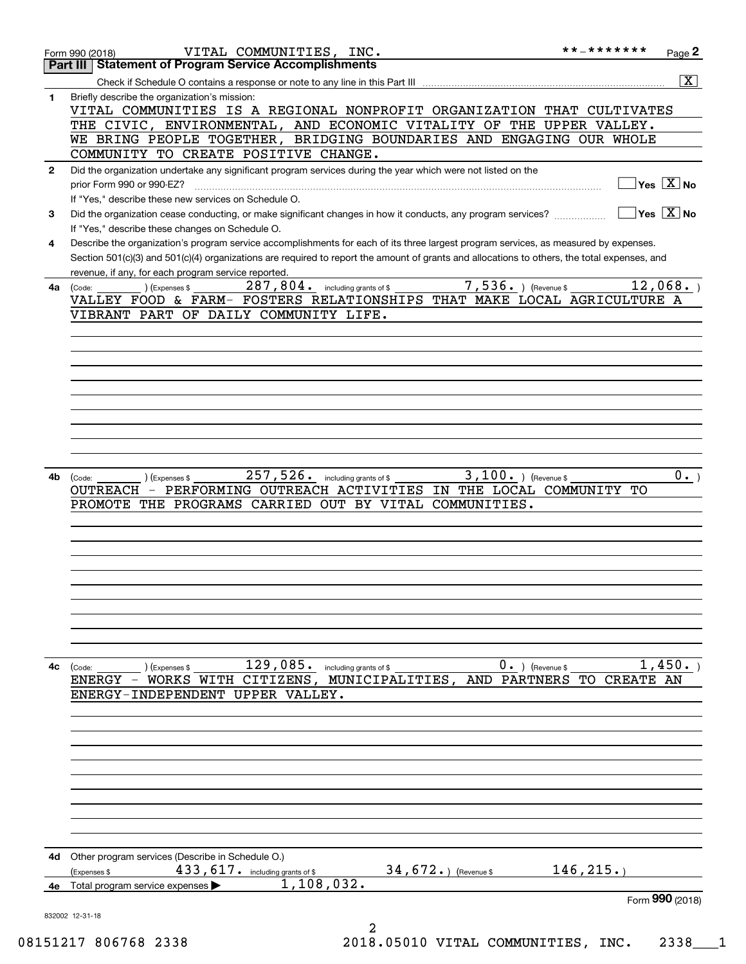|    | VITAL COMMUNITIES, INC.<br>Form 990 (2018)                                                                                                   | * * _ * * * * * * * | Page 2                                    |
|----|----------------------------------------------------------------------------------------------------------------------------------------------|---------------------|-------------------------------------------|
|    | <b>Statement of Program Service Accomplishments</b><br>Part III                                                                              |                     |                                           |
|    | Check if Schedule O contains a response or note to any line in this Part III                                                                 |                     | $\overline{\mathbf{x}}$                   |
| 1  | Briefly describe the organization's mission:                                                                                                 |                     |                                           |
|    | VITAL COMMUNITIES IS A REGIONAL NONPROFIT ORGANIZATION THAT CULTIVATES                                                                       |                     |                                           |
|    | THE CIVIC, ENVIRONMENTAL, AND ECONOMIC VITALITY OF THE UPPER VALLEY.                                                                         |                     |                                           |
|    | WE BRING PEOPLE TOGETHER, BRIDGING BOUNDARIES AND ENGAGING OUR WHOLE<br>COMMUNITY TO CREATE POSITIVE CHANGE.                                 |                     |                                           |
|    |                                                                                                                                              |                     |                                           |
| 2  | Did the organization undertake any significant program services during the year which were not listed on the<br>prior Form 990 or 990-EZ?    |                     | $Yes \quad X \quad No$                    |
|    | If "Yes," describe these new services on Schedule O.                                                                                         |                     |                                           |
| 3  | Did the organization cease conducting, or make significant changes in how it conducts, any program services?                                 |                     | $\overline{\ }$ Yes $\overline{\ \ X}$ No |
|    | If "Yes," describe these changes on Schedule O.                                                                                              |                     |                                           |
| 4  | Describe the organization's program service accomplishments for each of its three largest program services, as measured by expenses.         |                     |                                           |
|    | Section 501(c)(3) and 501(c)(4) organizations are required to report the amount of grants and allocations to others, the total expenses, and |                     |                                           |
|    | revenue, if any, for each program service reported.                                                                                          |                     |                                           |
| 4a | $\overline{7}$ , 536. ) (Revenue \$<br>$287, 804$ . including grants of \$<br>(Expenses \$<br>(Code:                                         |                     | 12,068.                                   |
|    | VALLEY FOOD & FARM- FOSTERS RELATIONSHIPS THAT MAKE LOCAL AGRICULTURE A                                                                      |                     |                                           |
|    | VIBRANT PART OF DAILY COMMUNITY LIFE.                                                                                                        |                     |                                           |
|    |                                                                                                                                              |                     |                                           |
|    |                                                                                                                                              |                     |                                           |
|    |                                                                                                                                              |                     |                                           |
|    |                                                                                                                                              |                     |                                           |
|    |                                                                                                                                              |                     |                                           |
|    |                                                                                                                                              |                     |                                           |
|    |                                                                                                                                              |                     |                                           |
|    |                                                                                                                                              |                     |                                           |
|    |                                                                                                                                              |                     |                                           |
| 4b | $257,526.$ including grants of \$<br>$3,100.$ ) (Revenue \$<br>) (Expenses \$<br>(Code:                                                      |                     | $0 \cdot$ )                               |
|    | OUTREACH - PERFORMING OUTREACH ACTIVITIES<br>IN THE LOCAL COMMUNITY TO                                                                       |                     |                                           |
|    | PROMOTE THE PROGRAMS CARRIED OUT BY VITAL COMMUNITIES.                                                                                       |                     |                                           |
|    |                                                                                                                                              |                     |                                           |
|    |                                                                                                                                              |                     |                                           |
|    |                                                                                                                                              |                     |                                           |
|    |                                                                                                                                              |                     |                                           |
|    |                                                                                                                                              |                     |                                           |
|    |                                                                                                                                              |                     |                                           |
|    |                                                                                                                                              |                     |                                           |
|    |                                                                                                                                              |                     |                                           |
|    |                                                                                                                                              |                     |                                           |
| 4с | $129,085$ . including grants of \$<br>$0 \cdot$ ) (Revenue \$<br>(Code:<br>(Expenses \$                                                      |                     | 1,450.                                    |
|    | ENERGY - WORKS WITH CITIZENS, MUNICIPALITIES,<br>AND PARTNERS TO                                                                             | CREATE AN           |                                           |
|    | ENERGY-INDEPENDENT UPPER VALLEY.                                                                                                             |                     |                                           |
|    |                                                                                                                                              |                     |                                           |
|    |                                                                                                                                              |                     |                                           |
|    |                                                                                                                                              |                     |                                           |
|    |                                                                                                                                              |                     |                                           |
|    |                                                                                                                                              |                     |                                           |
|    |                                                                                                                                              |                     |                                           |
|    |                                                                                                                                              |                     |                                           |
|    |                                                                                                                                              |                     |                                           |
|    |                                                                                                                                              |                     |                                           |
| 4d | Other program services (Describe in Schedule O.)                                                                                             |                     |                                           |
|    | 34, $672.$ (Revenue \$<br>433, 617. including grants of \$<br>(Expenses \$                                                                   | 146, 215.           |                                           |
| 4e | 1,108,032.<br>Total program service expenses                                                                                                 |                     |                                           |
|    |                                                                                                                                              |                     | Form 990 (2018)                           |
|    | 832002 12-31-18                                                                                                                              |                     |                                           |
|    | 2                                                                                                                                            |                     |                                           |

08151217 806768 2338 2018.05010 VITAL COMMUNITIES, INC. 2338\_\_\_1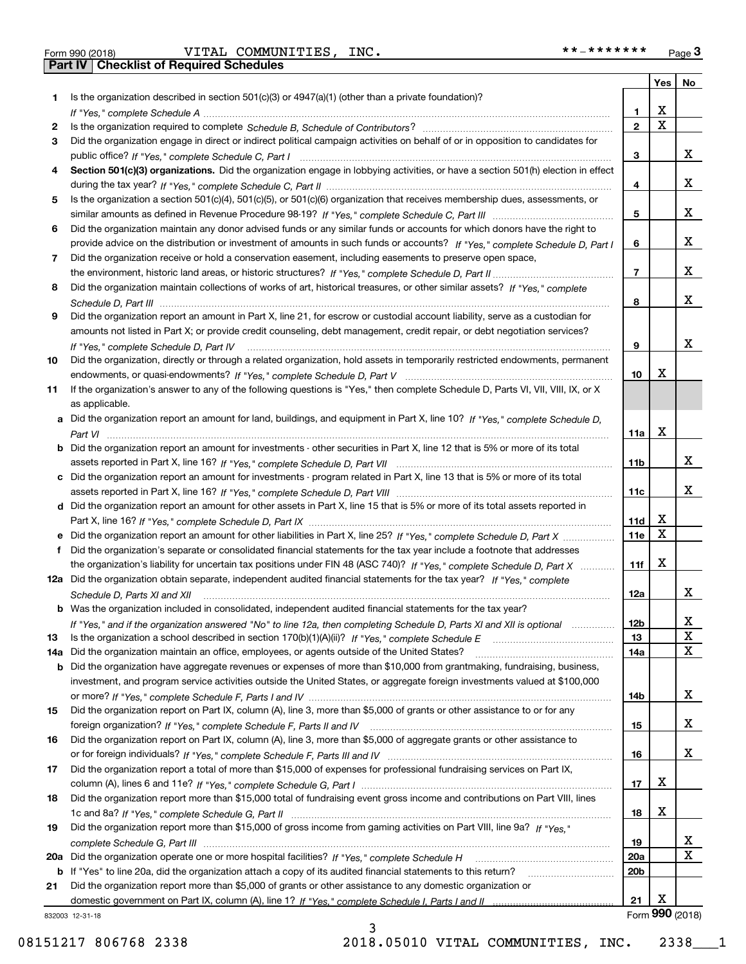**Part IV Checklist of Required Schedules**

 $\blacksquare$ Form 990 (2018) <code>VITAL COMMUNITIES</code> , INC . \* \* \_ \* \* \* \* \* \* \* Page VITAL COMMUNITIES, INC. \*\*-\*\*\*\*\*\*\*

|     |                                                                                                                                  |                 | Yes $ $                 | No                      |
|-----|----------------------------------------------------------------------------------------------------------------------------------|-----------------|-------------------------|-------------------------|
| 1   | Is the organization described in section $501(c)(3)$ or $4947(a)(1)$ (other than a private foundation)?                          |                 |                         |                         |
|     |                                                                                                                                  | 1               | х                       |                         |
| 2   |                                                                                                                                  | $\overline{2}$  | $\overline{\mathbf{x}}$ |                         |
| 3   | Did the organization engage in direct or indirect political campaign activities on behalf of or in opposition to candidates for  |                 |                         |                         |
|     |                                                                                                                                  | 3               |                         | x                       |
| 4   | Section 501(c)(3) organizations. Did the organization engage in lobbying activities, or have a section 501(h) election in effect |                 |                         |                         |
|     |                                                                                                                                  | 4               |                         | x                       |
| 5   | Is the organization a section 501(c)(4), 501(c)(5), or 501(c)(6) organization that receives membership dues, assessments, or     |                 |                         |                         |
|     |                                                                                                                                  | 5               |                         | x                       |
| 6   | Did the organization maintain any donor advised funds or any similar funds or accounts for which donors have the right to        |                 |                         |                         |
|     | provide advice on the distribution or investment of amounts in such funds or accounts? If "Yes," complete Schedule D, Part I     | 6               |                         | x                       |
| 7   | Did the organization receive or hold a conservation easement, including easements to preserve open space,                        |                 |                         |                         |
|     |                                                                                                                                  | $\overline{7}$  |                         | x                       |
| 8   | Did the organization maintain collections of works of art, historical treasures, or other similar assets? If "Yes," complete     |                 |                         | x                       |
|     |                                                                                                                                  | 8               |                         |                         |
| 9   | Did the organization report an amount in Part X, line 21, for escrow or custodial account liability, serve as a custodian for    |                 |                         |                         |
|     | amounts not listed in Part X; or provide credit counseling, debt management, credit repair, or debt negotiation services?        | 9               |                         | x                       |
| 10  | If "Yes." complete Schedule D. Part IV                                                                                           |                 |                         |                         |
|     | Did the organization, directly or through a related organization, hold assets in temporarily restricted endowments, permanent    | 10              | х                       |                         |
| 11  | If the organization's answer to any of the following questions is "Yes," then complete Schedule D, Parts VI, VII, VIII, IX, or X |                 |                         |                         |
|     | as applicable.                                                                                                                   |                 |                         |                         |
|     | Did the organization report an amount for land, buildings, and equipment in Part X, line 10? If "Yes," complete Schedule D.      |                 |                         |                         |
|     |                                                                                                                                  | 11a             | X                       |                         |
| b   | Did the organization report an amount for investments - other securities in Part X, line 12 that is 5% or more of its total      |                 |                         |                         |
|     |                                                                                                                                  | 11 <sub>b</sub> |                         | x                       |
|     | c Did the organization report an amount for investments - program related in Part X, line 13 that is 5% or more of its total     |                 |                         |                         |
|     |                                                                                                                                  | 11c             |                         | x                       |
|     | d Did the organization report an amount for other assets in Part X, line 15 that is 5% or more of its total assets reported in   |                 |                         |                         |
|     |                                                                                                                                  | 11d             | X                       |                         |
|     |                                                                                                                                  | 11e             | X                       |                         |
| f   | Did the organization's separate or consolidated financial statements for the tax year include a footnote that addresses          |                 |                         |                         |
|     | the organization's liability for uncertain tax positions under FIN 48 (ASC 740)? If "Yes," complete Schedule D, Part X           | 11f             | X                       |                         |
|     | 12a Did the organization obtain separate, independent audited financial statements for the tax year? If "Yes," complete          |                 |                         |                         |
|     | Schedule D, Parts XI and XII                                                                                                     | 12a             |                         | X.                      |
|     | <b>b</b> Was the organization included in consolidated, independent audited financial statements for the tax year?               |                 |                         |                         |
|     | If "Yes," and if the organization answered "No" to line 12a, then completing Schedule D, Parts XI and XII is optional            | 12 <sub>b</sub> |                         | x                       |
| 13  |                                                                                                                                  | 13              |                         | X                       |
| 14a | Did the organization maintain an office, employees, or agents outside of the United States?                                      | 14a             |                         | X                       |
| b   | Did the organization have aggregate revenues or expenses of more than \$10,000 from grantmaking, fundraising, business,          |                 |                         |                         |
|     | investment, and program service activities outside the United States, or aggregate foreign investments valued at \$100,000       |                 |                         |                         |
|     |                                                                                                                                  | 14b             |                         | x                       |
| 15  | Did the organization report on Part IX, column (A), line 3, more than \$5,000 of grants or other assistance to or for any        |                 |                         |                         |
|     |                                                                                                                                  | 15              |                         | X.                      |
| 16  | Did the organization report on Part IX, column (A), line 3, more than \$5,000 of aggregate grants or other assistance to         |                 |                         |                         |
|     |                                                                                                                                  | 16              |                         | X.                      |
| 17  | Did the organization report a total of more than \$15,000 of expenses for professional fundraising services on Part IX,          |                 |                         |                         |
|     |                                                                                                                                  | 17              | x                       |                         |
| 18  | Did the organization report more than \$15,000 total of fundraising event gross income and contributions on Part VIII, lines     |                 |                         |                         |
|     |                                                                                                                                  | 18              | х                       |                         |
| 19  | Did the organization report more than \$15,000 of gross income from gaming activities on Part VIII, line 9a? If "Yes."           |                 |                         |                         |
|     |                                                                                                                                  | 19              |                         | X                       |
| 20a |                                                                                                                                  | 20a             |                         | $\overline{\mathbf{X}}$ |
| b   | If "Yes" to line 20a, did the organization attach a copy of its audited financial statements to this return?                     | 20 <sub>b</sub> |                         |                         |
| 21  | Did the organization report more than \$5,000 of grants or other assistance to any domestic organization or                      |                 |                         |                         |
|     |                                                                                                                                  | 21              | х                       |                         |
|     | 832003 12-31-18                                                                                                                  |                 |                         | Form 990 (2018)         |

3

832003 12-31-18

08151217 806768 2338 2018.05010 VITAL COMMUNITIES, INC. 2338 1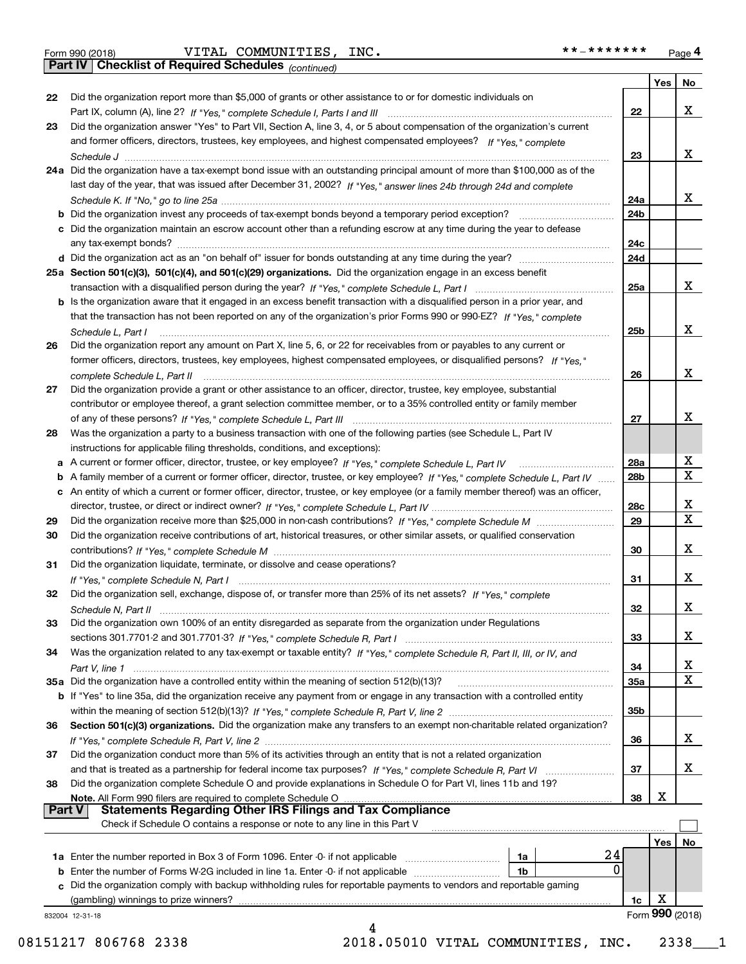**Part IV Checklist of Required Schedules**

*(continued)*

|               |                                                                                                                                             |                 | Yes | No              |
|---------------|---------------------------------------------------------------------------------------------------------------------------------------------|-----------------|-----|-----------------|
| 22            | Did the organization report more than \$5,000 of grants or other assistance to or for domestic individuals on                               | 22              |     | x               |
| 23            | Did the organization answer "Yes" to Part VII, Section A, line 3, 4, or 5 about compensation of the organization's current                  |                 |     |                 |
|               | and former officers, directors, trustees, key employees, and highest compensated employees? If "Yes," complete                              |                 |     |                 |
|               |                                                                                                                                             | 23              |     | x               |
|               | 24a Did the organization have a tax-exempt bond issue with an outstanding principal amount of more than \$100,000 as of the                 |                 |     |                 |
|               | last day of the year, that was issued after December 31, 2002? If "Yes," answer lines 24b through 24d and complete                          |                 |     |                 |
|               |                                                                                                                                             | 24a             |     | x               |
|               | <b>b</b> Did the organization invest any proceeds of tax-exempt bonds beyond a temporary period exception?                                  | 24 <sub>b</sub> |     |                 |
|               | c Did the organization maintain an escrow account other than a refunding escrow at any time during the year to defease                      |                 |     |                 |
|               |                                                                                                                                             | 24c             |     |                 |
|               |                                                                                                                                             | 24d             |     |                 |
|               | 25a Section 501(c)(3), 501(c)(4), and 501(c)(29) organizations. Did the organization engage in an excess benefit                            |                 |     |                 |
|               |                                                                                                                                             | 25a             |     | x               |
|               | b Is the organization aware that it engaged in an excess benefit transaction with a disqualified person in a prior year, and                |                 |     |                 |
|               | that the transaction has not been reported on any of the organization's prior Forms 990 or 990-EZ? If "Yes," complete                       |                 |     | x               |
|               | Schedule L, Part I<br>Did the organization report any amount on Part X, line 5, 6, or 22 for receivables from or payables to any current or | 25 <sub>b</sub> |     |                 |
| 26            | former officers, directors, trustees, key employees, highest compensated employees, or disqualified persons? If "Yes."                      |                 |     |                 |
|               | complete Schedule L, Part II                                                                                                                | 26              |     | x               |
| 27            | Did the organization provide a grant or other assistance to an officer, director, trustee, key employee, substantial                        |                 |     |                 |
|               | contributor or employee thereof, a grant selection committee member, or to a 35% controlled entity or family member                         |                 |     |                 |
|               |                                                                                                                                             | 27              |     | x               |
| 28            | Was the organization a party to a business transaction with one of the following parties (see Schedule L, Part IV                           |                 |     |                 |
|               | instructions for applicable filing thresholds, conditions, and exceptions):                                                                 |                 |     |                 |
|               | a A current or former officer, director, trustee, or key employee? If "Yes," complete Schedule L, Part IV                                   | 28a             |     | x               |
| b             | A family member of a current or former officer, director, trustee, or key employee? If "Yes," complete Schedule L, Part IV                  | 28 <sub>b</sub> |     | X               |
| c             | An entity of which a current or former officer, director, trustee, or key employee (or a family member thereof) was an officer,             |                 |     |                 |
|               |                                                                                                                                             | 28c             |     | х               |
| 29            |                                                                                                                                             | 29              |     | $\mathbf x$     |
| 30            | Did the organization receive contributions of art, historical treasures, or other similar assets, or qualified conservation                 |                 |     | x               |
| 31            |                                                                                                                                             | 30              |     |                 |
|               | Did the organization liquidate, terminate, or dissolve and cease operations?                                                                | 31              |     | x               |
| 32            | Did the organization sell, exchange, dispose of, or transfer more than 25% of its net assets? If "Yes," complete                            |                 |     |                 |
|               |                                                                                                                                             | 32              |     | X.              |
| 33            | Did the organization own 100% of an entity disregarded as separate from the organization under Regulations                                  |                 |     |                 |
|               |                                                                                                                                             | 33              |     | X               |
| 34            | Was the organization related to any tax-exempt or taxable entity? If "Yes," complete Schedule R, Part II, III, or IV, and                   |                 |     |                 |
|               |                                                                                                                                             | 34              |     | X               |
|               | 35a Did the organization have a controlled entity within the meaning of section 512(b)(13)?                                                 | 35a             |     | X               |
|               | <b>b</b> If "Yes" to line 35a, did the organization receive any payment from or engage in any transaction with a controlled entity          |                 |     |                 |
|               |                                                                                                                                             | 35b             |     |                 |
| 36            | Section 501(c)(3) organizations. Did the organization make any transfers to an exempt non-charitable related organization?                  |                 |     |                 |
|               |                                                                                                                                             | 36              |     | x               |
| 37            | Did the organization conduct more than 5% of its activities through an entity that is not a related organization                            |                 |     | x               |
| 38            | Did the organization complete Schedule O and provide explanations in Schedule O for Part VI, lines 11b and 19?                              | 37              |     |                 |
|               | Note. All Form 990 filers are required to complete Schedule O                                                                               | 38              | х   |                 |
| <b>Part V</b> | <b>Statements Regarding Other IRS Filings and Tax Compliance</b>                                                                            |                 |     |                 |
|               | Check if Schedule O contains a response or note to any line in this Part V                                                                  |                 |     |                 |
|               |                                                                                                                                             |                 | Yes | No              |
|               | 24<br>1a                                                                                                                                    |                 |     |                 |
|               | 0<br>1 <sub>b</sub><br><b>b</b> Enter the number of Forms W-2G included in line 1a. Enter -0- if not applicable                             |                 |     |                 |
| c             | Did the organization comply with backup withholding rules for reportable payments to vendors and reportable gaming                          |                 |     |                 |
|               | (gambling) winnings to prize winners?                                                                                                       | 1c              | х   |                 |
|               | 832004 12-31-18                                                                                                                             |                 |     | Form 990 (2018) |
|               | 4                                                                                                                                           |                 |     |                 |

08151217 806768 2338 2018.05010 VITAL COMMUNITIES, INC. 2338\_\_\_1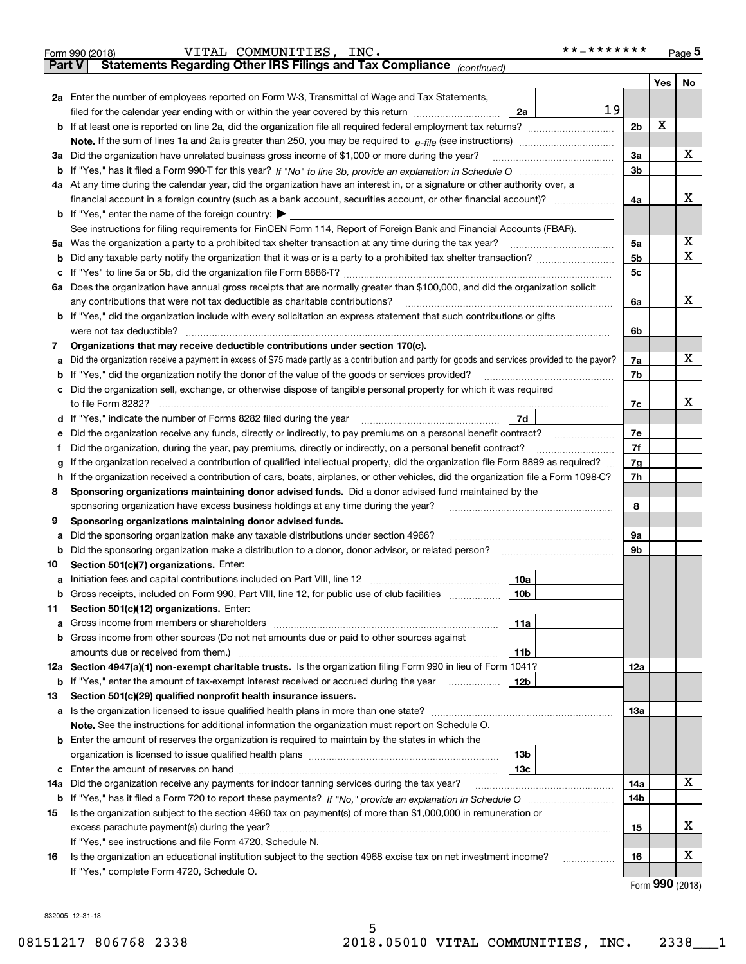|               | **_*******<br>VITAL COMMUNITIES, INC.<br>Form 990 (2018)                                                                                                     |                |               | Page 5 |  |  |  |  |
|---------------|--------------------------------------------------------------------------------------------------------------------------------------------------------------|----------------|---------------|--------|--|--|--|--|
| <b>Part V</b> | Statements Regarding Other IRS Filings and Tax Compliance (continued)                                                                                        |                |               |        |  |  |  |  |
|               |                                                                                                                                                              |                | Yes           | No     |  |  |  |  |
|               | 2a Enter the number of employees reported on Form W-3, Transmittal of Wage and Tax Statements,                                                               |                |               |        |  |  |  |  |
|               | 19<br>filed for the calendar year ending with or within the year covered by this return<br>2a                                                                |                |               |        |  |  |  |  |
|               | <b>b</b> If at least one is reported on line 2a, did the organization file all required federal employment tax returns?                                      | 2b             | X             |        |  |  |  |  |
|               | Note. If the sum of lines 1a and 2a is greater than 250, you may be required to $e$ -file (see instructions) <i>marrouum</i> manus                           |                |               |        |  |  |  |  |
|               | 3a Did the organization have unrelated business gross income of \$1,000 or more during the year?                                                             | 3a             |               | x      |  |  |  |  |
|               |                                                                                                                                                              | 3 <sub>b</sub> |               |        |  |  |  |  |
|               | 4a At any time during the calendar year, did the organization have an interest in, or a signature or other authority over, a                                 |                |               |        |  |  |  |  |
|               | financial account in a foreign country (such as a bank account, securities account, or other financial account)?                                             | 4a             |               | х      |  |  |  |  |
|               | <b>b</b> If "Yes," enter the name of the foreign country: $\blacktriangleright$                                                                              |                |               |        |  |  |  |  |
|               | See instructions for filing requirements for FinCEN Form 114, Report of Foreign Bank and Financial Accounts (FBAR).                                          |                |               |        |  |  |  |  |
|               | 5a Was the organization a party to a prohibited tax shelter transaction at any time during the tax year?                                                     | 5a             |               | х      |  |  |  |  |
|               |                                                                                                                                                              | 5 <sub>b</sub> |               | х      |  |  |  |  |
|               |                                                                                                                                                              | 5c             |               |        |  |  |  |  |
|               | 6a Does the organization have annual gross receipts that are normally greater than \$100,000, and did the organization solicit                               |                |               |        |  |  |  |  |
|               | any contributions that were not tax deductible as charitable contributions?                                                                                  | 6a             |               | X      |  |  |  |  |
|               | <b>b</b> If "Yes," did the organization include with every solicitation an express statement that such contributions or gifts                                |                |               |        |  |  |  |  |
|               | were not tax deductible?                                                                                                                                     | 6b             |               |        |  |  |  |  |
| 7             | Organizations that may receive deductible contributions under section 170(c).                                                                                |                |               |        |  |  |  |  |
| а             | Did the organization receive a payment in excess of \$75 made partly as a contribution and partly for goods and services provided to the payor?              | 7a             |               | x      |  |  |  |  |
|               | <b>b</b> If "Yes," did the organization notify the donor of the value of the goods or services provided?                                                     | 7b             |               |        |  |  |  |  |
|               | c Did the organization sell, exchange, or otherwise dispose of tangible personal property for which it was required                                          |                |               |        |  |  |  |  |
|               | to file Form 8282?                                                                                                                                           | 7c             |               | X      |  |  |  |  |
|               | 7d                                                                                                                                                           |                |               |        |  |  |  |  |
| е             | Did the organization receive any funds, directly or indirectly, to pay premiums on a personal benefit contract?                                              | 7e             |               |        |  |  |  |  |
| Ť.            | Did the organization, during the year, pay premiums, directly or indirectly, on a personal benefit contract?                                                 | 7f<br>7g       |               |        |  |  |  |  |
| g             | If the organization received a contribution of qualified intellectual property, did the organization file Form 8899 as required?                             |                |               |        |  |  |  |  |
| h.            | If the organization received a contribution of cars, boats, airplanes, or other vehicles, did the organization file a Form 1098-C?                           | 7h             |               |        |  |  |  |  |
| 8             | Sponsoring organizations maintaining donor advised funds. Did a donor advised fund maintained by the                                                         |                |               |        |  |  |  |  |
|               | sponsoring organization have excess business holdings at any time during the year?                                                                           | 8              |               |        |  |  |  |  |
| 9             | Sponsoring organizations maintaining donor advised funds.                                                                                                    |                |               |        |  |  |  |  |
| а             | Did the sponsoring organization make any taxable distributions under section 4966?                                                                           | 9а             |               |        |  |  |  |  |
| b             | Did the sponsoring organization make a distribution to a donor, donor advisor, or related person?                                                            | 9b             |               |        |  |  |  |  |
| 10            | Section 501(c)(7) organizations. Enter:                                                                                                                      |                |               |        |  |  |  |  |
|               | 10a                                                                                                                                                          |                |               |        |  |  |  |  |
| b             | Gross receipts, included on Form 990, Part VIII, line 12, for public use of club facilities<br>10b                                                           |                |               |        |  |  |  |  |
| 11            | Section 501(c)(12) organizations. Enter:                                                                                                                     |                |               |        |  |  |  |  |
| а             | 11a                                                                                                                                                          |                |               |        |  |  |  |  |
| b             | Gross income from other sources (Do not net amounts due or paid to other sources against                                                                     |                |               |        |  |  |  |  |
|               | amounts due or received from them.)<br>11b<br>12a Section 4947(a)(1) non-exempt charitable trusts. Is the organization filing Form 990 in lieu of Form 1041? | 12a            |               |        |  |  |  |  |
| b             | If "Yes," enter the amount of tax-exempt interest received or accrued during the year<br>12b                                                                 |                |               |        |  |  |  |  |
| 13            | Section 501(c)(29) qualified nonprofit health insurance issuers.                                                                                             |                |               |        |  |  |  |  |
|               |                                                                                                                                                              | 13а            |               |        |  |  |  |  |
|               | Note. See the instructions for additional information the organization must report on Schedule O.                                                            |                |               |        |  |  |  |  |
|               | <b>b</b> Enter the amount of reserves the organization is required to maintain by the states in which the                                                    |                |               |        |  |  |  |  |
|               | 13b                                                                                                                                                          |                |               |        |  |  |  |  |
|               | 13с                                                                                                                                                          |                |               |        |  |  |  |  |
| 14a           | Did the organization receive any payments for indoor tanning services during the tax year?                                                                   | 14a            |               | x      |  |  |  |  |
| b             |                                                                                                                                                              | 14b            |               |        |  |  |  |  |
| 15            | Is the organization subject to the section 4960 tax on payment(s) of more than \$1,000,000 in remuneration or                                                |                |               |        |  |  |  |  |
|               |                                                                                                                                                              | 15             |               | х      |  |  |  |  |
|               | If "Yes," see instructions and file Form 4720, Schedule N.                                                                                                   |                |               |        |  |  |  |  |
| 16            | Is the organization an educational institution subject to the section 4968 excise tax on net investment income?<br>.                                         | 16             |               | х      |  |  |  |  |
|               | If "Yes," complete Form 4720, Schedule O.                                                                                                                    |                |               |        |  |  |  |  |
|               |                                                                                                                                                              |                | $000 \approx$ |        |  |  |  |  |

5

Form (2018) **990**

832005 12-31-18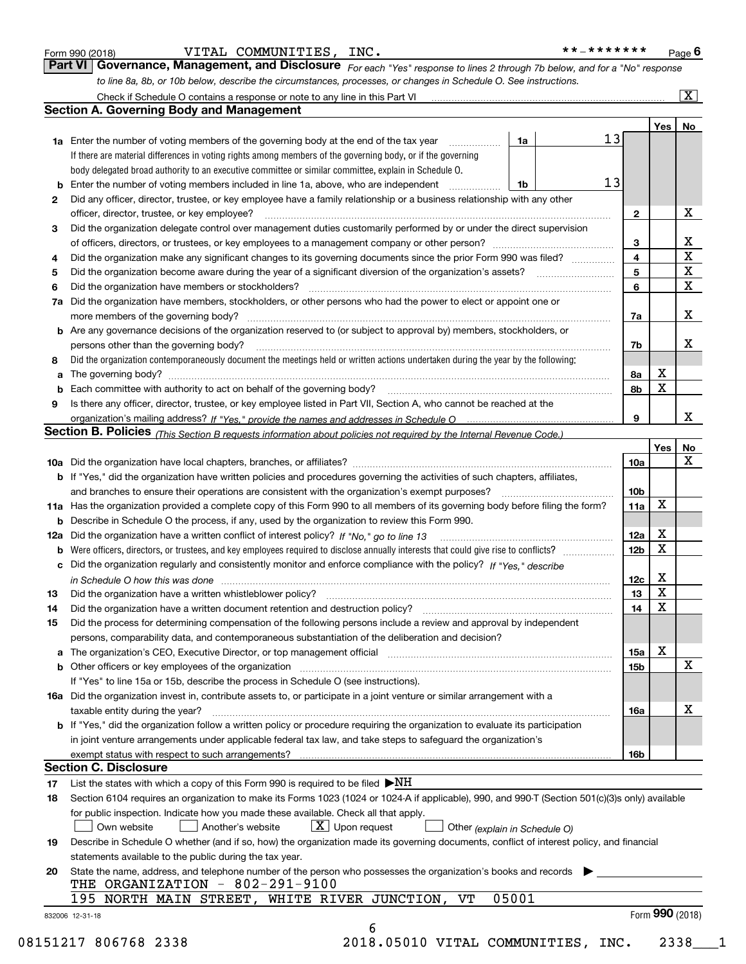| Form 990 (2018) |  |  |
|-----------------|--|--|
|                 |  |  |

### $\blacksquare$ Form 990 (2018) <code>VITAL COMMUNITIES</code> , INC . \* \* \_ \* \* \* \* \* \* \* Page VITAL COMMUNITIES, INC. \*\*-\*\*\*\*\*\*\*

| * * _ * * * * * * * |  |  |  | Page $6$ |
|---------------------|--|--|--|----------|
|                     |  |  |  |          |

|                                                                                                                  | <b>Part VI</b> Governance, Management, and Disclosure For each "Yes" response to lines 2 through 7b below, and for a "No" respons |
|------------------------------------------------------------------------------------------------------------------|-----------------------------------------------------------------------------------------------------------------------------------|
| to line 8a, 8b, or 10b below, describe the circumstances, processes, or changes in Schedule O. See instructions. |                                                                                                                                   |

|     | Check if Schedule O contains a response or note to any line in this Part VI                                                                                                                                                   |       |    |                 |             | $\overline{\mathbf{X}}$ |  |  |  |  |  |  |
|-----|-------------------------------------------------------------------------------------------------------------------------------------------------------------------------------------------------------------------------------|-------|----|-----------------|-------------|-------------------------|--|--|--|--|--|--|
|     | <b>Section A. Governing Body and Management</b>                                                                                                                                                                               |       |    |                 |             |                         |  |  |  |  |  |  |
|     |                                                                                                                                                                                                                               |       |    |                 | Yes         | No                      |  |  |  |  |  |  |
|     | <b>1a</b> Enter the number of voting members of the governing body at the end of the tax year                                                                                                                                 | 1a    | 13 |                 |             |                         |  |  |  |  |  |  |
|     | If there are material differences in voting rights among members of the governing body, or if the governing                                                                                                                   |       |    |                 |             |                         |  |  |  |  |  |  |
|     | body delegated broad authority to an executive committee or similar committee, explain in Schedule O.                                                                                                                         |       |    |                 |             |                         |  |  |  |  |  |  |
| b   | Enter the number of voting members included in line 1a, above, who are independent                                                                                                                                            | 1b    | 13 |                 |             |                         |  |  |  |  |  |  |
| 2   | Did any officer, director, trustee, or key employee have a family relationship or a business relationship with any other                                                                                                      |       |    |                 |             |                         |  |  |  |  |  |  |
|     | officer, director, trustee, or key employee?                                                                                                                                                                                  |       |    | $\mathbf{2}$    |             | X                       |  |  |  |  |  |  |
| 3   | Did the organization delegate control over management duties customarily performed by or under the direct supervision                                                                                                         |       |    |                 |             |                         |  |  |  |  |  |  |
|     |                                                                                                                                                                                                                               |       |    | 3               |             | X<br>X                  |  |  |  |  |  |  |
| 4   | Did the organization make any significant changes to its governing documents since the prior Form 990 was filed?                                                                                                              |       |    |                 |             |                         |  |  |  |  |  |  |
| 5   |                                                                                                                                                                                                                               |       |    |                 |             |                         |  |  |  |  |  |  |
| 6   | Did the organization have members or stockholders?                                                                                                                                                                            |       |    |                 |             |                         |  |  |  |  |  |  |
| 7a  | Did the organization have members, stockholders, or other persons who had the power to elect or appoint one or                                                                                                                |       |    |                 |             |                         |  |  |  |  |  |  |
|     | more members of the governing body?                                                                                                                                                                                           |       |    | 7a              |             | X                       |  |  |  |  |  |  |
|     | <b>b</b> Are any governance decisions of the organization reserved to (or subject to approval by) members, stockholders, or                                                                                                   |       |    |                 |             |                         |  |  |  |  |  |  |
|     | persons other than the governing body?                                                                                                                                                                                        |       |    | 7b              |             | x                       |  |  |  |  |  |  |
| 8   | Did the organization contemporaneously document the meetings held or written actions undertaken during the year by the following:                                                                                             |       |    |                 |             |                         |  |  |  |  |  |  |
| a   |                                                                                                                                                                                                                               |       |    | 8а              | X           |                         |  |  |  |  |  |  |
| b   |                                                                                                                                                                                                                               |       |    | 8b              | X           |                         |  |  |  |  |  |  |
| 9   | Is there any officer, director, trustee, or key employee listed in Part VII, Section A, who cannot be reached at the                                                                                                          |       |    |                 |             |                         |  |  |  |  |  |  |
|     |                                                                                                                                                                                                                               |       |    | 9               |             | x                       |  |  |  |  |  |  |
|     | Section B. Policies <sub>(This Section B requests information about policies not required by the Internal Revenue Code.)</sub>                                                                                                |       |    |                 |             |                         |  |  |  |  |  |  |
|     |                                                                                                                                                                                                                               |       |    |                 | Yes         | No                      |  |  |  |  |  |  |
|     |                                                                                                                                                                                                                               |       |    | 10a             |             | X                       |  |  |  |  |  |  |
|     | <b>b</b> If "Yes," did the organization have written policies and procedures governing the activities of such chapters, affiliates,                                                                                           |       |    |                 |             |                         |  |  |  |  |  |  |
|     | and branches to ensure their operations are consistent with the organization's exempt purposes?                                                                                                                               |       |    |                 |             |                         |  |  |  |  |  |  |
|     | 11a Has the organization provided a complete copy of this Form 990 to all members of its governing body before filing the form?                                                                                               |       |    |                 |             |                         |  |  |  |  |  |  |
| b   | Describe in Schedule O the process, if any, used by the organization to review this Form 990.                                                                                                                                 |       |    |                 |             |                         |  |  |  |  |  |  |
| 12a | Did the organization have a written conflict of interest policy? If "No," go to line 13                                                                                                                                       |       |    |                 |             |                         |  |  |  |  |  |  |
| b   | Were officers, directors, or trustees, and key employees required to disclose annually interests that could give rise to conflicts?                                                                                           |       |    | 12 <sub>b</sub> | $\mathbf X$ |                         |  |  |  |  |  |  |
| с   | Did the organization regularly and consistently monitor and enforce compliance with the policy? If "Yes," describe                                                                                                            |       |    |                 |             |                         |  |  |  |  |  |  |
|     | in Schedule O how this was done www.communication.com/www.communications.com/www.communications.com/                                                                                                                          |       |    | 12c             | X           |                         |  |  |  |  |  |  |
| 13  | Did the organization have a written whistleblower policy?                                                                                                                                                                     |       |    | 13              | X           |                         |  |  |  |  |  |  |
| 14  | Did the organization have a written document retention and destruction policy?                                                                                                                                                |       |    | 14              | $\mathbf X$ |                         |  |  |  |  |  |  |
| 15  | Did the process for determining compensation of the following persons include a review and approval by independent                                                                                                            |       |    |                 |             |                         |  |  |  |  |  |  |
|     | persons, comparability data, and contemporaneous substantiation of the deliberation and decision?                                                                                                                             |       |    |                 |             |                         |  |  |  |  |  |  |
|     | The organization's CEO, Executive Director, or top management official manufactured contains and contained a support of the Director, or top management official manufactured and contain a support of the state of the state |       |    | 15a             | х           |                         |  |  |  |  |  |  |
| b   | Other officers or key employees of the organization                                                                                                                                                                           |       |    | 15b             |             | X                       |  |  |  |  |  |  |
|     | If "Yes" to line 15a or 15b, describe the process in Schedule O (see instructions).                                                                                                                                           |       |    |                 |             |                         |  |  |  |  |  |  |
|     | 16a Did the organization invest in, contribute assets to, or participate in a joint venture or similar arrangement with a                                                                                                     |       |    |                 |             |                         |  |  |  |  |  |  |
|     | taxable entity during the year?                                                                                                                                                                                               |       |    | 16a             |             | х                       |  |  |  |  |  |  |
|     | b If "Yes," did the organization follow a written policy or procedure requiring the organization to evaluate its participation                                                                                                |       |    |                 |             |                         |  |  |  |  |  |  |
|     | in joint venture arrangements under applicable federal tax law, and take steps to safeguard the organization's                                                                                                                |       |    |                 |             |                         |  |  |  |  |  |  |
|     | exempt status with respect to such arrangements?                                                                                                                                                                              |       |    | 16b             |             |                         |  |  |  |  |  |  |
|     | <b>Section C. Disclosure</b>                                                                                                                                                                                                  |       |    |                 |             |                         |  |  |  |  |  |  |
| 17  | List the states with which a copy of this Form 990 is required to be filed $\blacktriangleright$ NH                                                                                                                           |       |    |                 |             |                         |  |  |  |  |  |  |
| 18  | Section 6104 requires an organization to make its Forms 1023 (1024 or 1024-A if applicable), 990, and 990-T (Section 501(c)(3)s only) available                                                                               |       |    |                 |             |                         |  |  |  |  |  |  |
|     | for public inspection. Indicate how you made these available. Check all that apply.                                                                                                                                           |       |    |                 |             |                         |  |  |  |  |  |  |
|     | $X$ Upon request<br>Own website<br>Another's website<br>Other (explain in Schedule O)                                                                                                                                         |       |    |                 |             |                         |  |  |  |  |  |  |
| 19  | Describe in Schedule O whether (and if so, how) the organization made its governing documents, conflict of interest policy, and financial                                                                                     |       |    |                 |             |                         |  |  |  |  |  |  |
|     | statements available to the public during the tax year.                                                                                                                                                                       |       |    |                 |             |                         |  |  |  |  |  |  |
| 20  | State the name, address, and telephone number of the person who possesses the organization's books and records                                                                                                                |       |    |                 |             |                         |  |  |  |  |  |  |
|     | THE ORGANIZATION - 802-291-9100                                                                                                                                                                                               |       |    |                 |             |                         |  |  |  |  |  |  |
|     | 195 NORTH MAIN STREET, WHITE RIVER JUNCTION,<br>VT                                                                                                                                                                            | 05001 |    |                 |             |                         |  |  |  |  |  |  |
|     | 832006 12-31-18                                                                                                                                                                                                               |       |    |                 |             | Form 990 (2018)         |  |  |  |  |  |  |
|     | 6                                                                                                                                                                                                                             |       |    |                 |             |                         |  |  |  |  |  |  |

08151217 806768 2338 2018.05010 VITAL COMMUNITIES, INC. 2338\_\_\_1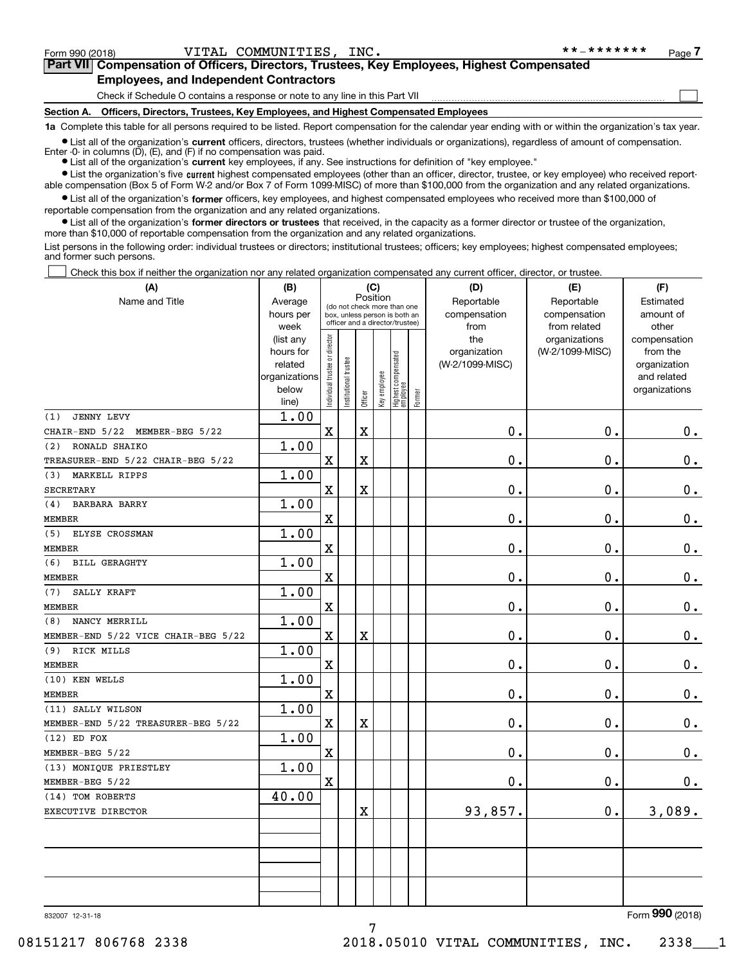$\begin{array}{c} \hline \end{array}$ 

### **Part VII Compensation of Officers, Directors, Trustees, Key Employees, Highest Compensated Employees, and Independent Contractors**

Check if Schedule O contains a response or note to any line in this Part VII

**Section A. Officers, Directors, Trustees, Key Employees, and Highest Compensated Employees**

**1a**  Complete this table for all persons required to be listed. Report compensation for the calendar year ending with or within the organization's tax year.

 $\bullet$  List all of the organization's current officers, directors, trustees (whether individuals or organizations), regardless of amount of compensation. Enter -0- in columns  $(D)$ ,  $(E)$ , and  $(F)$  if no compensation was paid.

**•** List all of the organization's **current** key employees, if any. See instructions for definition of "key employee."

**•** List the organization's five current highest compensated employees (other than an officer, director, trustee, or key employee) who received reportable compensation (Box 5 of Form W-2 and/or Box 7 of Form 1099-MISC) of more than \$100,000 from the organization and any related organizations.

 $\bullet$  List all of the organization's former officers, key employees, and highest compensated employees who received more than \$100,000 of reportable compensation from the organization and any related organizations.

**•** List all of the organization's former directors or trustees that received, in the capacity as a former director or trustee of the organization, more than \$10,000 of reportable compensation from the organization and any related organizations.

List persons in the following order: individual trustees or directors; institutional trustees; officers; key employees; highest compensated employees; and former such persons.

Check this box if neither the organization nor any related organization compensated any current officer, director, or trustee.  $\Box$ 

| (A)                                 | (B)                  |                                |                                                                  | (C)      |              |                                   |        | (D)             | (E)             | (F)                         |  |  |
|-------------------------------------|----------------------|--------------------------------|------------------------------------------------------------------|----------|--------------|-----------------------------------|--------|-----------------|-----------------|-----------------------------|--|--|
| Name and Title                      | Average              |                                | (do not check more than one                                      | Position |              |                                   |        | Reportable      | Reportable      | Estimated                   |  |  |
|                                     | hours per            |                                | box, unless person is both an<br>officer and a director/trustee) |          |              |                                   |        | compensation    | compensation    | amount of                   |  |  |
|                                     | week                 |                                |                                                                  |          |              |                                   |        | from            | from related    | other                       |  |  |
|                                     | (list any            |                                |                                                                  |          |              |                                   |        | the             | organizations   | compensation                |  |  |
|                                     | hours for<br>related |                                |                                                                  |          |              |                                   |        | organization    | (W-2/1099-MISC) | from the                    |  |  |
|                                     | organizations        |                                |                                                                  |          |              |                                   |        | (W-2/1099-MISC) |                 | organization<br>and related |  |  |
|                                     | below                |                                |                                                                  |          |              |                                   |        |                 |                 | organizations               |  |  |
|                                     | line)                | Individual trustee or director | In stitutional trustee                                           | Officer  | Key employee | Highest compensated<br>  employee | Former |                 |                 |                             |  |  |
| <b>JENNY LEVY</b><br>(1)            | 1.00                 |                                |                                                                  |          |              |                                   |        |                 |                 |                             |  |  |
| CHAIR-END 5/22<br>MEMBER-BEG 5/22   |                      | $\mathbf X$                    |                                                                  | X        |              |                                   |        | $\mathbf 0$ .   | $\mathbf 0$ .   | $0_{.}$                     |  |  |
| RONALD SHAIKO<br>(2)                | 1.00                 |                                |                                                                  |          |              |                                   |        |                 |                 |                             |  |  |
| TREASURER-END 5/22 CHAIR-BEG 5/22   |                      | $\mathbf x$                    |                                                                  | X        |              |                                   |        | 0.              | $\mathbf 0$ .   | $\mathbf 0$ .               |  |  |
| (3) MARKELL RIPPS                   | 1.00                 |                                |                                                                  |          |              |                                   |        |                 |                 |                             |  |  |
| <b>SECRETARY</b>                    |                      | $\mathbf X$                    |                                                                  | X        |              |                                   |        | $\mathbf 0$ .   | $\mathbf 0$ .   | $0_{.}$                     |  |  |
| (4)<br><b>BARBARA BARRY</b>         | 1.00                 |                                |                                                                  |          |              |                                   |        |                 |                 |                             |  |  |
| <b>MEMBER</b>                       |                      | $\mathbf x$                    |                                                                  |          |              |                                   |        | 0.              | 0.              | $\mathbf 0$ .               |  |  |
| ELYSE CROSSMAN<br>(5)               | 1.00                 |                                |                                                                  |          |              |                                   |        |                 |                 |                             |  |  |
| <b>MEMBER</b>                       |                      | $\mathbf x$                    |                                                                  |          |              |                                   |        | $\mathbf 0$ .   | $\mathbf 0$ .   | $0_{.}$                     |  |  |
| (6)<br><b>BILL GERAGHTY</b>         | 1.00                 |                                |                                                                  |          |              |                                   |        |                 |                 |                             |  |  |
| <b>MEMBER</b>                       |                      | $\mathbf X$                    |                                                                  |          |              |                                   |        | $\mathbf 0$ .   | $\mathbf 0$ .   | $0_{.}$                     |  |  |
| SALLY KRAFT<br>(7)                  | 1.00                 |                                |                                                                  |          |              |                                   |        |                 |                 |                             |  |  |
| <b>MEMBER</b>                       |                      | $\mathbf x$                    |                                                                  |          |              |                                   |        | $\mathbf 0$ .   | $\mathbf 0$ .   | $\mathbf 0$ .               |  |  |
| NANCY MERRILL<br>(8)                | 1.00                 |                                |                                                                  |          |              |                                   |        |                 |                 |                             |  |  |
| MEMBER-END 5/22 VICE CHAIR-BEG 5/22 |                      | $\mathbf x$                    |                                                                  | X        |              |                                   |        | $\mathbf 0$ .   | 0.              | $\mathbf 0$ .               |  |  |
| (9) RICK MILLS                      | 1.00                 |                                |                                                                  |          |              |                                   |        |                 |                 |                             |  |  |
| <b>MEMBER</b>                       |                      | $\mathbf x$                    |                                                                  |          |              |                                   |        | $\mathbf 0$ .   | 0.              | $0_{.}$                     |  |  |
| (10) KEN WELLS                      | 1.00                 |                                |                                                                  |          |              |                                   |        |                 |                 |                             |  |  |
| <b>MEMBER</b>                       |                      | $\mathbf x$                    |                                                                  |          |              |                                   |        | $\mathbf 0$ .   | 0.              | $0_{.}$                     |  |  |
| (11) SALLY WILSON                   | 1.00                 |                                |                                                                  |          |              |                                   |        |                 |                 |                             |  |  |
| MEMBER-END 5/22 TREASURER-BEG 5/22  |                      | $\mathbf X$                    |                                                                  | X        |              |                                   |        | $\mathbf 0$ .   | $\mathbf 0$ .   | $\mathbf 0$ .               |  |  |
| $(12)$ ED FOX                       | 1.00                 |                                |                                                                  |          |              |                                   |        |                 |                 |                             |  |  |
| MEMBER-BEG 5/22                     |                      | $\mathbf x$                    |                                                                  |          |              |                                   |        | $\mathbf 0$ .   | 0.              | $\mathbf 0$ .               |  |  |
| (13) MONIQUE PRIESTLEY              | 1.00                 |                                |                                                                  |          |              |                                   |        |                 |                 |                             |  |  |
| MEMBER-BEG 5/22                     |                      | $\mathbf X$                    |                                                                  |          |              |                                   |        | $\mathbf 0$ .   | 0.              | 0.                          |  |  |
| (14) TOM ROBERTS                    | 40.00                |                                |                                                                  |          |              |                                   |        |                 |                 |                             |  |  |
| EXECUTIVE DIRECTOR                  |                      |                                |                                                                  | X        |              |                                   |        | 93,857.         | $\mathbf 0$ .   | 3,089.                      |  |  |
|                                     |                      |                                |                                                                  |          |              |                                   |        |                 |                 |                             |  |  |
|                                     |                      |                                |                                                                  |          |              |                                   |        |                 |                 |                             |  |  |
|                                     |                      |                                |                                                                  |          |              |                                   |        |                 |                 |                             |  |  |
|                                     |                      |                                |                                                                  |          |              |                                   |        |                 |                 |                             |  |  |
|                                     |                      |                                |                                                                  |          |              |                                   |        |                 |                 |                             |  |  |

832007 12-31-18

Form (2018) **990**

7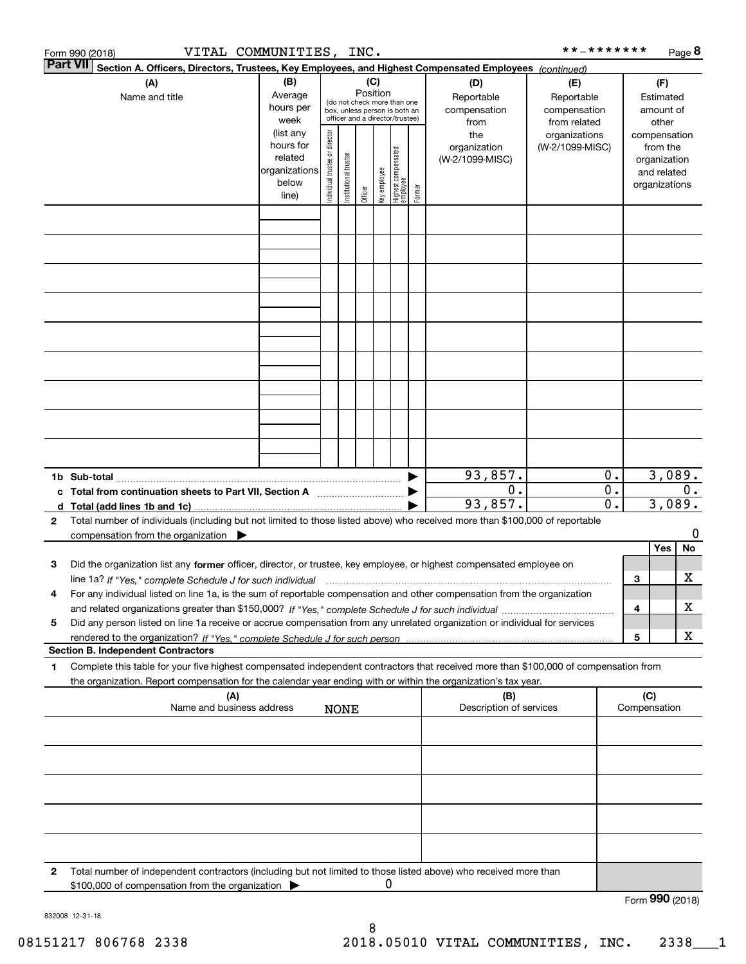|                 | Form 990 (2018)                                                                                                                      | VITAL COMMUNITIES, INC. |                                |                       |          |              |                                                                  |        |                          | **_*******                       |          |   |                          | Page 8 |
|-----------------|--------------------------------------------------------------------------------------------------------------------------------------|-------------------------|--------------------------------|-----------------------|----------|--------------|------------------------------------------------------------------|--------|--------------------------|----------------------------------|----------|---|--------------------------|--------|
| <b>Part VII</b> | Section A. Officers, Directors, Trustees, Key Employees, and Highest Compensated Employees (continued)                               |                         |                                |                       |          |              |                                                                  |        |                          |                                  |          |   |                          |        |
|                 | (A)                                                                                                                                  | (B)                     |                                |                       | (C)      |              |                                                                  |        | (D)                      | (E)                              |          |   | (F)                      |        |
|                 | Name and title                                                                                                                       | Average                 |                                |                       | Position |              | (do not check more than one                                      |        | Reportable               | Reportable                       |          |   | Estimated                |        |
|                 |                                                                                                                                      | hours per               |                                |                       |          |              | box, unless person is both an<br>officer and a director/trustee) |        | compensation             | compensation                     |          |   | amount of                |        |
|                 |                                                                                                                                      | week                    |                                |                       |          |              |                                                                  |        | from                     | from related                     |          |   | other                    |        |
|                 |                                                                                                                                      | (list any<br>hours for  |                                |                       |          |              |                                                                  |        | the<br>organization      | organizations<br>(W-2/1099-MISC) |          |   | compensation             |        |
|                 |                                                                                                                                      | related                 |                                |                       |          |              |                                                                  |        | (W-2/1099-MISC)          |                                  |          |   | from the<br>organization |        |
|                 |                                                                                                                                      | organizations           |                                |                       |          |              |                                                                  |        |                          |                                  |          |   | and related              |        |
|                 |                                                                                                                                      | below                   | Individual trustee or director | Institutional trustee |          | Key employee |                                                                  |        |                          |                                  |          |   | organizations            |        |
|                 |                                                                                                                                      | line)                   |                                |                       | Officer  |              | Highest compensated<br>  employee                                | Former |                          |                                  |          |   |                          |        |
|                 |                                                                                                                                      |                         |                                |                       |          |              |                                                                  |        |                          |                                  |          |   |                          |        |
|                 |                                                                                                                                      |                         |                                |                       |          |              |                                                                  |        |                          |                                  |          |   |                          |        |
|                 |                                                                                                                                      |                         |                                |                       |          |              |                                                                  |        |                          |                                  |          |   |                          |        |
|                 |                                                                                                                                      |                         |                                |                       |          |              |                                                                  |        |                          |                                  |          |   |                          |        |
|                 |                                                                                                                                      |                         |                                |                       |          |              |                                                                  |        |                          |                                  |          |   |                          |        |
|                 |                                                                                                                                      |                         |                                |                       |          |              |                                                                  |        |                          |                                  |          |   |                          |        |
|                 |                                                                                                                                      |                         |                                |                       |          |              |                                                                  |        |                          |                                  |          |   |                          |        |
|                 |                                                                                                                                      |                         |                                |                       |          |              |                                                                  |        |                          |                                  |          |   |                          |        |
|                 |                                                                                                                                      |                         |                                |                       |          |              |                                                                  |        |                          |                                  |          |   |                          |        |
|                 |                                                                                                                                      |                         |                                |                       |          |              |                                                                  |        |                          |                                  |          |   |                          |        |
|                 |                                                                                                                                      |                         |                                |                       |          |              |                                                                  |        |                          |                                  |          |   |                          |        |
|                 |                                                                                                                                      |                         |                                |                       |          |              |                                                                  |        |                          |                                  |          |   |                          |        |
|                 |                                                                                                                                      |                         |                                |                       |          |              |                                                                  |        |                          |                                  |          |   |                          |        |
|                 |                                                                                                                                      |                         |                                |                       |          |              |                                                                  |        |                          |                                  |          |   |                          |        |
|                 |                                                                                                                                      |                         |                                |                       |          |              |                                                                  |        |                          |                                  |          |   |                          |        |
|                 |                                                                                                                                      |                         |                                |                       |          |              |                                                                  |        |                          |                                  |          |   |                          |        |
|                 |                                                                                                                                      |                         |                                |                       |          |              |                                                                  |        |                          |                                  |          |   |                          |        |
|                 |                                                                                                                                      |                         |                                |                       |          |              |                                                                  |        |                          |                                  |          |   |                          |        |
|                 |                                                                                                                                      |                         |                                |                       |          |              |                                                                  |        | 93,857.                  |                                  | 0.       |   | 3,089.                   |        |
|                 | Total from continuation sheets to Part VII, Section A manufactured in the Total from continuum                                       |                         |                                |                       |          |              |                                                                  |        | $\mathbf 0$ .<br>93,857. |                                  | 0.<br>0. |   | 3,089.                   | 0.     |
| d               |                                                                                                                                      |                         |                                |                       |          |              |                                                                  |        |                          |                                  |          |   |                          |        |
| 2               | Total number of individuals (including but not limited to those listed above) who received more than \$100,000 of reportable         |                         |                                |                       |          |              |                                                                  |        |                          |                                  |          |   |                          | 0      |
|                 | compensation from the organization                                                                                                   |                         |                                |                       |          |              |                                                                  |        |                          |                                  |          |   | Yes                      | No     |
| 3               |                                                                                                                                      |                         |                                |                       |          |              |                                                                  |        |                          |                                  |          |   |                          |        |
|                 | Did the organization list any former officer, director, or trustee, key employee, or highest compensated employee on                 |                         |                                |                       |          |              |                                                                  |        |                          |                                  |          | 3 |                          | х      |
|                 | For any individual listed on line 1a, is the sum of reportable compensation and other compensation from the organization             |                         |                                |                       |          |              |                                                                  |        |                          |                                  |          |   |                          |        |
|                 |                                                                                                                                      |                         |                                |                       |          |              |                                                                  |        |                          |                                  |          | 4 |                          | х      |
| 5               | Did any person listed on line 1a receive or accrue compensation from any unrelated organization or individual for services           |                         |                                |                       |          |              |                                                                  |        |                          |                                  |          |   |                          |        |
|                 |                                                                                                                                      |                         |                                |                       |          |              |                                                                  |        |                          |                                  |          | 5 |                          | х      |
|                 | <b>Section B. Independent Contractors</b>                                                                                            |                         |                                |                       |          |              |                                                                  |        |                          |                                  |          |   |                          |        |
| 1               | Complete this table for your five highest compensated independent contractors that received more than \$100,000 of compensation from |                         |                                |                       |          |              |                                                                  |        |                          |                                  |          |   |                          |        |
|                 | the organization. Report compensation for the calendar year ending with or within the organization's tax year.                       |                         |                                |                       |          |              |                                                                  |        |                          |                                  |          |   |                          |        |
|                 | (A)                                                                                                                                  |                         |                                |                       |          |              |                                                                  |        | (B)                      |                                  |          |   | (C)                      |        |
|                 | Name and business address                                                                                                            |                         |                                | <b>NONE</b>           |          |              |                                                                  |        | Description of services  |                                  |          |   | Compensation             |        |
|                 |                                                                                                                                      |                         |                                |                       |          |              |                                                                  |        |                          |                                  |          |   |                          |        |
|                 |                                                                                                                                      |                         |                                |                       |          |              |                                                                  |        |                          |                                  |          |   |                          |        |
|                 |                                                                                                                                      |                         |                                |                       |          |              |                                                                  |        |                          |                                  |          |   |                          |        |
|                 |                                                                                                                                      |                         |                                |                       |          |              |                                                                  |        |                          |                                  |          |   |                          |        |
|                 |                                                                                                                                      |                         |                                |                       |          |              |                                                                  |        |                          |                                  |          |   |                          |        |
|                 |                                                                                                                                      |                         |                                |                       |          |              |                                                                  |        |                          |                                  |          |   |                          |        |
|                 |                                                                                                                                      |                         |                                |                       |          |              |                                                                  |        |                          |                                  |          |   |                          |        |
|                 |                                                                                                                                      |                         |                                |                       |          |              |                                                                  |        |                          |                                  |          |   |                          |        |
|                 |                                                                                                                                      |                         |                                |                       |          |              |                                                                  |        |                          |                                  |          |   |                          |        |
|                 |                                                                                                                                      |                         |                                |                       |          |              |                                                                  |        |                          |                                  |          |   |                          |        |
| 2               | Total number of independent contractors (including but not limited to those listed above) who received more than                     |                         |                                |                       |          |              |                                                                  |        |                          |                                  |          |   |                          |        |
|                 | \$100,000 of compensation from the organization                                                                                      |                         |                                |                       |          | 0            |                                                                  |        |                          |                                  |          |   |                          |        |
|                 |                                                                                                                                      |                         |                                |                       |          |              |                                                                  |        |                          |                                  |          |   | Form 990 (2018)          |        |

832008 12-31-18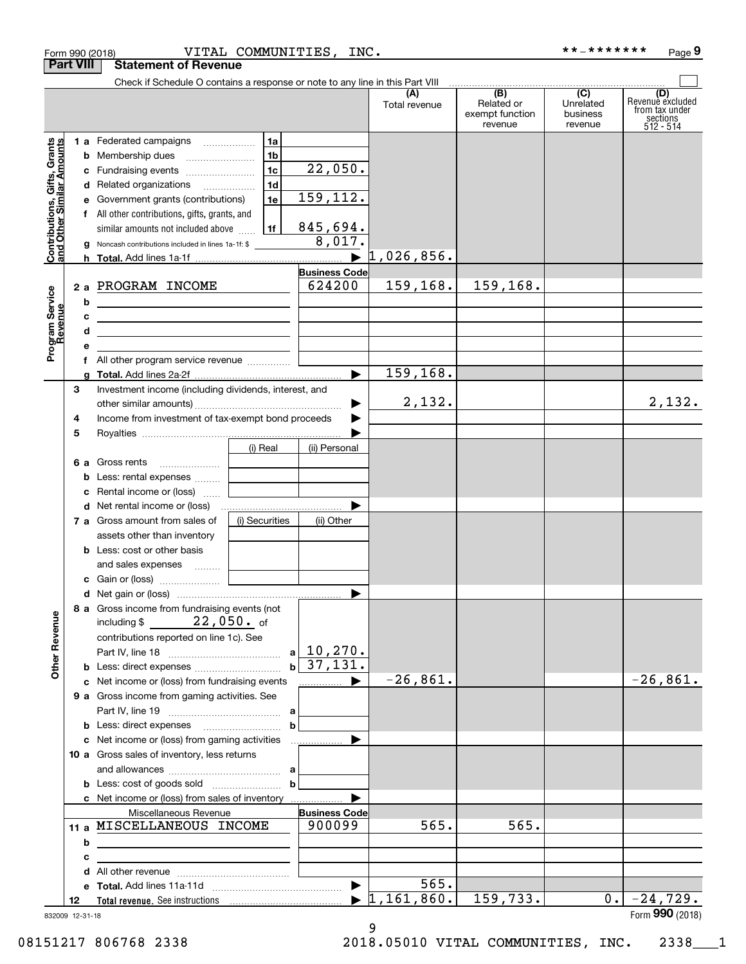|                                                                                         | <b>Part VIII</b>           | <b>Statement of Revenue</b>                                                                                                                                                                                                                                                                                                                                                                                                                                                                                                                                                                                     |                                                            |                                                                                                                               |                                    |                                                              |                                         |                                                                    |
|-----------------------------------------------------------------------------------------|----------------------------|-----------------------------------------------------------------------------------------------------------------------------------------------------------------------------------------------------------------------------------------------------------------------------------------------------------------------------------------------------------------------------------------------------------------------------------------------------------------------------------------------------------------------------------------------------------------------------------------------------------------|------------------------------------------------------------|-------------------------------------------------------------------------------------------------------------------------------|------------------------------------|--------------------------------------------------------------|-----------------------------------------|--------------------------------------------------------------------|
|                                                                                         |                            | Check if Schedule O contains a response or note to any line in this Part VIII                                                                                                                                                                                                                                                                                                                                                                                                                                                                                                                                   |                                                            |                                                                                                                               |                                    |                                                              |                                         |                                                                    |
|                                                                                         |                            |                                                                                                                                                                                                                                                                                                                                                                                                                                                                                                                                                                                                                 |                                                            |                                                                                                                               | (A)<br>Total revenue               | $\overline{(B)}$<br>Related or<br>exempt function<br>revenue | (C)<br>Unrelated<br>business<br>revenue | (D)<br>Revenue excluded<br>from tax under<br>sections<br>512 - 514 |
| Contributions, Gifts, Grants<br>and Other Similar Amounts<br>Program Service<br>Revenue | b<br>c<br>b<br>с<br>d<br>е | 1 a Federated campaigns<br>Membership dues<br>Fundraising events<br>Related organizations<br>Government grants (contributions)<br>f All other contributions, gifts, grants, and<br>similar amounts not included above<br>Noncash contributions included in lines 1a-1f: \$<br>2 a PROGRAM INCOME<br><u> 1989 - Johann Barbara, martin amerikan basar dan berasal dalam basar dalam basar dalam basar dalam basar dala</u><br><u> 1989 - Johann Barbara, martin amerikan personal (</u><br><u> 1989 - Johann John Stone, markin film yn y sefydlu y gwysiad y ganllawydd y ganllawydd y ganllawydd y ganllaw</u> | 1a<br>1 <sub>b</sub><br>1c<br>1 <sub>d</sub><br>1e<br>l 1f | 22,050.<br>159,112.<br>845,694.<br>8,017.<br>$\blacktriangleright$<br><b>Business Code</b><br>624200<br>$\blacktriangleright$ | 1,026,856.<br>159,168.<br>159,168. | 159,168.                                                     |                                         |                                                                    |
|                                                                                         | З                          | Investment income (including dividends, interest, and                                                                                                                                                                                                                                                                                                                                                                                                                                                                                                                                                           |                                                            |                                                                                                                               |                                    |                                                              |                                         |                                                                    |
|                                                                                         | 4<br>5                     | Income from investment of tax-exempt bond proceeds                                                                                                                                                                                                                                                                                                                                                                                                                                                                                                                                                              |                                                            |                                                                                                                               | 2,132.                             |                                                              |                                         | 2,132.                                                             |
|                                                                                         | 6а<br>b<br>с<br>d          | Gross rents<br>Less: rental expenses<br>Rental income or (loss)<br>7 a Gross amount from sales of<br>assets other than inventory                                                                                                                                                                                                                                                                                                                                                                                                                                                                                | (i) Real<br>(i) Securities                                 | (ii) Personal<br>(ii) Other                                                                                                   |                                    |                                                              |                                         |                                                                    |
|                                                                                         |                            | <b>b</b> Less: cost or other basis<br>and sales expenses  [<br>8 a Gross income from fundraising events (not                                                                                                                                                                                                                                                                                                                                                                                                                                                                                                    |                                                            | $\blacktriangleright$                                                                                                         |                                    |                                                              |                                         |                                                                    |
| <b>Other Revenue</b>                                                                    |                            | $22$ ,050. $\,$ of<br>including $$$<br>contributions reported on line 1c). See<br>c Net income or (loss) from fundraising events<br>9 a Gross income from gaming activities. See                                                                                                                                                                                                                                                                                                                                                                                                                                | $\mathbf{b}$                                               | $a \mid 10, 270.$<br>37,131.                                                                                                  | $-26,861.$                         |                                                              |                                         | $-26,861.$                                                         |
|                                                                                         |                            | c Net income or (loss) from gaming activities<br>10 a Gross sales of inventory, less returns                                                                                                                                                                                                                                                                                                                                                                                                                                                                                                                    | b<br>b                                                     |                                                                                                                               |                                    |                                                              |                                         |                                                                    |
|                                                                                         |                            | c Net income or (loss) from sales of inventory<br>Miscellaneous Revenue                                                                                                                                                                                                                                                                                                                                                                                                                                                                                                                                         |                                                            | <b>Business Code</b>                                                                                                          |                                    |                                                              |                                         |                                                                    |
|                                                                                         | b<br>с<br>d                | 11 a MISCELLANEOUS INCOME<br><u> 1989 - Johann Stoff, amerikansk politiker (d. 1989)</u>                                                                                                                                                                                                                                                                                                                                                                                                                                                                                                                        |                                                            | 900099                                                                                                                        | 565.                               | 565.                                                         |                                         |                                                                    |
|                                                                                         | е                          |                                                                                                                                                                                                                                                                                                                                                                                                                                                                                                                                                                                                                 |                                                            |                                                                                                                               | 565.                               |                                                              |                                         |                                                                    |
|                                                                                         | 12<br>832009 12-31-18      |                                                                                                                                                                                                                                                                                                                                                                                                                                                                                                                                                                                                                 |                                                            |                                                                                                                               | 1,161,860.                         | 159,733.                                                     | 0.                                      | $-24,729.$<br>Form 990 (2018)                                      |

Form 990 (2018) VITAL COMMUNITIES,INC。 \*\*-\*\*\*\*\*\*\* Page

\*\*\_\*\*\*\*\*\*\* Page 9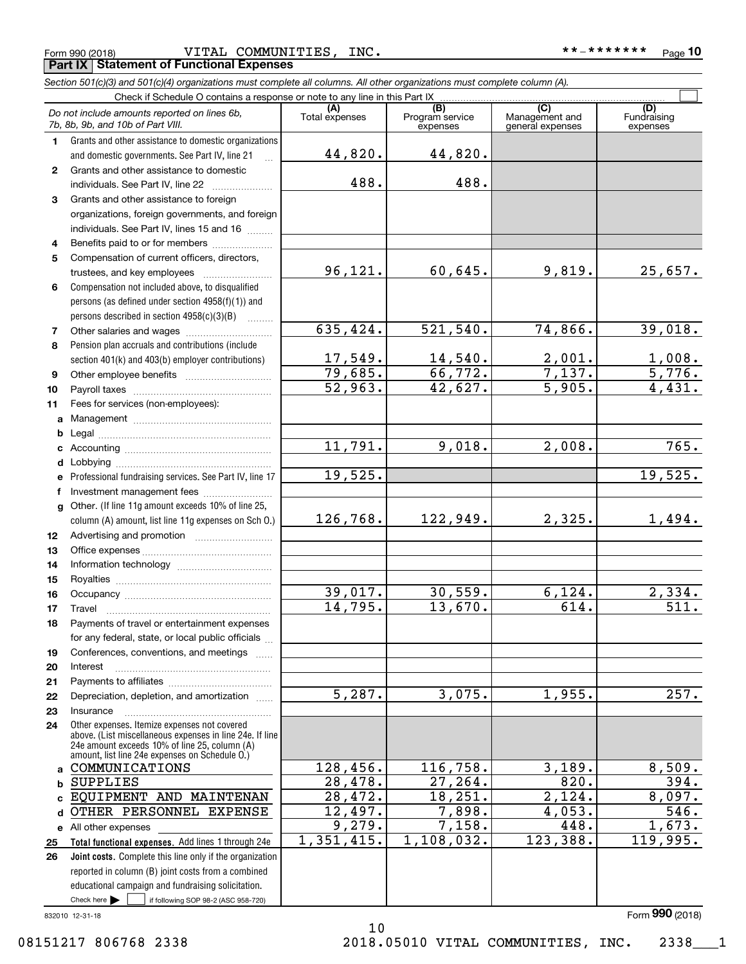Form 990 (2018) VITAL COMMUNITIES,INC. \*\*-\*\*\*\*\*\*\* <sub>Page</sub> **Porm 990 (2018)**<br>**Part IX** | Statement of Functional Expenses

|    | Section 501(c)(3) and 501(c)(4) organizations must complete all columns. All other organizations must complete column (A).                                                                                                                                         |                      |                                    |                                           |                                |
|----|--------------------------------------------------------------------------------------------------------------------------------------------------------------------------------------------------------------------------------------------------------------------|----------------------|------------------------------------|-------------------------------------------|--------------------------------|
|    | Check if Schedule O contains a response or note to any line in this Part IX                                                                                                                                                                                        |                      |                                    |                                           |                                |
|    | Do not include amounts reported on lines 6b,<br>7b, 8b, 9b, and 10b of Part VIII.                                                                                                                                                                                  | Total expenses       | (B)<br>Program service<br>expenses | (C)<br>Management and<br>general expenses | (D)<br>Fundraising<br>expenses |
| 1. | Grants and other assistance to domestic organizations                                                                                                                                                                                                              |                      |                                    |                                           |                                |
|    | and domestic governments. See Part IV, line 21                                                                                                                                                                                                                     | 44,820.              | 44,820.                            |                                           |                                |
| 2  | Grants and other assistance to domestic                                                                                                                                                                                                                            |                      |                                    |                                           |                                |
|    | individuals. See Part IV, line 22<br>and a construction of the construction of the construction of the construction of the construction of the construction of the construction of the construction of the construction of the construction of the construction of | 488.                 | 488.                               |                                           |                                |
| 3  | Grants and other assistance to foreign                                                                                                                                                                                                                             |                      |                                    |                                           |                                |
|    | organizations, foreign governments, and foreign                                                                                                                                                                                                                    |                      |                                    |                                           |                                |
|    | individuals. See Part IV, lines 15 and 16                                                                                                                                                                                                                          |                      |                                    |                                           |                                |
| 4  | Benefits paid to or for members                                                                                                                                                                                                                                    |                      |                                    |                                           |                                |
| 5  | Compensation of current officers, directors,                                                                                                                                                                                                                       |                      |                                    |                                           |                                |
|    |                                                                                                                                                                                                                                                                    | 96,121.              | 60,645.                            | 9,819.                                    | 25,657.                        |
| 6  | Compensation not included above, to disqualified                                                                                                                                                                                                                   |                      |                                    |                                           |                                |
|    | persons (as defined under section 4958(f)(1)) and                                                                                                                                                                                                                  |                      |                                    |                                           |                                |
|    | persons described in section 4958(c)(3)(B)                                                                                                                                                                                                                         |                      |                                    |                                           |                                |
| 7  | Other salaries and wages                                                                                                                                                                                                                                           | 635,424.             | 521,540.                           | 74,866.                                   | 39,018.                        |
| 8  | Pension plan accruals and contributions (include                                                                                                                                                                                                                   |                      |                                    |                                           |                                |
|    | section 401(k) and 403(b) employer contributions)                                                                                                                                                                                                                  | 17,549.              | 14,540.                            | $\frac{2,001}{7,137}$ .                   |                                |
| 9  |                                                                                                                                                                                                                                                                    | 79,685.              | 66,772.                            |                                           | $\frac{1,008.}{5,776.}$        |
| 10 |                                                                                                                                                                                                                                                                    | 52,963.              | 42,627.                            | 5,905.                                    | 4,431.                         |
| 11 | Fees for services (non-employees):                                                                                                                                                                                                                                 |                      |                                    |                                           |                                |
| a  |                                                                                                                                                                                                                                                                    |                      |                                    |                                           |                                |
| b  |                                                                                                                                                                                                                                                                    |                      |                                    |                                           |                                |
|    |                                                                                                                                                                                                                                                                    | 11,791.              | 9,018.                             | 2,008.                                    | 765.                           |
|    |                                                                                                                                                                                                                                                                    |                      |                                    |                                           |                                |
|    | Professional fundraising services. See Part IV, line 17                                                                                                                                                                                                            | 19,525.              |                                    |                                           | 19,525.                        |
| f  | Investment management fees                                                                                                                                                                                                                                         |                      |                                    |                                           |                                |
|    | g Other. (If line 11g amount exceeds 10% of line 25,                                                                                                                                                                                                               |                      |                                    |                                           |                                |
|    | column (A) amount, list line 11g expenses on Sch O.)                                                                                                                                                                                                               | 126,768.             | 122,949.                           | 2,325.                                    | 1,494.                         |
| 12 |                                                                                                                                                                                                                                                                    |                      |                                    |                                           |                                |
| 13 |                                                                                                                                                                                                                                                                    |                      |                                    |                                           |                                |
| 14 |                                                                                                                                                                                                                                                                    |                      |                                    |                                           |                                |
| 15 |                                                                                                                                                                                                                                                                    |                      |                                    |                                           |                                |
| 16 |                                                                                                                                                                                                                                                                    | 39,017.              | 30,559.                            | 6, 124.                                   | 2,334.                         |
| 17 |                                                                                                                                                                                                                                                                    | 14,795.              | 13,670.                            | 614.                                      | $\overline{511}$ .             |
| 18 | Payments of travel or entertainment expenses                                                                                                                                                                                                                       |                      |                                    |                                           |                                |
|    | for any federal, state, or local public officials                                                                                                                                                                                                                  |                      |                                    |                                           |                                |
| 19 | Conferences, conventions, and meetings                                                                                                                                                                                                                             |                      |                                    |                                           |                                |
| 20 | Interest                                                                                                                                                                                                                                                           |                      |                                    |                                           |                                |
| 21 |                                                                                                                                                                                                                                                                    |                      |                                    |                                           |                                |
| 22 | Depreciation, depletion, and amortization                                                                                                                                                                                                                          | $\overline{5,287}$ . | 3,075.                             | 1,955.                                    | 257.                           |
| 23 | Insurance                                                                                                                                                                                                                                                          |                      |                                    |                                           |                                |
| 24 | Other expenses. Itemize expenses not covered<br>above. (List miscellaneous expenses in line 24e. If line<br>24e amount exceeds 10% of line 25, column (A)<br>amount, list line 24e expenses on Schedule O.)                                                        |                      |                                    |                                           |                                |
|    | COMMUNICATIONS                                                                                                                                                                                                                                                     | 128,456.             | 116,758.                           | 3,189.                                    | 8,509.                         |
| b  | <b>SUPPLIES</b>                                                                                                                                                                                                                                                    | 28,478.              | 27, 264.                           | 820.                                      | 394.                           |
|    | EQUIPMENT AND MAINTENAN                                                                                                                                                                                                                                            | 28,472.              | 18, 251.                           | 2,124.                                    | 8,097.                         |
| d  | OTHER PERSONNEL EXPENSE                                                                                                                                                                                                                                            | 12,497.              | 7,898.                             | 4,053.                                    | 546.                           |
|    | e All other expenses                                                                                                                                                                                                                                               | 9,279.               | 7,158.                             | 448.                                      | 1,673.                         |
| 25 | Total functional expenses. Add lines 1 through 24e                                                                                                                                                                                                                 | 1,351,415.           | 1,108,032.                         | 123,388.                                  | 119,995.                       |
| 26 | Joint costs. Complete this line only if the organization                                                                                                                                                                                                           |                      |                                    |                                           |                                |
|    | reported in column (B) joint costs from a combined                                                                                                                                                                                                                 |                      |                                    |                                           |                                |
|    | educational campaign and fundraising solicitation.                                                                                                                                                                                                                 |                      |                                    |                                           |                                |

10

832010 12-31-18  $\blacktriangleright$   $\sqcup$ 

 $\overline{\phantom{1}}$  if following SOP 98-2 (ASC 958-720)

Form (2018) **990**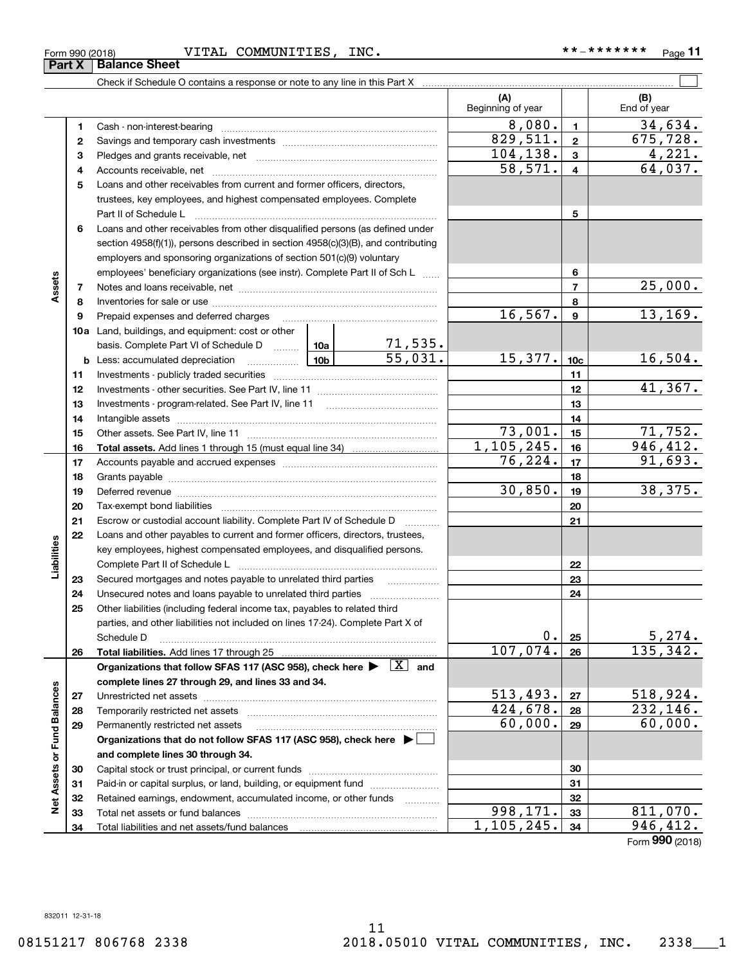### Form 990 (2018) VITAL COMMUNITIES,INC. \*\*-\*\*\*\*\*\*\* <sub>Page</sub>

|                             |    |                                                                                                                                     |         |              | (A)<br>Beginning of year |                  | (B)<br>End of year        |
|-----------------------------|----|-------------------------------------------------------------------------------------------------------------------------------------|---------|--------------|--------------------------|------------------|---------------------------|
|                             | 1  |                                                                                                                                     |         |              | 8,080.                   | $\blacksquare$   | 34,634.                   |
|                             | 2  |                                                                                                                                     |         |              | 829,511.                 | $\mathbf{2}$     | 675, 728.                 |
|                             | з  |                                                                                                                                     |         |              | 104, 138.                | $\mathbf{3}$     | 4,221.                    |
|                             | 4  |                                                                                                                                     |         | 58,571.      | $\overline{\mathbf{4}}$  | 64,037.          |                           |
|                             | 5  | Loans and other receivables from current and former officers, directors,                                                            |         |              |                          |                  |                           |
|                             |    | trustees, key employees, and highest compensated employees. Complete                                                                |         |              |                          |                  |                           |
|                             |    | Part II of Schedule L                                                                                                               |         | 5            |                          |                  |                           |
|                             | 6  | Loans and other receivables from other disqualified persons (as defined under                                                       |         |              |                          |                  |                           |
|                             |    | section $4958(f)(1)$ , persons described in section $4958(c)(3)(B)$ , and contributing                                              |         |              |                          |                  |                           |
|                             |    | employers and sponsoring organizations of section 501(c)(9) voluntary                                                               |         |              |                          |                  |                           |
|                             |    | employees' beneficiary organizations (see instr). Complete Part II of Sch L                                                         |         |              |                          | 6                |                           |
| Assets                      | 7  |                                                                                                                                     |         |              |                          | $\overline{7}$   | 25,000.                   |
|                             | 8  |                                                                                                                                     |         |              |                          | 8                |                           |
|                             | 9  | Prepaid expenses and deferred charges                                                                                               |         |              | 16, 567.                 | $\boldsymbol{9}$ | 13, 169.                  |
|                             |    | 10a Land, buildings, and equipment: cost or other                                                                                   |         |              |                          |                  |                           |
|                             |    | basis. Complete Part VI of Schedule D  10a 10a 105 5 5 5 3 5.<br>Less: accumulated depreciation 10b 55 , 0 3 1.                     |         |              |                          |                  |                           |
|                             |    | $\frac{10b}{10b}$<br><b>b</b> Less: accumulated depreciation                                                                        |         |              | 15,377.                  | 10 <sub>c</sub>  | <u>16,504.</u>            |
|                             | 11 |                                                                                                                                     |         |              |                          | 11               |                           |
|                             | 12 |                                                                                                                                     |         |              |                          | 12               | 41,367.                   |
|                             | 13 | Investments - program-related. See Part IV, line 11                                                                                 |         |              |                          | 13               |                           |
|                             | 14 |                                                                                                                                     |         |              |                          | 14               |                           |
|                             | 15 |                                                                                                                                     |         |              | 73,001.                  | 15               | 71,752.                   |
|                             | 16 |                                                                                                                                     |         |              | 1,105,245.               | 16               | 946, 412.                 |
|                             | 17 |                                                                                                                                     | 76,224. | 17           | 91,693.                  |                  |                           |
|                             | 18 |                                                                                                                                     |         |              |                          | 18               |                           |
|                             | 19 |                                                                                                                                     |         |              | 30,850.                  | 19               | 38,375.                   |
|                             | 20 |                                                                                                                                     |         |              |                          | 20               |                           |
|                             | 21 | Escrow or custodial account liability. Complete Part IV of Schedule D                                                               |         |              |                          | 21               |                           |
|                             | 22 | Loans and other payables to current and former officers, directors, trustees,                                                       |         |              |                          |                  |                           |
|                             |    | key employees, highest compensated employees, and disqualified persons.                                                             |         |              |                          |                  |                           |
| Liabilities                 |    | Complete Part II of Schedule L                                                                                                      |         |              |                          | 22               |                           |
|                             | 23 | Secured mortgages and notes payable to unrelated third parties                                                                      |         |              |                          | 23               |                           |
|                             | 24 | Unsecured notes and loans payable to unrelated third parties                                                                        |         |              |                          | 24               |                           |
|                             | 25 | Other liabilities (including federal income tax, payables to related third                                                          |         |              |                          |                  |                           |
|                             |    | parties, and other liabilities not included on lines 17-24). Complete Part X of                                                     |         |              | 0.                       |                  |                           |
|                             |    | Schedule D                                                                                                                          |         |              | 107,074.                 | 25<br>26         | $\frac{5,274}{135,342}$ . |
|                             | 26 | Organizations that follow SFAS 117 (ASC 958), check here $\blacktriangleright \begin{array}{ c } \hline X & \text{and} \end{array}$ |         |              |                          |                  |                           |
|                             |    | complete lines 27 through 29, and lines 33 and 34.                                                                                  |         |              |                          |                  |                           |
|                             | 27 |                                                                                                                                     |         |              | 513,493.                 | 27               | 518,924.                  |
|                             | 28 | Temporarily restricted net assets                                                                                                   |         |              | 424,678.                 | 28               | <u>232,146.</u>           |
|                             | 29 | Permanently restricted net assets                                                                                                   |         |              | 60,000.                  | 29               | 60,000.                   |
|                             |    | Organizations that do not follow SFAS 117 (ASC 958), check here ▶ □                                                                 |         |              |                          |                  |                           |
| Net Assets or Fund Balances |    | and complete lines 30 through 34.                                                                                                   |         |              |                          |                  |                           |
|                             | 30 |                                                                                                                                     |         |              |                          | 30               |                           |
|                             | 31 | Paid-in or capital surplus, or land, building, or equipment fund                                                                    |         |              |                          | 31               |                           |
|                             | 32 | Retained earnings, endowment, accumulated income, or other funds                                                                    |         | .            |                          | 32               |                           |
|                             | 33 | Total net assets or fund balances                                                                                                   |         |              | 998,171.                 | 33               | 811,070.                  |
|                             | 34 | Total liabilities and net assets/fund balances                                                                                      |         | 1, 105, 245. | 34                       | 946, 412.        |                           |

Check if Schedule O contains a response or note to any line in this Part X

Form (2018) **990**

**Part X Balance Sheet**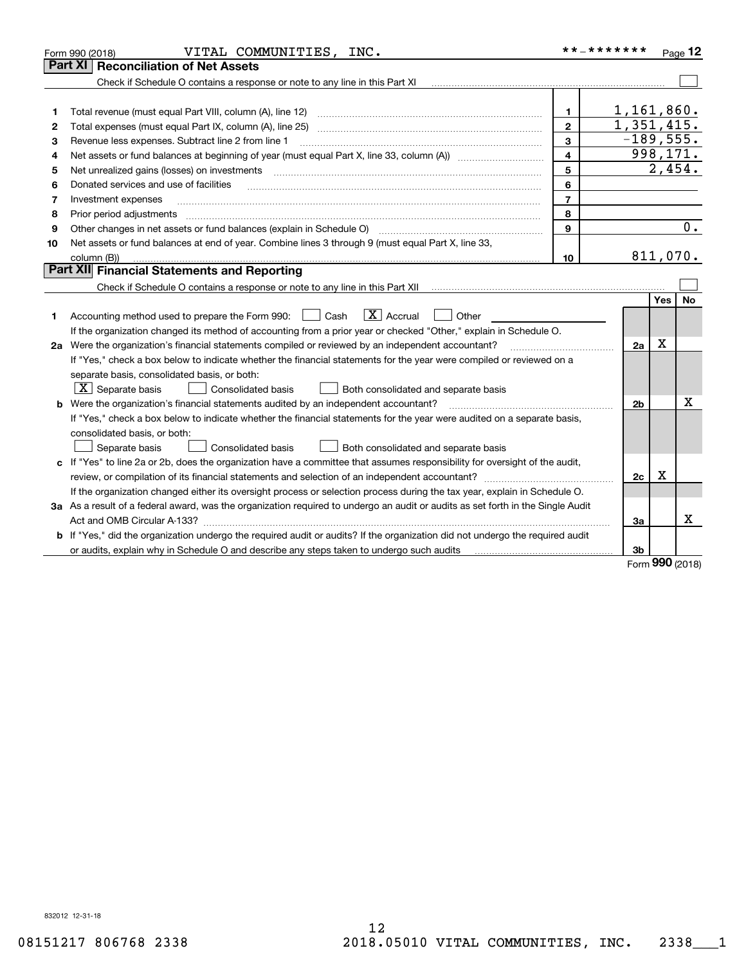| <b>Part XI   Reconciliation of Net Assets</b>                                                                                                                                          |           |
|----------------------------------------------------------------------------------------------------------------------------------------------------------------------------------------|-----------|
| Check if Schedule O contains a response or note to any line in this Part XI                                                                                                            |           |
|                                                                                                                                                                                        |           |
| 1,161,860.<br>Total revenue (must equal Part VIII, column (A), line 12)<br>$\mathbf{1}$<br>1                                                                                           |           |
| $\overline{1,351,415}$ .<br>$\mathbf{2}$<br>2                                                                                                                                          |           |
| $-189,555.$<br>3<br>Revenue less expenses. Subtract line 2 from line 1<br>З                                                                                                            |           |
| 998,171.<br>$\overline{\mathbf{4}}$<br>4                                                                                                                                               |           |
| 5<br>Net unrealized gains (losses) on investments<br>5                                                                                                                                 | 2,454.    |
| 6<br>Donated services and use of facilities<br>6                                                                                                                                       |           |
| $\overline{7}$<br>7<br>Investment expenses                                                                                                                                             |           |
| 8<br>8<br>Prior period adjustments                                                                                                                                                     |           |
| 9<br>Other changes in net assets or fund balances (explain in Schedule O) [11] [12] contraction contraction of the changes in net assets or fund balances (explain in Schedule O)<br>9 | 0.        |
| Net assets or fund balances at end of year. Combine lines 3 through 9 (must equal Part X, line 33,<br>10                                                                               |           |
| column (B))<br>10                                                                                                                                                                      | 811,070.  |
| Part XII Financial Statements and Reporting                                                                                                                                            |           |
|                                                                                                                                                                                        |           |
| Yes                                                                                                                                                                                    | <b>No</b> |
| $\boxed{\mathbf{X}}$ Accrual<br>Accounting method used to prepare the Form 990: <u>[16</u> ] Cash<br>Other<br>1                                                                        |           |
| If the organization changed its method of accounting from a prior year or checked "Other," explain in Schedule O.                                                                      |           |
| Χ<br>2a Were the organization's financial statements compiled or reviewed by an independent accountant?<br>2a                                                                          |           |
| If "Yes," check a box below to indicate whether the financial statements for the year were compiled or reviewed on a                                                                   |           |
| separate basis, consolidated basis, or both:                                                                                                                                           |           |
| $X$ Separate basis<br><b>Consolidated basis</b><br>Both consolidated and separate basis                                                                                                |           |
| Were the organization's financial statements audited by an independent accountant?<br>2 <sub>b</sub>                                                                                   | x         |
| If "Yes," check a box below to indicate whether the financial statements for the year were audited on a separate basis,                                                                |           |
| consolidated basis, or both:                                                                                                                                                           |           |
| Consolidated basis<br>Both consolidated and separate basis<br>Separate basis                                                                                                           |           |
| c If "Yes" to line 2a or 2b, does the organization have a committee that assumes responsibility for oversight of the audit,                                                            |           |
| х<br>2 <sub>c</sub>                                                                                                                                                                    |           |
| If the organization changed either its oversight process or selection process during the tax year, explain in Schedule O.                                                              |           |
| 3a As a result of a federal award, was the organization required to undergo an audit or audits as set forth in the Single Audit                                                        |           |
| 3a                                                                                                                                                                                     | x         |
| b If "Yes," did the organization undergo the required audit or audits? If the organization did not undergo the required audit                                                          |           |
| 3b<br>or audits, explain why in Schedule O and describe any steps taken to undergo such audits                                                                                         | $\Omega$  |

Form (2018) **990**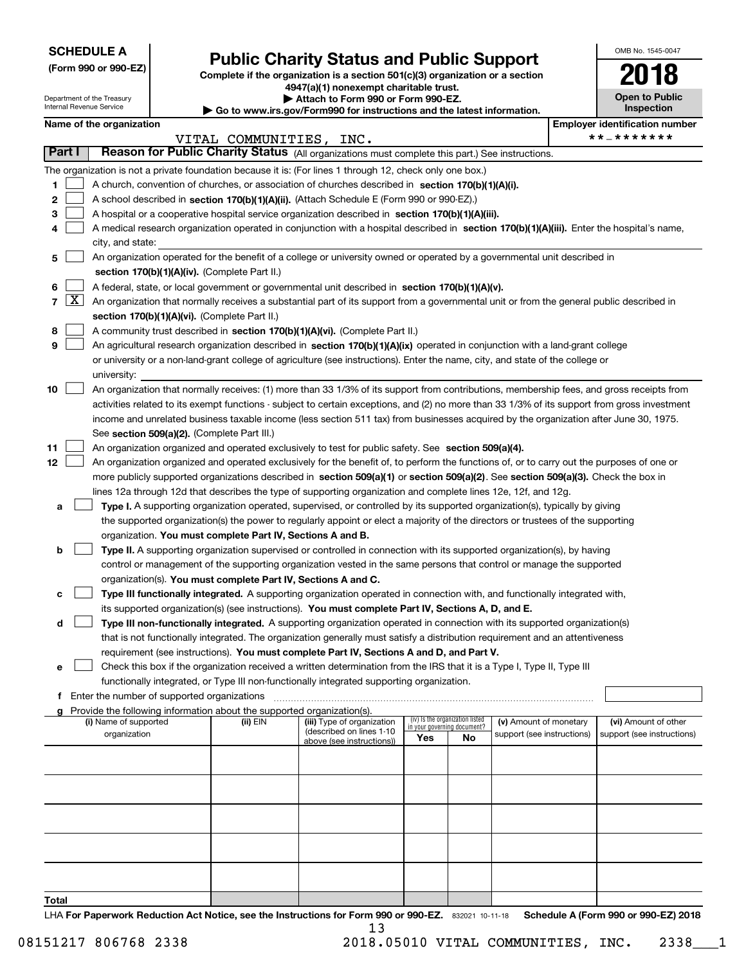Department of the Treasury Internal Revenue Service

## **(Form 990 or 990-EZ) Complete if the organization is a section 501(c)(3) organization or a section Public Charity Status and Public Support**

**4947(a)(1) nonexempt charitable trust. | Attach to Form 990 or Form 990-EZ.**   $\blacktriangleright$  Go to

| www.irs.gov/Form990 for instructions and the latest information. |  |  |
|------------------------------------------------------------------|--|--|
|                                                                  |  |  |

| OMB No. 1545-0047                   |
|-------------------------------------|
| 2018                                |
| <b>Open to Public</b><br>Inspection |

| Name of the organization |  |  |
|--------------------------|--|--|
|--------------------------|--|--|

|                |                     | Name of the organization                                                                                                                      |                         |                            |                                    |                                 |                            |  | <b>Employer identification number</b> |  |
|----------------|---------------------|-----------------------------------------------------------------------------------------------------------------------------------------------|-------------------------|----------------------------|------------------------------------|---------------------------------|----------------------------|--|---------------------------------------|--|
|                |                     |                                                                                                                                               | VITAL COMMUNITIES, INC. |                            |                                    |                                 |                            |  | **_*******                            |  |
| Part I         |                     | Reason for Public Charity Status (All organizations must complete this part.) See instructions.                                               |                         |                            |                                    |                                 |                            |  |                                       |  |
|                |                     | The organization is not a private foundation because it is: (For lines 1 through 12, check only one box.)                                     |                         |                            |                                    |                                 |                            |  |                                       |  |
| 1              |                     | A church, convention of churches, or association of churches described in section 170(b)(1)(A)(i).                                            |                         |                            |                                    |                                 |                            |  |                                       |  |
| 2              |                     | A school described in section 170(b)(1)(A)(ii). (Attach Schedule E (Form 990 or 990-EZ).)                                                     |                         |                            |                                    |                                 |                            |  |                                       |  |
| 3              |                     | A hospital or a cooperative hospital service organization described in section 170(b)(1)(A)(iii).                                             |                         |                            |                                    |                                 |                            |  |                                       |  |
|                |                     | A medical research organization operated in conjunction with a hospital described in section 170(b)(1)(A)(iii). Enter the hospital's name,    |                         |                            |                                    |                                 |                            |  |                                       |  |
|                |                     | city, and state:                                                                                                                              |                         |                            |                                    |                                 |                            |  |                                       |  |
| 5              |                     | An organization operated for the benefit of a college or university owned or operated by a governmental unit described in                     |                         |                            |                                    |                                 |                            |  |                                       |  |
|                |                     | section 170(b)(1)(A)(iv). (Complete Part II.)                                                                                                 |                         |                            |                                    |                                 |                            |  |                                       |  |
|                |                     | A federal, state, or local government or governmental unit described in section 170(b)(1)(A)(v).                                              |                         |                            |                                    |                                 |                            |  |                                       |  |
| $\overline{7}$ | $\lfloor x \rfloor$ | An organization that normally receives a substantial part of its support from a governmental unit or from the general public described in     |                         |                            |                                    |                                 |                            |  |                                       |  |
|                |                     | section 170(b)(1)(A)(vi). (Complete Part II.)                                                                                                 |                         |                            |                                    |                                 |                            |  |                                       |  |
| 8              |                     | A community trust described in section 170(b)(1)(A)(vi). (Complete Part II.)                                                                  |                         |                            |                                    |                                 |                            |  |                                       |  |
| 9              |                     | An agricultural research organization described in section 170(b)(1)(A)(ix) operated in conjunction with a land-grant college                 |                         |                            |                                    |                                 |                            |  |                                       |  |
|                |                     | or university or a non-land-grant college of agriculture (see instructions). Enter the name, city, and state of the college or                |                         |                            |                                    |                                 |                            |  |                                       |  |
|                |                     | university:                                                                                                                                   |                         |                            |                                    |                                 |                            |  |                                       |  |
| 10             |                     | An organization that normally receives: (1) more than 33 1/3% of its support from contributions, membership fees, and gross receipts from     |                         |                            |                                    |                                 |                            |  |                                       |  |
|                |                     | activities related to its exempt functions - subject to certain exceptions, and (2) no more than 33 1/3% of its support from gross investment |                         |                            |                                    |                                 |                            |  |                                       |  |
|                |                     | income and unrelated business taxable income (less section 511 tax) from businesses acquired by the organization after June 30, 1975.         |                         |                            |                                    |                                 |                            |  |                                       |  |
|                |                     | See section 509(a)(2). (Complete Part III.)                                                                                                   |                         |                            |                                    |                                 |                            |  |                                       |  |
| 11             |                     | An organization organized and operated exclusively to test for public safety. See section 509(a)(4).                                          |                         |                            |                                    |                                 |                            |  |                                       |  |
| 12             |                     | An organization organized and operated exclusively for the benefit of, to perform the functions of, or to carry out the purposes of one or    |                         |                            |                                    |                                 |                            |  |                                       |  |
|                |                     | more publicly supported organizations described in section 509(a)(1) or section 509(a)(2). See section 509(a)(3). Check the box in            |                         |                            |                                    |                                 |                            |  |                                       |  |
|                |                     | lines 12a through 12d that describes the type of supporting organization and complete lines 12e, 12f, and 12g.                                |                         |                            |                                    |                                 |                            |  |                                       |  |
| а              |                     | Type I. A supporting organization operated, supervised, or controlled by its supported organization(s), typically by giving                   |                         |                            |                                    |                                 |                            |  |                                       |  |
|                |                     | the supported organization(s) the power to regularly appoint or elect a majority of the directors or trustees of the supporting               |                         |                            |                                    |                                 |                            |  |                                       |  |
|                |                     | organization. You must complete Part IV, Sections A and B.                                                                                    |                         |                            |                                    |                                 |                            |  |                                       |  |
| b              |                     | Type II. A supporting organization supervised or controlled in connection with its supported organization(s), by having                       |                         |                            |                                    |                                 |                            |  |                                       |  |
|                |                     | control or management of the supporting organization vested in the same persons that control or manage the supported                          |                         |                            |                                    |                                 |                            |  |                                       |  |
|                |                     | organization(s). You must complete Part IV, Sections A and C.                                                                                 |                         |                            |                                    |                                 |                            |  |                                       |  |
| с              |                     | Type III functionally integrated. A supporting organization operated in connection with, and functionally integrated with,                    |                         |                            |                                    |                                 |                            |  |                                       |  |
|                |                     | its supported organization(s) (see instructions). You must complete Part IV, Sections A, D, and E.                                            |                         |                            |                                    |                                 |                            |  |                                       |  |
| d              |                     | Type III non-functionally integrated. A supporting organization operated in connection with its supported organization(s)                     |                         |                            |                                    |                                 |                            |  |                                       |  |
|                |                     | that is not functionally integrated. The organization generally must satisfy a distribution requirement and an attentiveness                  |                         |                            |                                    |                                 |                            |  |                                       |  |
|                |                     | requirement (see instructions). You must complete Part IV, Sections A and D, and Part V.                                                      |                         |                            |                                    |                                 |                            |  |                                       |  |
| е              |                     | Check this box if the organization received a written determination from the IRS that it is a Type I, Type II, Type III                       |                         |                            |                                    |                                 |                            |  |                                       |  |
|                |                     | functionally integrated, or Type III non-functionally integrated supporting organization.                                                     |                         |                            |                                    |                                 |                            |  |                                       |  |
| f              |                     | Enter the number of supported organizations                                                                                                   |                         |                            |                                    |                                 |                            |  |                                       |  |
|                |                     | g Provide the following information about the supported organization(s).<br>(i) Name of supported                                             | (ii) EIN                | (iii) Type of organization |                                    | (iv) Is the organization listed | (v) Amount of monetary     |  | (vi) Amount of other                  |  |
|                |                     | organization                                                                                                                                  |                         | (described on lines 1-10   | in your governing document?<br>Yes | No                              | support (see instructions) |  | support (see instructions)            |  |
|                |                     |                                                                                                                                               |                         | above (see instructions))  |                                    |                                 |                            |  |                                       |  |
|                |                     |                                                                                                                                               |                         |                            |                                    |                                 |                            |  |                                       |  |
|                |                     |                                                                                                                                               |                         |                            |                                    |                                 |                            |  |                                       |  |
|                |                     |                                                                                                                                               |                         |                            |                                    |                                 |                            |  |                                       |  |
|                |                     |                                                                                                                                               |                         |                            |                                    |                                 |                            |  |                                       |  |
|                |                     |                                                                                                                                               |                         |                            |                                    |                                 |                            |  |                                       |  |
|                |                     |                                                                                                                                               |                         |                            |                                    |                                 |                            |  |                                       |  |
|                |                     |                                                                                                                                               |                         |                            |                                    |                                 |                            |  |                                       |  |
| Total          |                     |                                                                                                                                               |                         |                            |                                    |                                 |                            |  |                                       |  |

LHA For Paperwork Reduction Act Notice, see the Instructions for Form 990 or 990-EZ. 832021 10-11-18 Schedule A (Form 990 or 990-EZ) 2018 13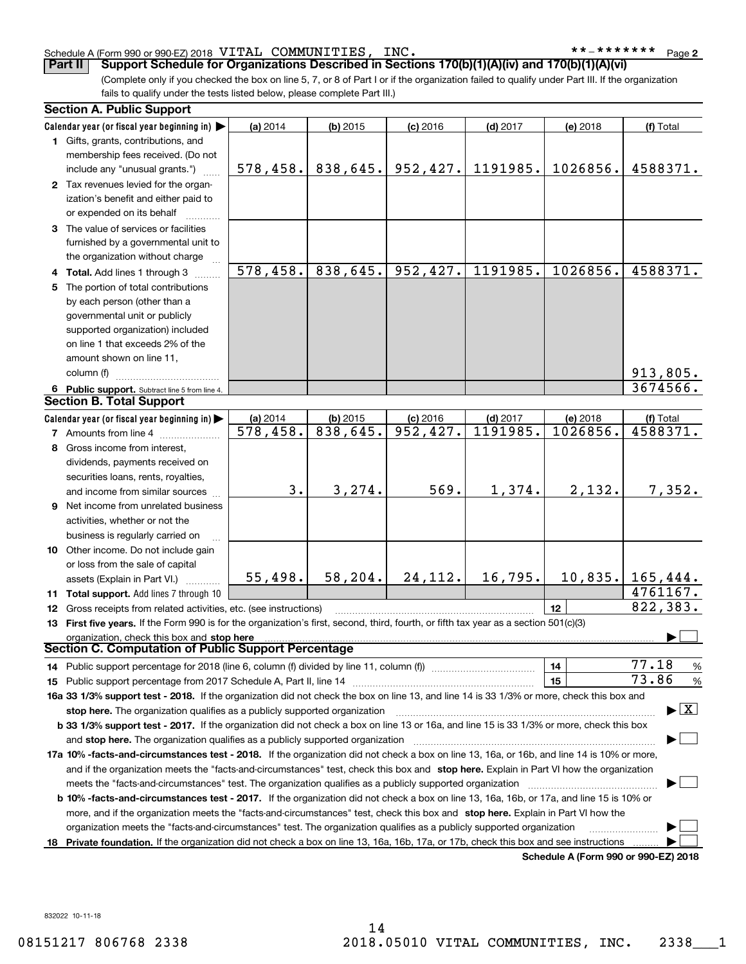### Schedule A (Form 990 or 990-EZ) 2018 Page VITAL COMMUNITIES, INC. \*\*-\*\*\*\*\*\*\*

(Complete only if you checked the box on line 5, 7, or 8 of Part I or if the organization failed to qualify under Part III. If the organization fails to qualify under the tests listed below, please complete Part III.) **Part II** Support Schedule for Organizations Described in Sections 170(b)(1)(A)(iv) and 170(b)(1)(A)(vi)

| Calendar year (or fiscal year beginning in)<br>(a) 2014<br>(b) 2015<br>$(c)$ 2016<br>$(d)$ 2017<br>(e) 2018<br>1 Gifts, grants, contributions, and<br>membership fees received. (Do not<br>838,645.<br>952, 427.<br>1191985.<br>1026856.<br>578,458.<br>include any "unusual grants.")<br>2 Tax revenues levied for the organ-<br>ization's benefit and either paid to | (f) Total<br>4588371.           |
|------------------------------------------------------------------------------------------------------------------------------------------------------------------------------------------------------------------------------------------------------------------------------------------------------------------------------------------------------------------------|---------------------------------|
|                                                                                                                                                                                                                                                                                                                                                                        |                                 |
|                                                                                                                                                                                                                                                                                                                                                                        |                                 |
|                                                                                                                                                                                                                                                                                                                                                                        |                                 |
|                                                                                                                                                                                                                                                                                                                                                                        |                                 |
|                                                                                                                                                                                                                                                                                                                                                                        |                                 |
|                                                                                                                                                                                                                                                                                                                                                                        |                                 |
| or expended on its behalf                                                                                                                                                                                                                                                                                                                                              |                                 |
| 3 The value of services or facilities                                                                                                                                                                                                                                                                                                                                  |                                 |
| furnished by a governmental unit to                                                                                                                                                                                                                                                                                                                                    |                                 |
| the organization without charge                                                                                                                                                                                                                                                                                                                                        |                                 |
| 838,645.<br>952, 427.<br>1191985.<br>1026856.<br>578,458.                                                                                                                                                                                                                                                                                                              | 4588371.                        |
| 4 Total. Add lines 1 through 3                                                                                                                                                                                                                                                                                                                                         |                                 |
| The portion of total contributions<br>5.                                                                                                                                                                                                                                                                                                                               |                                 |
| by each person (other than a                                                                                                                                                                                                                                                                                                                                           |                                 |
| governmental unit or publicly                                                                                                                                                                                                                                                                                                                                          |                                 |
| supported organization) included                                                                                                                                                                                                                                                                                                                                       |                                 |
| on line 1 that exceeds 2% of the                                                                                                                                                                                                                                                                                                                                       |                                 |
| amount shown on line 11,                                                                                                                                                                                                                                                                                                                                               |                                 |
| column (f)                                                                                                                                                                                                                                                                                                                                                             | 913,805.                        |
| 6 Public support. Subtract line 5 from line 4.                                                                                                                                                                                                                                                                                                                         | 3674566.                        |
| <b>Section B. Total Support</b>                                                                                                                                                                                                                                                                                                                                        |                                 |
| Calendar year (or fiscal year beginning in)<br>(a) 2014<br>$(b)$ 2015<br>$(c)$ 2016<br>$(d)$ 2017<br>(e) 2018                                                                                                                                                                                                                                                          | (f) Total                       |
| $\overline{838,645}$ .<br>952, 427.<br>1191985.<br>578,458.<br>1026856.<br><b>7</b> Amounts from line 4                                                                                                                                                                                                                                                                | 4588371.                        |
| Gross income from interest,<br>8.                                                                                                                                                                                                                                                                                                                                      |                                 |
| dividends, payments received on                                                                                                                                                                                                                                                                                                                                        |                                 |
| securities loans, rents, royalties,                                                                                                                                                                                                                                                                                                                                    |                                 |
| 3.<br>3, 274.<br>569.<br>1,374.<br>2,132.<br>and income from similar sources                                                                                                                                                                                                                                                                                           | 7,352.                          |
| <b>9</b> Net income from unrelated business                                                                                                                                                                                                                                                                                                                            |                                 |
| activities, whether or not the                                                                                                                                                                                                                                                                                                                                         |                                 |
| business is regularly carried on                                                                                                                                                                                                                                                                                                                                       |                                 |
| 10 Other income. Do not include gain                                                                                                                                                                                                                                                                                                                                   |                                 |
| or loss from the sale of capital                                                                                                                                                                                                                                                                                                                                       |                                 |
| 16,795.<br>10,835.<br>58,204.<br>24, 112.<br>55,498.<br>assets (Explain in Part VI.)                                                                                                                                                                                                                                                                                   | 165, 444.                       |
| 11 Total support. Add lines 7 through 10                                                                                                                                                                                                                                                                                                                               | 4761167.                        |
| 12<br>12 Gross receipts from related activities, etc. (see instructions)                                                                                                                                                                                                                                                                                               | 822, 383.                       |
| 13 First five years. If the Form 990 is for the organization's first, second, third, fourth, or fifth tax year as a section 501(c)(3)                                                                                                                                                                                                                                  |                                 |
| organization, check this box and stop here                                                                                                                                                                                                                                                                                                                             |                                 |
| Section C. Computation of Public Support Percentage                                                                                                                                                                                                                                                                                                                    |                                 |
| 14<br>14 Public support percentage for 2018 (line 6, column (f) divided by line 11, column (f) <i>manumeronominimi</i> ng                                                                                                                                                                                                                                              | 77.18<br>$\frac{9}{6}$          |
| 15                                                                                                                                                                                                                                                                                                                                                                     | 73.86<br>$\%$                   |
| <b>15</b> Public support percentage from 2017 Schedule A, Part II, line 14<br>16a 33 1/3% support test - 2018. If the organization did not check the box on line 13, and line 14 is 33 1/3% or more, check this box and                                                                                                                                                |                                 |
|                                                                                                                                                                                                                                                                                                                                                                        | $\blacktriangleright$ $\vert$ X |
| stop here. The organization qualifies as a publicly supported organization                                                                                                                                                                                                                                                                                             |                                 |
| b 33 1/3% support test - 2017. If the organization did not check a box on line 13 or 16a, and line 15 is 33 1/3% or more, check this box                                                                                                                                                                                                                               |                                 |
| and stop here. The organization qualifies as a publicly supported organization                                                                                                                                                                                                                                                                                         |                                 |
| 17a 10% -facts-and-circumstances test - 2018. If the organization did not check a box on line 13, 16a, or 16b, and line 14 is 10% or more,                                                                                                                                                                                                                             |                                 |
| and if the organization meets the "facts-and-circumstances" test, check this box and stop here. Explain in Part VI how the organization                                                                                                                                                                                                                                |                                 |
| meets the "facts-and-circumstances" test. The organization qualifies as a publicly supported organization                                                                                                                                                                                                                                                              |                                 |
| <b>b 10% -facts-and-circumstances test - 2017.</b> If the organization did not check a box on line 13, 16a, 16b, or 17a, and line 15 is 10% or                                                                                                                                                                                                                         |                                 |
| more, and if the organization meets the "facts-and-circumstances" test, check this box and stop here. Explain in Part VI how the                                                                                                                                                                                                                                       |                                 |
| organization meets the "facts-and-circumstances" test. The organization qualifies as a publicly supported organization                                                                                                                                                                                                                                                 |                                 |
| Private foundation. If the organization did not check a box on line 13, 16a, 16b, 17a, or 17b, check this box and see instructions<br>18                                                                                                                                                                                                                               |                                 |

**Schedule A (Form 990 or 990-EZ) 2018**

832022 10-11-18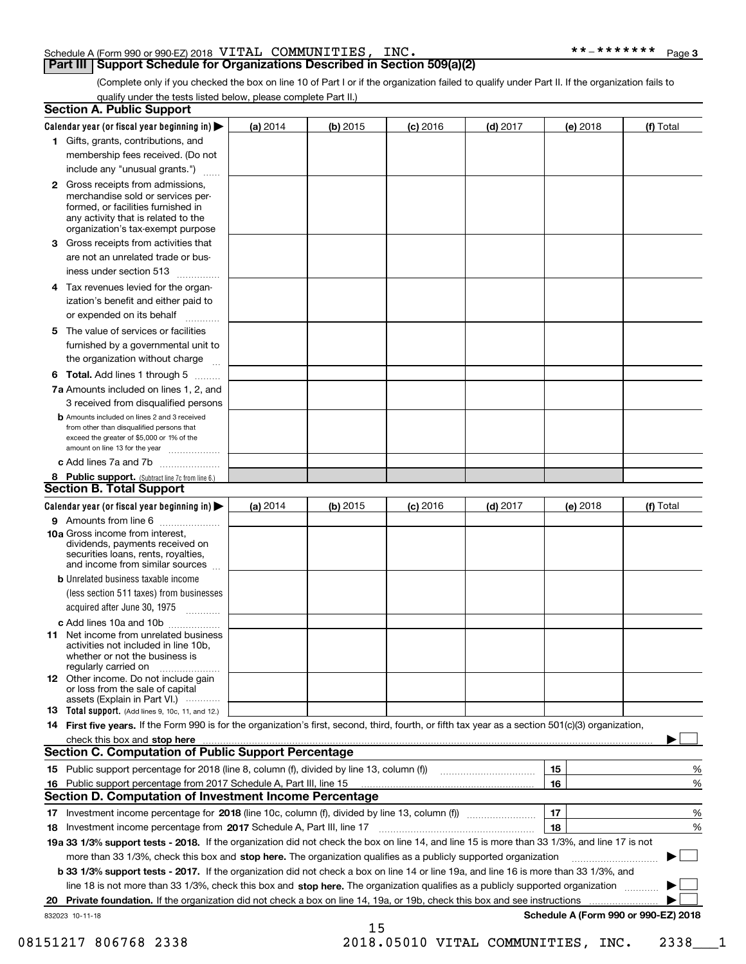### Schedule A (Form 990 or 990-EZ) 2018 Page VITAL COMMUNITIES, INC. \*\*-\*\*\*\*\*\*\*

**Part III | Support Schedule for Organizations Described in Section 509(a)(2)** 

**3**

(Complete only if you checked the box on line 10 of Part I or if the organization failed to qualify under Part II. If the organization fails to qualify under the tests listed below, please complete Part II.)

|    | <b>Section A. Public Support</b>                                                                                                                                                                |          |          |                 |            |          |                                      |
|----|-------------------------------------------------------------------------------------------------------------------------------------------------------------------------------------------------|----------|----------|-----------------|------------|----------|--------------------------------------|
|    | Calendar year (or fiscal year beginning in) $\blacktriangleright$                                                                                                                               | (a) 2014 | (b) 2015 | <b>(c)</b> 2016 | $(d)$ 2017 | (e) 2018 | (f) Total                            |
|    | 1 Gifts, grants, contributions, and                                                                                                                                                             |          |          |                 |            |          |                                      |
|    | membership fees received. (Do not                                                                                                                                                               |          |          |                 |            |          |                                      |
|    | include any "unusual grants.")                                                                                                                                                                  |          |          |                 |            |          |                                      |
|    | <b>2</b> Gross receipts from admissions,<br>merchandise sold or services per-<br>formed, or facilities furnished in<br>any activity that is related to the<br>organization's tax-exempt purpose |          |          |                 |            |          |                                      |
| 3. | Gross receipts from activities that                                                                                                                                                             |          |          |                 |            |          |                                      |
|    | are not an unrelated trade or bus-                                                                                                                                                              |          |          |                 |            |          |                                      |
|    | iness under section 513                                                                                                                                                                         |          |          |                 |            |          |                                      |
| 4  | Tax revenues levied for the organ-<br>ization's benefit and either paid to                                                                                                                      |          |          |                 |            |          |                                      |
|    | or expended on its behalf                                                                                                                                                                       |          |          |                 |            |          |                                      |
| 5. | The value of services or facilities                                                                                                                                                             |          |          |                 |            |          |                                      |
|    | furnished by a governmental unit to                                                                                                                                                             |          |          |                 |            |          |                                      |
|    | the organization without charge                                                                                                                                                                 |          |          |                 |            |          |                                      |
|    |                                                                                                                                                                                                 |          |          |                 |            |          |                                      |
|    | <b>6 Total.</b> Add lines 1 through 5 $\dots$                                                                                                                                                   |          |          |                 |            |          |                                      |
|    | 7a Amounts included on lines 1, 2, and<br>3 received from disqualified persons                                                                                                                  |          |          |                 |            |          |                                      |
|    | <b>b</b> Amounts included on lines 2 and 3 received<br>from other than disqualified persons that<br>exceed the greater of \$5,000 or 1% of the<br>amount on line 13 for the year                |          |          |                 |            |          |                                      |
|    | c Add lines 7a and 7b                                                                                                                                                                           |          |          |                 |            |          |                                      |
|    | 8 Public support. (Subtract line 7c from line 6.)                                                                                                                                               |          |          |                 |            |          |                                      |
|    | <b>Section B. Total Support</b>                                                                                                                                                                 |          |          |                 |            |          |                                      |
|    | Calendar year (or fiscal year beginning in) $\blacktriangleright$                                                                                                                               | (a) 2014 | (b) 2015 | <b>(c)</b> 2016 | $(d)$ 2017 | (e) 2018 | (f) Total                            |
|    | 9 Amounts from line 6                                                                                                                                                                           |          |          |                 |            |          |                                      |
|    | 10a Gross income from interest,<br>dividends, payments received on<br>securities loans, rents, royalties,<br>and income from similar sources                                                    |          |          |                 |            |          |                                      |
|    | <b>b</b> Unrelated business taxable income<br>(less section 511 taxes) from businesses<br>acquired after June 30, 1975                                                                          |          |          |                 |            |          |                                      |
|    | c Add lines 10a and 10b                                                                                                                                                                         |          |          |                 |            |          |                                      |
|    | <b>11</b> Net income from unrelated business<br>activities not included in line 10b.<br>whether or not the business is<br>regularly carried on                                                  |          |          |                 |            |          |                                      |
|    | 12 Other income. Do not include gain<br>or loss from the sale of capital<br>assets (Explain in Part VI.)                                                                                        |          |          |                 |            |          |                                      |
|    | <b>13 Total support.</b> (Add lines 9, 10c, 11, and 12.)                                                                                                                                        |          |          |                 |            |          |                                      |
|    | 14 First five years. If the Form 990 is for the organization's first, second, third, fourth, or fifth tax year as a section 501(c)(3) organization,                                             |          |          |                 |            |          |                                      |
|    |                                                                                                                                                                                                 |          |          |                 |            |          |                                      |
|    | <b>Section C. Computation of Public Support Percentage</b>                                                                                                                                      |          |          |                 |            |          |                                      |
|    | 15 Public support percentage for 2018 (line 8, column (f), divided by line 13, column (f))                                                                                                      |          |          |                 |            | 15       | %                                    |
|    | 16 Public support percentage from 2017 Schedule A, Part III, line 15                                                                                                                            |          |          |                 |            | 16       | %                                    |
|    | Section D. Computation of Investment Income Percentage                                                                                                                                          |          |          |                 |            |          |                                      |
|    |                                                                                                                                                                                                 |          |          |                 |            | 17       | %                                    |
|    | 18 Investment income percentage from 2017 Schedule A, Part III, line 17                                                                                                                         |          |          |                 |            | 18       | %                                    |
|    | 19a 33 1/3% support tests - 2018. If the organization did not check the box on line 14, and line 15 is more than 33 1/3%, and line 17 is not                                                    |          |          |                 |            |          |                                      |
|    | more than 33 1/3%, check this box and stop here. The organization qualifies as a publicly supported organization                                                                                |          |          |                 |            |          |                                      |
|    | b 33 1/3% support tests - 2017. If the organization did not check a box on line 14 or line 19a, and line 16 is more than 33 1/3%, and                                                           |          |          |                 |            |          |                                      |
|    | line 18 is not more than 33 1/3%, check this box and stop here. The organization qualifies as a publicly supported organization                                                                 |          |          |                 |            |          |                                      |
| 20 | Private foundation. If the organization did not check a box on line 14, 19a, or 19b, check this box and see instructions                                                                        |          |          |                 |            |          | .                                    |
|    | 832023 10-11-18                                                                                                                                                                                 |          |          |                 |            |          | Schedule A (Form 990 or 990-EZ) 2018 |
|    |                                                                                                                                                                                                 |          | 15       |                 |            |          |                                      |

08151217 806768 2338 2018.05010 VITAL COMMUNITIES, INC. 2338 1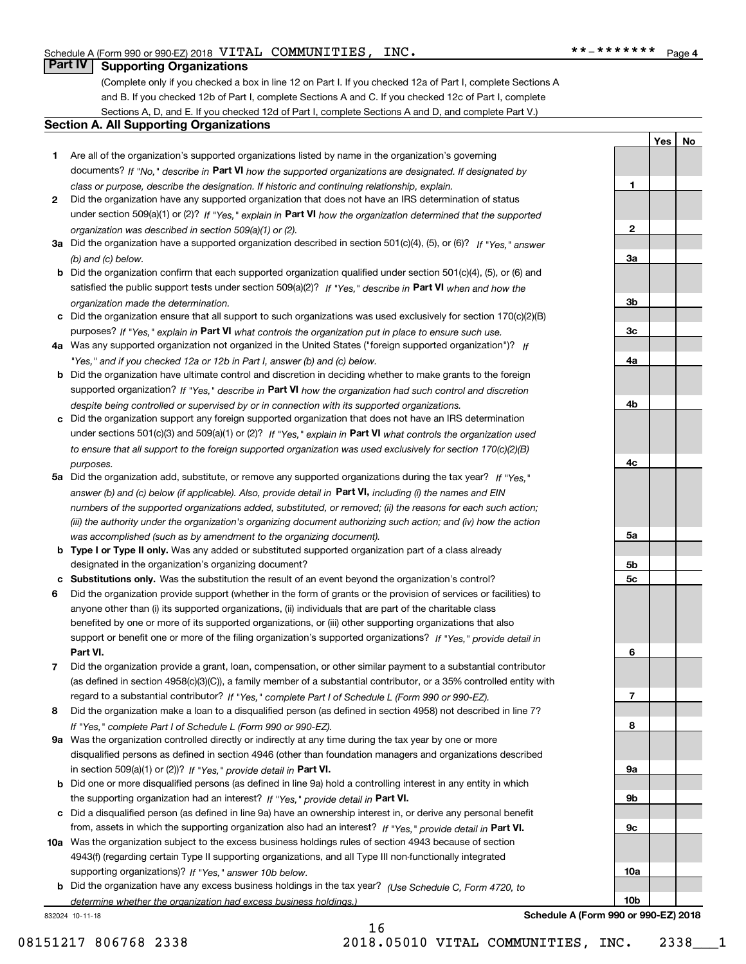**1**

**2**

**3a**

**3b**

**3c**

**4a**

**4b**

**4c**

**5a**

**5b 5c**

**6**

**7**

**8**

**9a**

**9b**

**9c**

**10a**

**10b**

Yes | No

### **Part IV Supporting Organizations**

(Complete only if you checked a box in line 12 on Part I. If you checked 12a of Part I, complete Sections A and B. If you checked 12b of Part I, complete Sections A and C. If you checked 12c of Part I, complete Sections A, D, and E. If you checked 12d of Part I, complete Sections A and D, and complete Part V.)

### **Section A. All Supporting Organizations**

- **1** Are all of the organization's supported organizations listed by name in the organization's governing documents? If "No," describe in Part VI how the supported organizations are designated. If designated by *class or purpose, describe the designation. If historic and continuing relationship, explain.*
- **2** Did the organization have any supported organization that does not have an IRS determination of status under section 509(a)(1) or (2)? If "Yes," explain in Part VI how the organization determined that the supported *organization was described in section 509(a)(1) or (2).*
- **3a** Did the organization have a supported organization described in section 501(c)(4), (5), or (6)? If "Yes," answer *(b) and (c) below.*
- **b** Did the organization confirm that each supported organization qualified under section 501(c)(4), (5), or (6) and satisfied the public support tests under section 509(a)(2)? If "Yes," describe in Part VI when and how the *organization made the determination.*
- **c** Did the organization ensure that all support to such organizations was used exclusively for section 170(c)(2)(B) purposes? If "Yes," explain in Part VI what controls the organization put in place to ensure such use.
- **4 a** *If* Was any supported organization not organized in the United States ("foreign supported organization")? *"Yes," and if you checked 12a or 12b in Part I, answer (b) and (c) below.*
- **b** Did the organization have ultimate control and discretion in deciding whether to make grants to the foreign supported organization? If "Yes," describe in Part VI how the organization had such control and discretion *despite being controlled or supervised by or in connection with its supported organizations.*
- **c** Did the organization support any foreign supported organization that does not have an IRS determination under sections 501(c)(3) and 509(a)(1) or (2)? If "Yes," explain in Part VI what controls the organization used *to ensure that all support to the foreign supported organization was used exclusively for section 170(c)(2)(B) purposes.*
- **5a** Did the organization add, substitute, or remove any supported organizations during the tax year? If "Yes," answer (b) and (c) below (if applicable). Also, provide detail in **Part VI,** including (i) the names and EIN *numbers of the supported organizations added, substituted, or removed; (ii) the reasons for each such action; (iii) the authority under the organization's organizing document authorizing such action; and (iv) how the action was accomplished (such as by amendment to the organizing document).*
- **b Type I or Type II only.** Was any added or substituted supported organization part of a class already designated in the organization's organizing document?
- **c Substitutions only.**  Was the substitution the result of an event beyond the organization's control?
- **6** Did the organization provide support (whether in the form of grants or the provision of services or facilities) to **Part VI.** *If "Yes," provide detail in* support or benefit one or more of the filing organization's supported organizations? anyone other than (i) its supported organizations, (ii) individuals that are part of the charitable class benefited by one or more of its supported organizations, or (iii) other supporting organizations that also
- **7** Did the organization provide a grant, loan, compensation, or other similar payment to a substantial contributor regard to a substantial contributor? If "Yes," complete Part I of Schedule L (Form 990 or 990-EZ). (as defined in section 4958(c)(3)(C)), a family member of a substantial contributor, or a 35% controlled entity with
- **8** Did the organization make a loan to a disqualified person (as defined in section 4958) not described in line 7? *If "Yes," complete Part I of Schedule L (Form 990 or 990-EZ).*
- **9 a** Was the organization controlled directly or indirectly at any time during the tax year by one or more in section 509(a)(1) or (2))? If "Yes," provide detail in Part VI. disqualified persons as defined in section 4946 (other than foundation managers and organizations described
- **b** Did one or more disqualified persons (as defined in line 9a) hold a controlling interest in any entity in which the supporting organization had an interest? If "Yes," provide detail in Part VI.
- **c** Did a disqualified person (as defined in line 9a) have an ownership interest in, or derive any personal benefit from, assets in which the supporting organization also had an interest? If "Yes," provide detail in Part VI.
- **10 a** Was the organization subject to the excess business holdings rules of section 4943 because of section supporting organizations)? If "Yes," answer 10b below. 4943(f) (regarding certain Type II supporting organizations, and all Type III non-functionally integrated
- **b** Did the organization have any excess business holdings in the tax year? (Use Schedule C, Form 4720, to *determine whether the organization had excess business holdings.)*

16

832024 10-11-18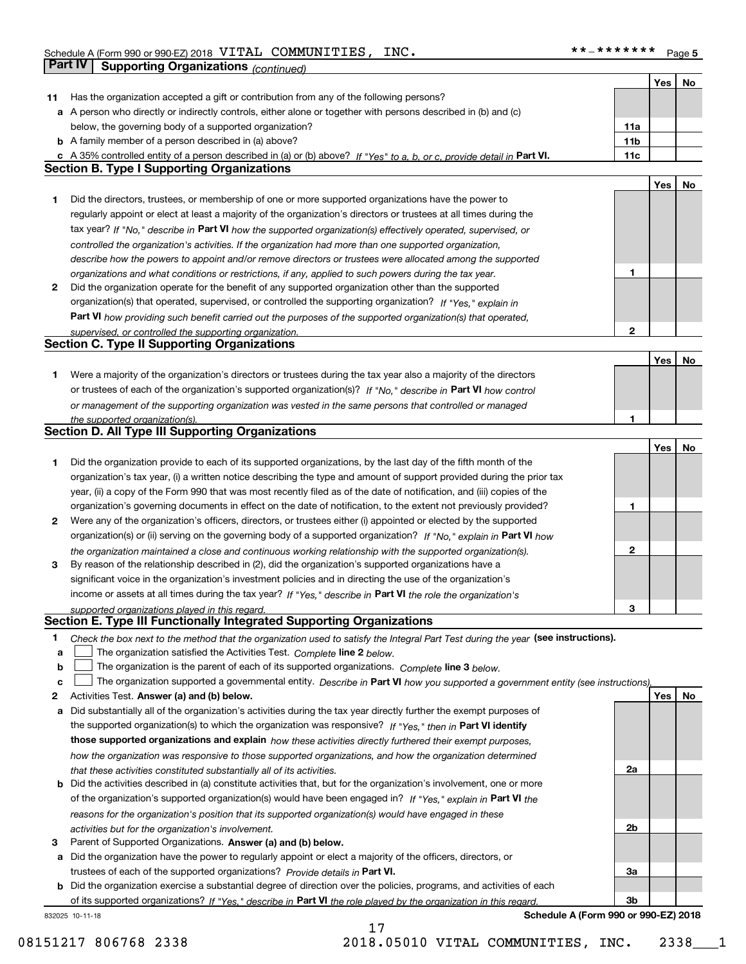|    |                                                                                                                                   |              | Yes              | No |
|----|-----------------------------------------------------------------------------------------------------------------------------------|--------------|------------------|----|
| 11 | Has the organization accepted a gift or contribution from any of the following persons?                                           |              |                  |    |
|    | a A person who directly or indirectly controls, either alone or together with persons described in (b) and (c)                    |              |                  |    |
|    | below, the governing body of a supported organization?                                                                            | 11a          |                  |    |
|    | <b>b</b> A family member of a person described in (a) above?                                                                      | 11b          |                  |    |
|    | c A 35% controlled entity of a person described in (a) or (b) above? If "Yes" to a, b, or c, provide detail in Part VI.           | 11c          |                  |    |
|    | <b>Section B. Type I Supporting Organizations</b>                                                                                 |              |                  |    |
|    |                                                                                                                                   |              | Yes              | No |
| 1  | Did the directors, trustees, or membership of one or more supported organizations have the power to                               |              |                  |    |
|    | regularly appoint or elect at least a majority of the organization's directors or trustees at all times during the                |              |                  |    |
|    | tax year? If "No," describe in Part VI how the supported organization(s) effectively operated, supervised, or                     |              |                  |    |
|    | controlled the organization's activities. If the organization had more than one supported organization,                           |              |                  |    |
|    | describe how the powers to appoint and/or remove directors or trustees were allocated among the supported                         |              |                  |    |
|    | organizations and what conditions or restrictions, if any, applied to such powers during the tax year.                            | 1            |                  |    |
| 2  | Did the organization operate for the benefit of any supported organization other than the supported                               |              |                  |    |
|    |                                                                                                                                   |              |                  |    |
|    | organization(s) that operated, supervised, or controlled the supporting organization? If "Yes," explain in                        |              |                  |    |
|    | Part VI how providing such benefit carried out the purposes of the supported organization(s) that operated,                       |              |                  |    |
|    | supervised, or controlled the supporting organization.<br><b>Section C. Type II Supporting Organizations</b>                      | $\mathbf{2}$ |                  |    |
|    |                                                                                                                                   |              |                  |    |
|    |                                                                                                                                   |              | Yes              | No |
| 1  | Were a majority of the organization's directors or trustees during the tax year also a majority of the directors                  |              |                  |    |
|    | or trustees of each of the organization's supported organization(s)? If "No," describe in Part VI how control                     |              |                  |    |
|    | or management of the supporting organization was vested in the same persons that controlled or managed                            |              |                  |    |
|    | the supported organization(s).                                                                                                    | 1            |                  |    |
|    | <b>Section D. All Type III Supporting Organizations</b>                                                                           |              |                  |    |
|    |                                                                                                                                   |              | Yes              | No |
| 1  | Did the organization provide to each of its supported organizations, by the last day of the fifth month of the                    |              |                  |    |
|    | organization's tax year, (i) a written notice describing the type and amount of support provided during the prior tax             |              |                  |    |
|    | year, (ii) a copy of the Form 990 that was most recently filed as of the date of notification, and (iii) copies of the            |              |                  |    |
|    | organization's governing documents in effect on the date of notification, to the extent not previously provided?                  | 1            |                  |    |
| 2  | Were any of the organization's officers, directors, or trustees either (i) appointed or elected by the supported                  |              |                  |    |
|    | organization(s) or (ii) serving on the governing body of a supported organization? If "No," explain in Part VI how                |              |                  |    |
|    | the organization maintained a close and continuous working relationship with the supported organization(s).                       | 2            |                  |    |
| 3  | By reason of the relationship described in (2), did the organization's supported organizations have a                             |              |                  |    |
|    | significant voice in the organization's investment policies and in directing the use of the organization's                        |              |                  |    |
|    | income or assets at all times during the tax year? If "Yes," describe in Part VI the role the organization's                      |              |                  |    |
|    | supported organizations played in this regard.                                                                                    | 3            |                  |    |
|    | Section E. Type III Functionally Integrated Supporting Organizations                                                              |              |                  |    |
| 1  | Check the box next to the method that the organization used to satisfy the Integral Part Test during the year (see instructions). |              |                  |    |
| a  | The organization satisfied the Activities Test. Complete line 2 below.                                                            |              |                  |    |
| b  | The organization is the parent of each of its supported organizations. Complete line 3 below.                                     |              |                  |    |
| c  | The organization supported a governmental entity. Describe in Part VI how you supported a government entity (see instructions)    |              |                  |    |
| 2  | Activities Test. Answer (a) and (b) below.                                                                                        |              | Yes <sub>1</sub> | No |
| а  | Did substantially all of the organization's activities during the tax year directly further the exempt purposes of                |              |                  |    |
|    | the supported organization(s) to which the organization was responsive? If "Yes," then in Part VI identify                        |              |                  |    |
|    |                                                                                                                                   |              |                  |    |
|    | those supported organizations and explain how these activities directly furthered their exempt purposes,                          |              |                  |    |
|    | how the organization was responsive to those supported organizations, and how the organization determined                         |              |                  |    |
|    | that these activities constituted substantially all of its activities.                                                            | 2a           |                  |    |
| b  | Did the activities described in (a) constitute activities that, but for the organization's involvement, one or more               |              |                  |    |
|    | of the organization's supported organization(s) would have been engaged in? If "Yes," explain in Part VI the                      |              |                  |    |
|    | reasons for the organization's position that its supported organization(s) would have engaged in these                            |              |                  |    |
|    | activities but for the organization's involvement.                                                                                | 2b           |                  |    |
| з  | Parent of Supported Organizations. Answer (a) and (b) below.                                                                      |              |                  |    |
| а  | Did the organization have the power to regularly appoint or elect a majority of the officers, directors, or                       |              |                  |    |
|    | trustees of each of the supported organizations? Provide details in Part VI.                                                      | За           |                  |    |
|    | <b>b</b> Did the organization exercise a substantial degree of direction over the policies, programs, and activities of each      |              |                  |    |
|    | of its supported organizations? If "Yes." describe in Part VI the role played by the organization in this regard.                 | 3b           |                  |    |

17

832025 10-11-18

**Schedule A (Form 990 or 990-EZ) 2018**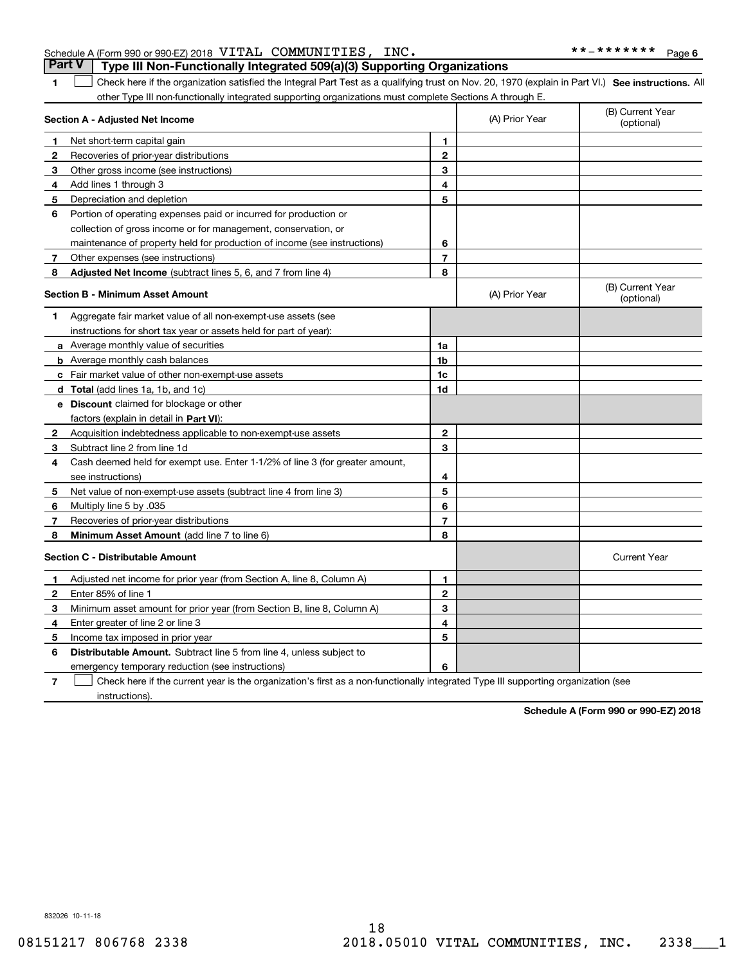### Schedule A (Form 990 or 990-EZ) 2018 Page VITAL COMMUNITIES, INC. \*\*-\*\*\*\*\*\*\* **Part V Type III Non-Functionally Integrated 509(a)(3) Supporting Organizations**

1 **1** Check here if the organization satisfied the Integral Part Test as a qualifying trust on Nov. 20, 1970 (explain in Part VI.) See instructions. All other Type III non-functionally integrated supporting organizations must complete Sections A through E.

|                | Section A - Adjusted Net Income                                                                                                   |                | (A) Prior Year | (B) Current Year<br>(optional) |  |  |  |
|----------------|-----------------------------------------------------------------------------------------------------------------------------------|----------------|----------------|--------------------------------|--|--|--|
| 1              | Net short-term capital gain                                                                                                       | 1.             |                |                                |  |  |  |
| 2              | Recoveries of prior-year distributions                                                                                            | 2              |                |                                |  |  |  |
| З              | Other gross income (see instructions)                                                                                             | 3              |                |                                |  |  |  |
| 4              | Add lines 1 through 3                                                                                                             | 4              |                |                                |  |  |  |
| 5              | Depreciation and depletion                                                                                                        | 5              |                |                                |  |  |  |
| 6              | Portion of operating expenses paid or incurred for production or                                                                  |                |                |                                |  |  |  |
|                | collection of gross income or for management, conservation, or                                                                    |                |                |                                |  |  |  |
|                | maintenance of property held for production of income (see instructions)                                                          | 6              |                |                                |  |  |  |
| 7              | Other expenses (see instructions)                                                                                                 | $\overline{7}$ |                |                                |  |  |  |
| 8              | <b>Adjusted Net Income</b> (subtract lines 5, 6, and 7 from line 4)                                                               | 8              |                |                                |  |  |  |
|                | <b>Section B - Minimum Asset Amount</b>                                                                                           |                | (A) Prior Year | (B) Current Year<br>(optional) |  |  |  |
| 1              | Aggregate fair market value of all non-exempt-use assets (see                                                                     |                |                |                                |  |  |  |
|                | instructions for short tax year or assets held for part of year):                                                                 |                |                |                                |  |  |  |
|                | a Average monthly value of securities                                                                                             | 1a             |                |                                |  |  |  |
|                | <b>b</b> Average monthly cash balances                                                                                            | 1 <sub>b</sub> |                |                                |  |  |  |
|                | c Fair market value of other non-exempt-use assets                                                                                | 1c             |                |                                |  |  |  |
|                | d Total (add lines 1a, 1b, and 1c)                                                                                                | 1d             |                |                                |  |  |  |
|                | e Discount claimed for blockage or other                                                                                          |                |                |                                |  |  |  |
|                | factors (explain in detail in Part VI):                                                                                           |                |                |                                |  |  |  |
| $\mathbf{2}$   | Acquisition indebtedness applicable to non-exempt-use assets                                                                      | $\mathbf{2}$   |                |                                |  |  |  |
| 3              | Subtract line 2 from line 1d                                                                                                      | 3              |                |                                |  |  |  |
| 4              | Cash deemed held for exempt use. Enter 1-1/2% of line 3 (for greater amount,                                                      |                |                |                                |  |  |  |
|                | see instructions)                                                                                                                 | 4              |                |                                |  |  |  |
| 5              | Net value of non-exempt-use assets (subtract line 4 from line 3)                                                                  | 5              |                |                                |  |  |  |
| 6              | Multiply line 5 by .035                                                                                                           | 6              |                |                                |  |  |  |
| 7              | Recoveries of prior-year distributions                                                                                            | 7              |                |                                |  |  |  |
| 8              | <b>Minimum Asset Amount</b> (add line 7 to line 6)                                                                                | 8              |                |                                |  |  |  |
|                | <b>Section C - Distributable Amount</b>                                                                                           |                |                | <b>Current Year</b>            |  |  |  |
| 1              | Adjusted net income for prior year (from Section A, line 8, Column A)                                                             | 1              |                |                                |  |  |  |
| $\mathbf{2}$   | Enter 85% of line 1                                                                                                               | $\mathbf{2}$   |                |                                |  |  |  |
| 3              | Minimum asset amount for prior year (from Section B, line 8, Column A)                                                            | 3              |                |                                |  |  |  |
| 4              | Enter greater of line 2 or line 3                                                                                                 | 4              |                |                                |  |  |  |
| 5              | Income tax imposed in prior year                                                                                                  | 5              |                |                                |  |  |  |
| 6              | <b>Distributable Amount.</b> Subtract line 5 from line 4, unless subject to                                                       |                |                |                                |  |  |  |
|                | emergency temporary reduction (see instructions)                                                                                  | 6              |                |                                |  |  |  |
| $\overline{7}$ | Check here if the current year is the organization's first as a non-functionally integrated Type III supporting organization (see |                |                |                                |  |  |  |

instructions).

**Schedule A (Form 990 or 990-EZ) 2018**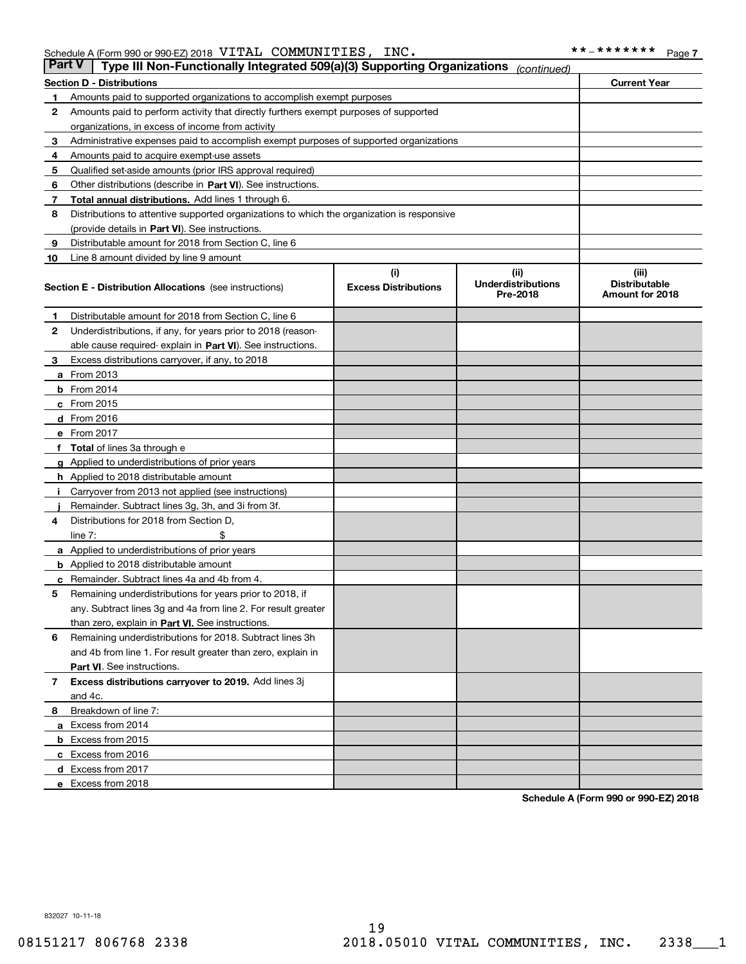| <b>Part V</b> | Type III Non-Functionally Integrated 509(a)(3) Supporting Organizations                      |                                    | (continued)                                    |                                                         |  |  |
|---------------|----------------------------------------------------------------------------------------------|------------------------------------|------------------------------------------------|---------------------------------------------------------|--|--|
|               | <b>Section D - Distributions</b>                                                             |                                    |                                                | <b>Current Year</b>                                     |  |  |
| 1.            | Amounts paid to supported organizations to accomplish exempt purposes                        |                                    |                                                |                                                         |  |  |
| 2             | Amounts paid to perform activity that directly furthers exempt purposes of supported         |                                    |                                                |                                                         |  |  |
|               | organizations, in excess of income from activity                                             |                                    |                                                |                                                         |  |  |
| 3             | Administrative expenses paid to accomplish exempt purposes of supported organizations        |                                    |                                                |                                                         |  |  |
| 4             | Amounts paid to acquire exempt-use assets                                                    |                                    |                                                |                                                         |  |  |
| 5             | Qualified set-aside amounts (prior IRS approval required)                                    |                                    |                                                |                                                         |  |  |
| 6             | Other distributions (describe in Part VI). See instructions.                                 |                                    |                                                |                                                         |  |  |
| 7             | <b>Total annual distributions.</b> Add lines 1 through 6.                                    |                                    |                                                |                                                         |  |  |
| 8             | Distributions to attentive supported organizations to which the organization is responsive   |                                    |                                                |                                                         |  |  |
|               | (provide details in Part VI). See instructions.                                              |                                    |                                                |                                                         |  |  |
| 9             | Distributable amount for 2018 from Section C, line 6                                         |                                    |                                                |                                                         |  |  |
| 10            | Line 8 amount divided by line 9 amount                                                       |                                    |                                                |                                                         |  |  |
|               | <b>Section E - Distribution Allocations</b> (see instructions)                               | (i)<br><b>Excess Distributions</b> | (iii)<br><b>Underdistributions</b><br>Pre-2018 | (iii)<br><b>Distributable</b><br><b>Amount for 2018</b> |  |  |
|               |                                                                                              |                                    |                                                |                                                         |  |  |
| 1.            | Distributable amount for 2018 from Section C, line 6                                         |                                    |                                                |                                                         |  |  |
| 2             | Underdistributions, if any, for years prior to 2018 (reason-                                 |                                    |                                                |                                                         |  |  |
|               | able cause required- explain in Part VI). See instructions.                                  |                                    |                                                |                                                         |  |  |
| 3             | Excess distributions carryover, if any, to 2018                                              |                                    |                                                |                                                         |  |  |
|               | <b>a</b> From 2013                                                                           |                                    |                                                |                                                         |  |  |
|               | <b>b</b> From $2014$                                                                         |                                    |                                                |                                                         |  |  |
|               | $c$ From 2015                                                                                |                                    |                                                |                                                         |  |  |
|               | <b>d</b> From 2016                                                                           |                                    |                                                |                                                         |  |  |
|               | e From 2017                                                                                  |                                    |                                                |                                                         |  |  |
|               | f Total of lines 3a through e                                                                |                                    |                                                |                                                         |  |  |
|               | <b>g</b> Applied to underdistributions of prior years                                        |                                    |                                                |                                                         |  |  |
|               | <b>h</b> Applied to 2018 distributable amount                                                |                                    |                                                |                                                         |  |  |
| л.            | Carryover from 2013 not applied (see instructions)                                           |                                    |                                                |                                                         |  |  |
|               | Remainder. Subtract lines 3g, 3h, and 3i from 3f.                                            |                                    |                                                |                                                         |  |  |
| 4             | Distributions for 2018 from Section D,                                                       |                                    |                                                |                                                         |  |  |
|               | line 7:                                                                                      |                                    |                                                |                                                         |  |  |
|               | <b>a</b> Applied to underdistributions of prior years                                        |                                    |                                                |                                                         |  |  |
|               | <b>b</b> Applied to 2018 distributable amount<br>Remainder. Subtract lines 4a and 4b from 4. |                                    |                                                |                                                         |  |  |
| с<br>5        | Remaining underdistributions for years prior to 2018, if                                     |                                    |                                                |                                                         |  |  |
|               | any. Subtract lines 3g and 4a from line 2. For result greater                                |                                    |                                                |                                                         |  |  |
|               | than zero, explain in Part VI. See instructions.                                             |                                    |                                                |                                                         |  |  |
| 6             | Remaining underdistributions for 2018. Subtract lines 3h                                     |                                    |                                                |                                                         |  |  |
|               | and 4b from line 1. For result greater than zero, explain in                                 |                                    |                                                |                                                         |  |  |
|               | Part VI. See instructions.                                                                   |                                    |                                                |                                                         |  |  |
| 7             | Excess distributions carryover to 2019. Add lines 3j                                         |                                    |                                                |                                                         |  |  |
|               | and 4c.                                                                                      |                                    |                                                |                                                         |  |  |
| 8             | Breakdown of line 7:                                                                         |                                    |                                                |                                                         |  |  |
|               | a Excess from 2014                                                                           |                                    |                                                |                                                         |  |  |
|               | <b>b</b> Excess from 2015                                                                    |                                    |                                                |                                                         |  |  |
|               | c Excess from 2016                                                                           |                                    |                                                |                                                         |  |  |
|               | d Excess from 2017                                                                           |                                    |                                                |                                                         |  |  |
|               | e Excess from 2018                                                                           |                                    |                                                |                                                         |  |  |

**Schedule A (Form 990 or 990-EZ) 2018**

832027 10-11-18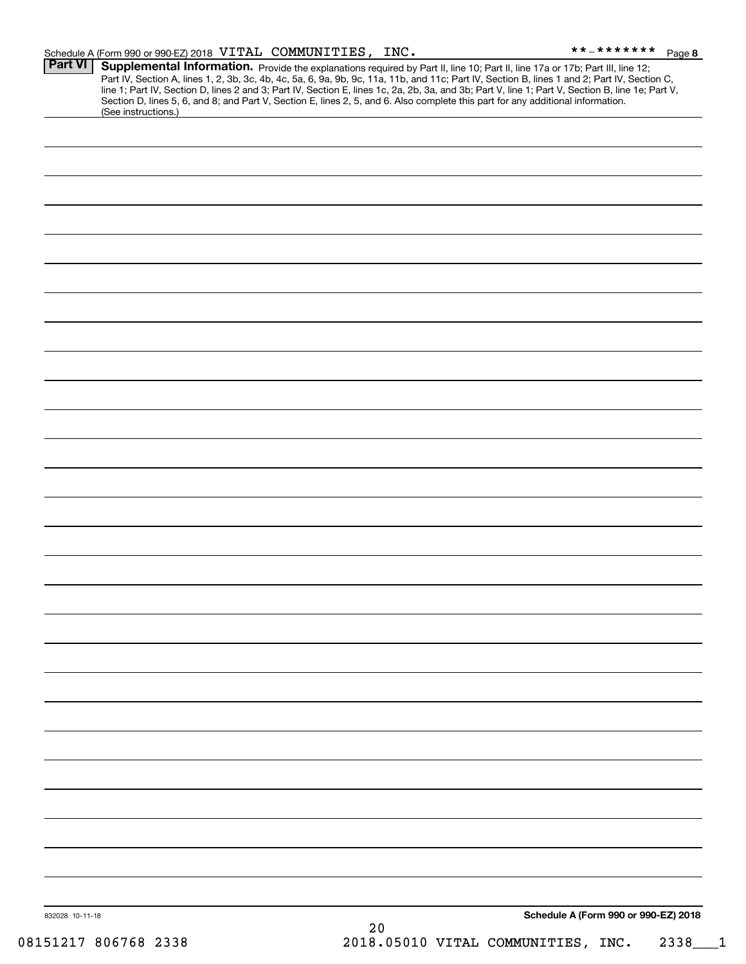|                | Schedule A (Form 990 or 990-EZ) 2018 VITAL COMMUNITIES, INC. |                                                                                                                                                                                                                                                                                                                                                                                                                                                                                                                                                                      | **_*******<br>Page 8 |
|----------------|--------------------------------------------------------------|----------------------------------------------------------------------------------------------------------------------------------------------------------------------------------------------------------------------------------------------------------------------------------------------------------------------------------------------------------------------------------------------------------------------------------------------------------------------------------------------------------------------------------------------------------------------|----------------------|
| <b>Part VI</b> | (See instructions.)                                          | Supplemental Information. Provide the explanations required by Part II, line 10; Part II, line 17a or 17b; Part III, line 12;<br>Part IV, Section A, lines 1, 2, 3b, 3c, 4b, 4c, 5a, 6, 9a, 9b, 9c, 11a, 11b, and 11c; Part IV, Section B, lines 1 and 2; Part IV, Section C,<br>line 1; Part IV, Section D, lines 2 and 3; Part IV, Section E, lines 1c, 2a, 2b, 3a, and 3b; Part V, line 1; Part V, Section B, line 1e; Part V,<br>Section D, lines 5, 6, and 8; and Part V, Section E, lines 2, 5, and 6. Also complete this part for any additional information. |                      |
|                |                                                              |                                                                                                                                                                                                                                                                                                                                                                                                                                                                                                                                                                      |                      |
|                |                                                              |                                                                                                                                                                                                                                                                                                                                                                                                                                                                                                                                                                      |                      |
|                |                                                              |                                                                                                                                                                                                                                                                                                                                                                                                                                                                                                                                                                      |                      |
|                |                                                              |                                                                                                                                                                                                                                                                                                                                                                                                                                                                                                                                                                      |                      |
|                |                                                              |                                                                                                                                                                                                                                                                                                                                                                                                                                                                                                                                                                      |                      |
|                |                                                              |                                                                                                                                                                                                                                                                                                                                                                                                                                                                                                                                                                      |                      |
|                |                                                              |                                                                                                                                                                                                                                                                                                                                                                                                                                                                                                                                                                      |                      |
|                |                                                              |                                                                                                                                                                                                                                                                                                                                                                                                                                                                                                                                                                      |                      |
|                |                                                              |                                                                                                                                                                                                                                                                                                                                                                                                                                                                                                                                                                      |                      |
|                |                                                              |                                                                                                                                                                                                                                                                                                                                                                                                                                                                                                                                                                      |                      |
|                |                                                              |                                                                                                                                                                                                                                                                                                                                                                                                                                                                                                                                                                      |                      |
|                |                                                              |                                                                                                                                                                                                                                                                                                                                                                                                                                                                                                                                                                      |                      |
|                |                                                              |                                                                                                                                                                                                                                                                                                                                                                                                                                                                                                                                                                      |                      |
|                |                                                              |                                                                                                                                                                                                                                                                                                                                                                                                                                                                                                                                                                      |                      |
|                |                                                              |                                                                                                                                                                                                                                                                                                                                                                                                                                                                                                                                                                      |                      |
|                |                                                              |                                                                                                                                                                                                                                                                                                                                                                                                                                                                                                                                                                      |                      |
|                |                                                              |                                                                                                                                                                                                                                                                                                                                                                                                                                                                                                                                                                      |                      |
|                |                                                              |                                                                                                                                                                                                                                                                                                                                                                                                                                                                                                                                                                      |                      |
|                |                                                              |                                                                                                                                                                                                                                                                                                                                                                                                                                                                                                                                                                      |                      |
|                |                                                              |                                                                                                                                                                                                                                                                                                                                                                                                                                                                                                                                                                      |                      |
|                |                                                              |                                                                                                                                                                                                                                                                                                                                                                                                                                                                                                                                                                      |                      |
|                |                                                              |                                                                                                                                                                                                                                                                                                                                                                                                                                                                                                                                                                      |                      |
|                |                                                              |                                                                                                                                                                                                                                                                                                                                                                                                                                                                                                                                                                      |                      |
|                |                                                              |                                                                                                                                                                                                                                                                                                                                                                                                                                                                                                                                                                      |                      |
|                |                                                              |                                                                                                                                                                                                                                                                                                                                                                                                                                                                                                                                                                      |                      |

20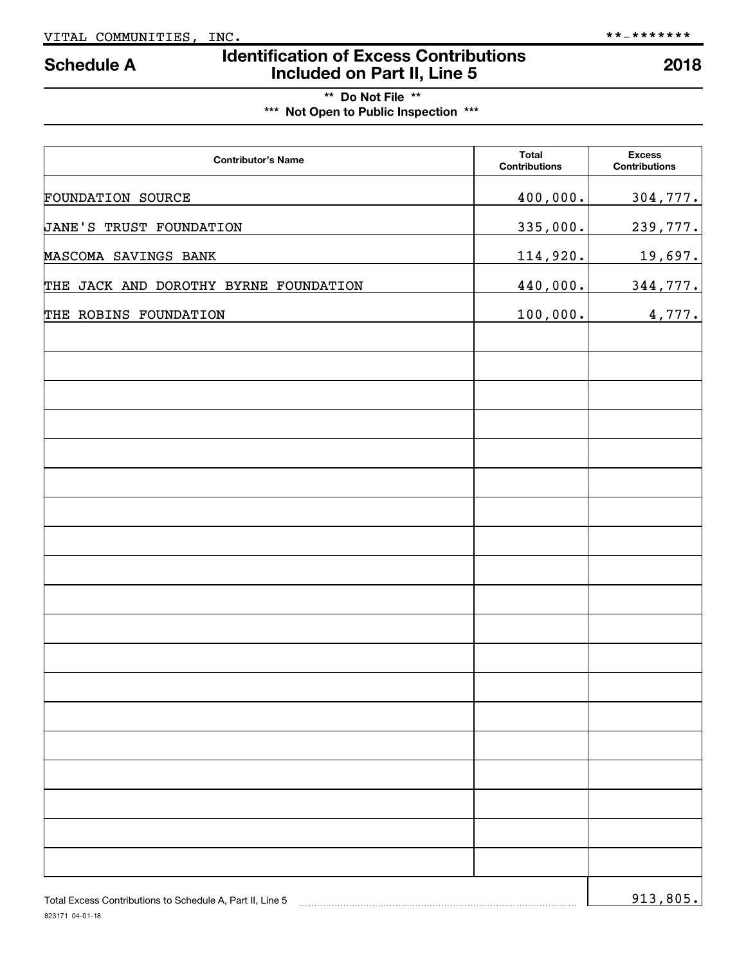# **Identification of Excess Contributions IDENTIFY Schedule A IDENTIFY Schedule A Included on Part II, Line 5 2018**

**\*\* Do Not File \*\* \*\*\* Not Open to Public Inspection \*\*\***

| <b>Contributor's Name</b>                                 | <b>Total</b><br><b>Contributions</b> | <b>Excess</b><br><b>Contributions</b> |
|-----------------------------------------------------------|--------------------------------------|---------------------------------------|
| <b>FOUNDATION SOURCE</b>                                  | 400,000.                             | 304,777.                              |
| <b>JANE'S TRUST FOUNDATION</b>                            | 335,000.                             | 239,777.                              |
| MASCOMA SAVINGS BANK                                      | 114,920.                             | <u>19,697.</u>                        |
| THE JACK AND DOROTHY BYRNE FOUNDATION                     | 440,000.                             | 344,777.                              |
| THE ROBINS FOUNDATION                                     | 100,000.                             | 4,777.                                |
|                                                           |                                      |                                       |
|                                                           |                                      |                                       |
|                                                           |                                      |                                       |
|                                                           |                                      |                                       |
|                                                           |                                      |                                       |
|                                                           |                                      |                                       |
|                                                           |                                      |                                       |
|                                                           |                                      |                                       |
|                                                           |                                      |                                       |
|                                                           |                                      |                                       |
|                                                           |                                      |                                       |
|                                                           |                                      |                                       |
|                                                           |                                      |                                       |
|                                                           |                                      |                                       |
|                                                           |                                      |                                       |
|                                                           |                                      |                                       |
|                                                           |                                      |                                       |
|                                                           |                                      |                                       |
| Total Excess Contributions to Schedule A, Part II, Line 5 |                                      | 913,805.                              |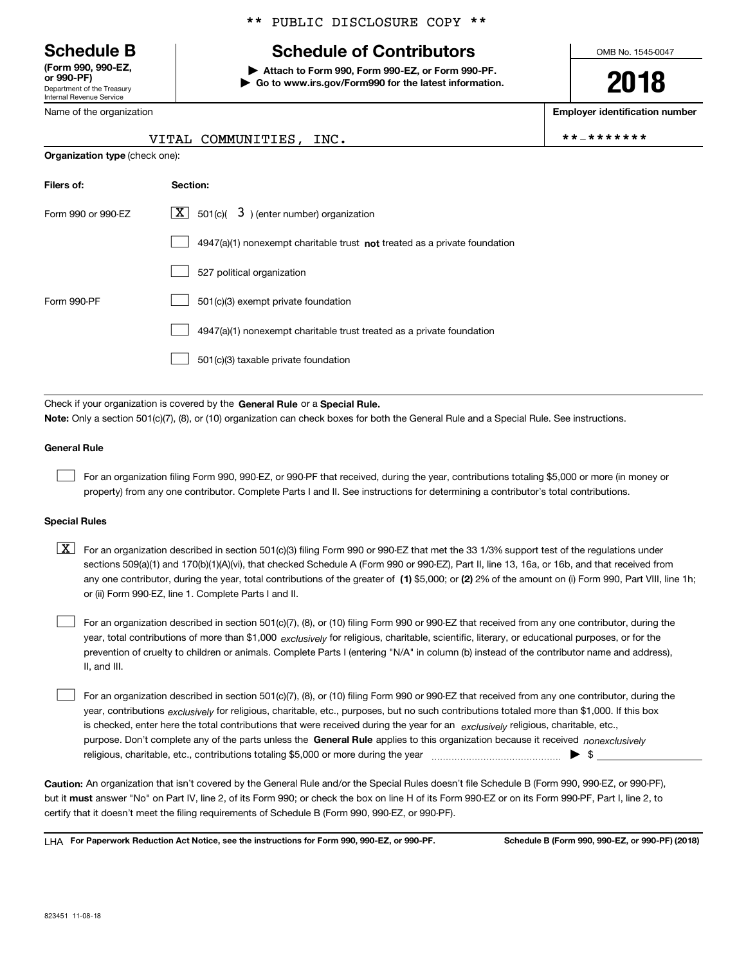Department of the Treasury Internal Revenue Service **(Form 990, 990-EZ,**

Name of the organization

### \*\* PUBLIC DISCLOSURE COPY \*\*

## **Schedule B Schedule of Contributors**

**or 990-PF) | Attach to Form 990, Form 990-EZ, or Form 990-PF. | Go to www.irs.gov/Form990 for the latest information.** OMB No. 1545-0047

**2018**

**Employer identification number**

VITAL COMMUNITIES, INC.  $\begin{array}{ccc} & & \ast \ast _{-} \ast \ast _{+} \ast _{+} \ast _{+} \ast _{+} \ast _{+} \ast _{+} \ast _{+} \ast _{+} \ast _{+} \ast _{+} \ast _{+} \ast _{+} \ast _{+} \ast _{+} \ast _{+} \ast _{+} \ast _{+} \ast _{+} \ast _{+} \ast _{+} \ast _{+} \ast _{+} \ast _{+} \ast _{+} \ast _{+} \ast _{+} \ast _{+} \ast _{+} \ast _{+} \ast _{+$ 

| <b>Organization type (check one):</b> |                                                                           |  |  |  |  |
|---------------------------------------|---------------------------------------------------------------------------|--|--|--|--|
| Filers of:                            | Section:                                                                  |  |  |  |  |
| Form 990 or 990-EZ                    | $\lfloor x \rfloor$ 501(c)( 3) (enter number) organization                |  |  |  |  |
|                                       | 4947(a)(1) nonexempt charitable trust not treated as a private foundation |  |  |  |  |
|                                       | 527 political organization                                                |  |  |  |  |
| Form 990-PF                           | 501(c)(3) exempt private foundation                                       |  |  |  |  |
|                                       | 4947(a)(1) nonexempt charitable trust treated as a private foundation     |  |  |  |  |
|                                       | 501(c)(3) taxable private foundation                                      |  |  |  |  |
|                                       |                                                                           |  |  |  |  |

Check if your organization is covered by the General Rule or a Special Rule. **Note:**  Only a section 501(c)(7), (8), or (10) organization can check boxes for both the General Rule and a Special Rule. See instructions.

### **General Rule**

 $\begin{array}{c} \hline \end{array}$ 

For an organization filing Form 990, 990-EZ, or 990-PF that received, during the year, contributions totaling \$5,000 or more (in money or property) from any one contributor. Complete Parts I and II. See instructions for determining a contributor's total contributions.

### **Special Rules**

any one contributor, during the year, total contributions of the greater of  $\,$  (1) \$5,000; or (2) 2% of the amount on (i) Form 990, Part VIII, line 1h;  $\boxed{\textbf{X}}$  For an organization described in section 501(c)(3) filing Form 990 or 990-EZ that met the 33 1/3% support test of the regulations under sections 509(a)(1) and 170(b)(1)(A)(vi), that checked Schedule A (Form 990 or 990-EZ), Part II, line 13, 16a, or 16b, and that received from or (ii) Form 990-EZ, line 1. Complete Parts I and II.

year, total contributions of more than \$1,000 *exclusively* for religious, charitable, scientific, literary, or educational purposes, or for the For an organization described in section 501(c)(7), (8), or (10) filing Form 990 or 990-EZ that received from any one contributor, during the prevention of cruelty to children or animals. Complete Parts I (entering "N/A" in column (b) instead of the contributor name and address), II, and III.  $\begin{array}{c} \hline \end{array}$ 

purpose. Don't complete any of the parts unless the General Rule applies to this organization because it received *nonexclusively* year, contributions <sub>exclusively</sub> for religious, charitable, etc., purposes, but no such contributions totaled more than \$1,000. If this box is checked, enter here the total contributions that were received during the year for an *exclusively* religious, charitable, etc., For an organization described in section 501(c)(7), (8), or (10) filing Form 990 or 990-EZ that received from any one contributor, during the religious, charitable, etc., contributions totaling \$5,000 or more during the year  $\Box$ — $\Box$   $\Box$  $\begin{array}{c} \hline \end{array}$ 

**Caution:**  An organization that isn't covered by the General Rule and/or the Special Rules doesn't file Schedule B (Form 990, 990-EZ, or 990-PF),  **must** but it answer "No" on Part IV, line 2, of its Form 990; or check the box on line H of its Form 990-EZ or on its Form 990-PF, Part I, line 2, to certify that it doesn't meet the filing requirements of Schedule B (Form 990, 990-EZ, or 990-PF).

**For Paperwork Reduction Act Notice, see the instructions for Form 990, 990-EZ, or 990-PF. Schedule B (Form 990, 990-EZ, or 990-PF) (2018)** LHA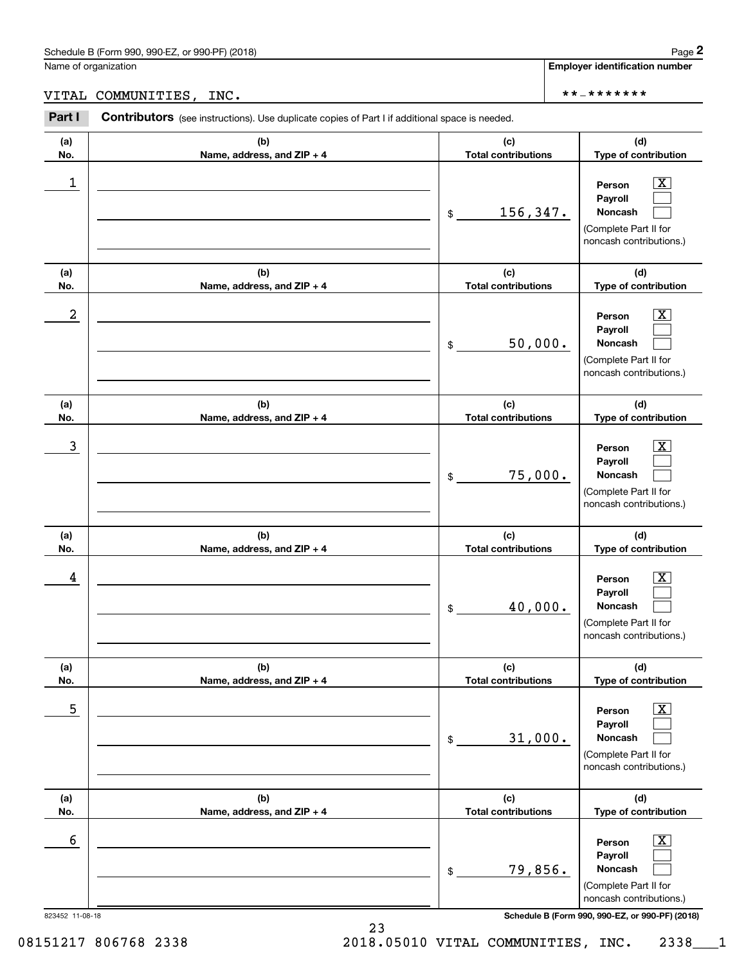**Employer identification number**

VITAL COMMUNITIES, INC. \*\*-\*\*\*\*\*\*\*

| Part I               | Contributors (see instructions). Use duplicate copies of Part I if additional space is needed. |                                                                                                                                                           |  |  |  |
|----------------------|------------------------------------------------------------------------------------------------|-----------------------------------------------------------------------------------------------------------------------------------------------------------|--|--|--|
| (a)<br>No.           | (b)<br>Name, address, and ZIP + 4                                                              | (c)<br>(d)<br><b>Total contributions</b><br>Type of contribution                                                                                          |  |  |  |
| 1                    |                                                                                                | $\overline{\mathbf{X}}$<br>Person<br>Payroll<br>156,347.<br>Noncash<br>$\$\$<br>(Complete Part II for<br>noncash contributions.)                          |  |  |  |
| (a)<br>No.           | (b)<br>Name, address, and ZIP + 4                                                              | (c)<br>(d)<br><b>Total contributions</b><br>Type of contribution                                                                                          |  |  |  |
| 2                    |                                                                                                | $\overline{\mathbf{X}}$<br>Person<br>Payroll<br>50,000.<br>Noncash<br>\$<br>(Complete Part II for<br>noncash contributions.)                              |  |  |  |
| (a)<br>No.           | (b)<br>Name, address, and ZIP + 4                                                              | (d)<br>(c)<br><b>Total contributions</b><br>Type of contribution                                                                                          |  |  |  |
| 3                    |                                                                                                | $\overline{\mathbf{X}}$<br>Person<br>Payroll<br>75,000.<br>Noncash<br>\$<br>(Complete Part II for<br>noncash contributions.)                              |  |  |  |
| (a)<br>No.           | (b)<br>Name, address, and ZIP + 4                                                              | (d)<br>(c)<br><b>Total contributions</b><br>Type of contribution                                                                                          |  |  |  |
| 4                    |                                                                                                | $\overline{\text{X}}$<br>Person<br>Payroll<br>40,000.<br>Noncash<br>\$<br>(Complete Part II for<br>noncash contributions.)                                |  |  |  |
| (a)<br>No.           | (b)<br>Name, address, and ZIP + 4                                                              | (d)<br>(c)<br>Type of contribution<br><b>Total contributions</b>                                                                                          |  |  |  |
| 5                    |                                                                                                | $\overline{\textbf{X}}$<br>Person<br>Payroll<br>31,000.<br>Noncash<br>\$<br>(Complete Part II for<br>noncash contributions.)                              |  |  |  |
| (a)<br>No.           | (b)<br>Name, address, and ZIP + 4                                                              | (c)<br>(d)<br><b>Total contributions</b><br>Type of contribution                                                                                          |  |  |  |
| 6<br>823452 11-08-18 |                                                                                                | x<br>Person<br>Payroll<br>79,856.<br>Noncash<br>\$<br>(Complete Part II for<br>noncash contributions.)<br>Schedule B (Form 990, 990-EZ, or 990-PF) (2018) |  |  |  |

23

08151217 806768 2338 2018.05010 VITAL COMMUNITIES, INC. 2338\_\_\_1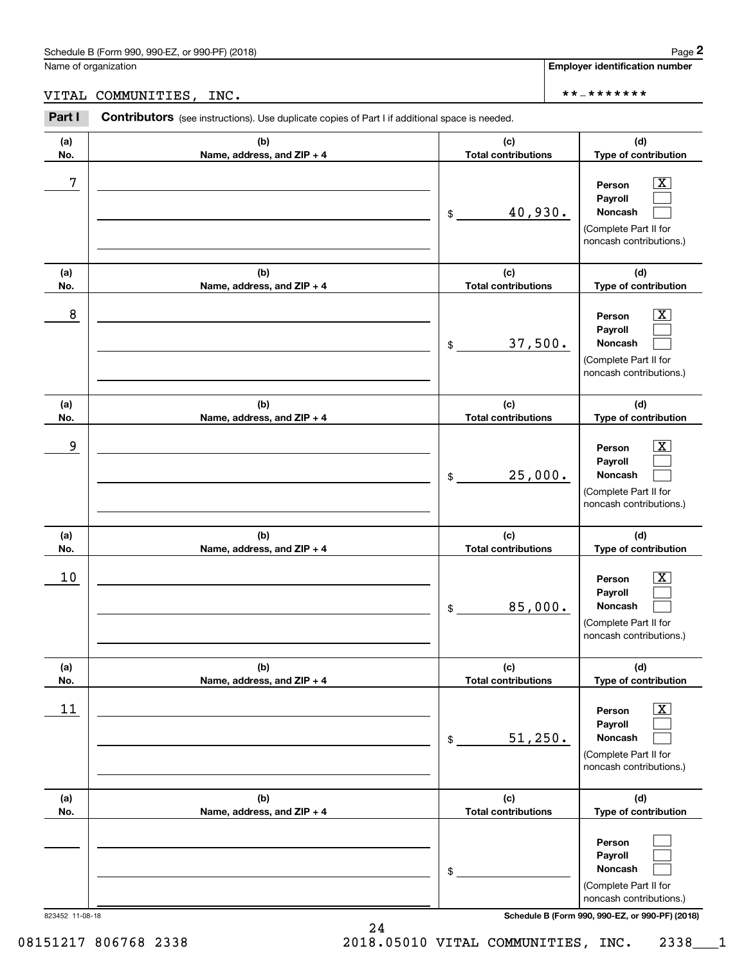**Employer identification number**

VITAL COMMUNITIES, INC. \*\*-\*\*\*\*\*\*\*

| (a)<br>No.      | (b)<br>Name, address, and ZIP + 4 | (c)<br><b>Total contributions</b> | (d)<br>Type of contribution                                                                                                         |
|-----------------|-----------------------------------|-----------------------------------|-------------------------------------------------------------------------------------------------------------------------------------|
| 7               |                                   | 40,930.<br>\$                     | $\overline{\mathbf{X}}$<br>Person<br>Payroll<br>Noncash<br>(Complete Part II for<br>noncash contributions.)                         |
| (a)<br>No.      | (b)<br>Name, address, and ZIP + 4 | (c)<br><b>Total contributions</b> | (d)<br>Type of contribution                                                                                                         |
| 8               |                                   | 37,500.<br>\$                     | $\overline{\mathbf{X}}$<br>Person<br>Payroll<br>Noncash<br>(Complete Part II for<br>noncash contributions.)                         |
| (a)<br>No.      | (b)<br>Name, address, and ZIP + 4 | (c)<br><b>Total contributions</b> | (d)<br>Type of contribution                                                                                                         |
| 9               |                                   | 25,000.<br>\$                     | $\overline{\mathbf{X}}$<br>Person<br>Payroll<br>Noncash<br>(Complete Part II for<br>noncash contributions.)                         |
| (a)<br>No.      | (b)<br>Name, address, and ZIP + 4 | (c)<br><b>Total contributions</b> | (d)<br>Type of contribution                                                                                                         |
| 10              |                                   | 85,000.<br>\$                     | $\overline{\mathbf{X}}$<br>Person<br>Payroll<br>Noncash<br>(Complete Part II for<br>noncash contributions.)                         |
| (a)<br>No.      | (b)<br>Name, address, and ZIP + 4 | (c)<br><b>Total contributions</b> | (d)<br>Type of contribution                                                                                                         |
| 11              |                                   | 51,250.<br>\$                     | $\overline{\mathbf{X}}$<br>Person<br>Payroll<br>Noncash<br>(Complete Part II for<br>noncash contributions.)                         |
| (a)<br>No.      | (b)<br>Name, address, and ZIP + 4 | (c)<br><b>Total contributions</b> | (d)<br>Type of contribution                                                                                                         |
| 823452 11-08-18 |                                   | \$                                | Person<br>Payroll<br>Noncash<br>(Complete Part II for<br>noncash contributions.)<br>Schedule B (Form 990, 990-EZ, or 990-PF) (2018) |

24

08151217 806768 2338 2018.05010 VITAL COMMUNITIES, INC. 2338\_\_\_1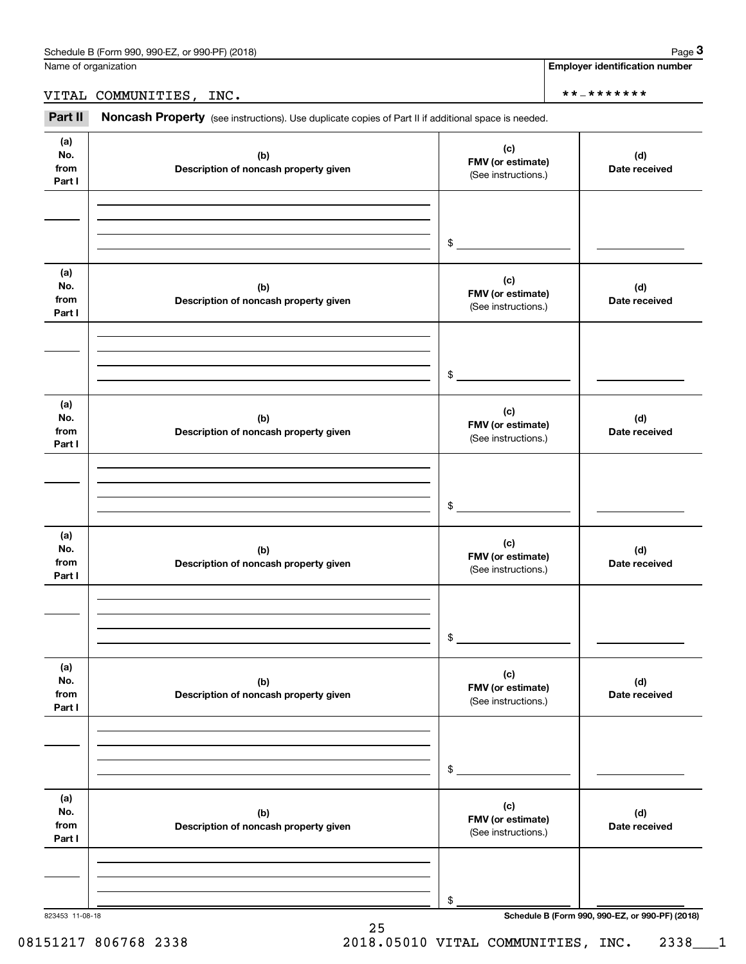**3**

**Employer identification number**

## VITAL COMMUNITIES, INC. \*\*-\*\*\*\*\*\*\*

Part II Noncash Property (see instructions). Use duplicate copies of Part II if additional space is needed.

| (a)<br>No.<br>from<br>Part I | (b)<br>Description of noncash property given | (c)<br>FMV (or estimate)<br>(See instructions.) | (d)<br>Date received                            |
|------------------------------|----------------------------------------------|-------------------------------------------------|-------------------------------------------------|
|                              |                                              |                                                 |                                                 |
|                              |                                              | \$                                              |                                                 |
| (a)<br>No.<br>from<br>Part I | (b)<br>Description of noncash property given | (c)<br>FMV (or estimate)<br>(See instructions.) | (d)<br>Date received                            |
|                              |                                              |                                                 |                                                 |
|                              |                                              | \$                                              |                                                 |
| (a)<br>No.<br>from<br>Part I | (b)<br>Description of noncash property given | (c)<br>FMV (or estimate)<br>(See instructions.) | (d)<br>Date received                            |
|                              |                                              |                                                 |                                                 |
|                              |                                              | \$                                              |                                                 |
|                              |                                              |                                                 |                                                 |
| (a)<br>No.<br>from<br>Part I | (b)<br>Description of noncash property given | (c)<br>FMV (or estimate)<br>(See instructions.) | (d)<br>Date received                            |
|                              |                                              |                                                 |                                                 |
|                              |                                              | \$                                              |                                                 |
| (a)                          |                                              |                                                 |                                                 |
| No.<br>from<br>Part I        | (b)<br>Description of noncash property given | (c)<br>FMV (or estimate)<br>(See instructions.) | (d)<br>Date received                            |
|                              |                                              |                                                 |                                                 |
|                              |                                              | \$                                              |                                                 |
|                              |                                              |                                                 |                                                 |
| (a)<br>No.<br>from<br>Part I | (b)<br>Description of noncash property given | (c)<br>FMV (or estimate)<br>(See instructions.) | (d)<br>Date received                            |
|                              |                                              |                                                 |                                                 |
|                              |                                              |                                                 |                                                 |
| 823453 11-08-18              |                                              | \$                                              | Schedule B (Form 990, 990-EZ, or 990-PF) (2018) |

25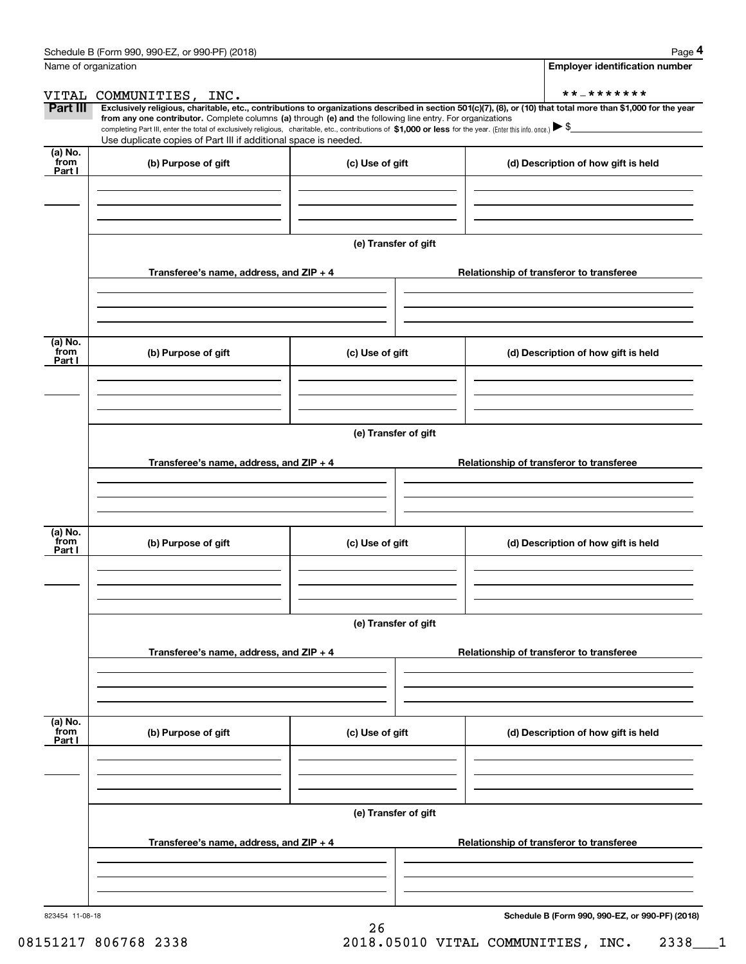|                           | Name of organization                                                                                                                                                                                                                                                                                                                                                                                                                                                                                             |                      | <b>Employer identification number</b>           |
|---------------------------|------------------------------------------------------------------------------------------------------------------------------------------------------------------------------------------------------------------------------------------------------------------------------------------------------------------------------------------------------------------------------------------------------------------------------------------------------------------------------------------------------------------|----------------------|-------------------------------------------------|
|                           | VITAL COMMUNITIES, INC.                                                                                                                                                                                                                                                                                                                                                                                                                                                                                          |                      | **_*******                                      |
| Part III                  | Exclusively religious, charitable, etc., contributions to organizations described in section 501(c)(7), (8), or (10) that total more than \$1,000 for the year<br>from any one contributor. Complete columns (a) through (e) and the following line entry. For organizations<br>completing Part III, enter the total of exclusively religious, charitable, etc., contributions of \$1,000 or less for the year. (Enter this info. once.) ▶ \$<br>Use duplicate copies of Part III if additional space is needed. |                      |                                                 |
| (a) No.                   |                                                                                                                                                                                                                                                                                                                                                                                                                                                                                                                  |                      |                                                 |
| from<br>Part I            | (b) Purpose of gift                                                                                                                                                                                                                                                                                                                                                                                                                                                                                              | (c) Use of gift      | (d) Description of how gift is held             |
|                           |                                                                                                                                                                                                                                                                                                                                                                                                                                                                                                                  |                      |                                                 |
|                           |                                                                                                                                                                                                                                                                                                                                                                                                                                                                                                                  | (e) Transfer of gift |                                                 |
|                           | Transferee's name, address, and $ZIP + 4$                                                                                                                                                                                                                                                                                                                                                                                                                                                                        |                      | Relationship of transferor to transferee        |
| (a) No.<br>from           |                                                                                                                                                                                                                                                                                                                                                                                                                                                                                                                  |                      |                                                 |
| Part I                    | (b) Purpose of gift                                                                                                                                                                                                                                                                                                                                                                                                                                                                                              | (c) Use of gift      | (d) Description of how gift is held             |
|                           |                                                                                                                                                                                                                                                                                                                                                                                                                                                                                                                  |                      |                                                 |
|                           |                                                                                                                                                                                                                                                                                                                                                                                                                                                                                                                  | (e) Transfer of gift |                                                 |
|                           | Transferee's name, address, and $ZIP + 4$                                                                                                                                                                                                                                                                                                                                                                                                                                                                        |                      | Relationship of transferor to transferee        |
| (a) No.<br>from<br>Part I | (b) Purpose of gift                                                                                                                                                                                                                                                                                                                                                                                                                                                                                              | (c) Use of gift      | (d) Description of how gift is held             |
|                           |                                                                                                                                                                                                                                                                                                                                                                                                                                                                                                                  | (e) Transfer of gift |                                                 |
|                           | Transferee's name, address, and $ZIP + 4$                                                                                                                                                                                                                                                                                                                                                                                                                                                                        |                      | Relationship of transferor to transferee        |
|                           |                                                                                                                                                                                                                                                                                                                                                                                                                                                                                                                  |                      |                                                 |
| (a) No.<br>from<br>Part I | (b) Purpose of gift                                                                                                                                                                                                                                                                                                                                                                                                                                                                                              | (c) Use of gift      | (d) Description of how gift is held             |
|                           |                                                                                                                                                                                                                                                                                                                                                                                                                                                                                                                  |                      |                                                 |
|                           |                                                                                                                                                                                                                                                                                                                                                                                                                                                                                                                  | (e) Transfer of gift |                                                 |
|                           | Transferee's name, address, and $ZIP + 4$                                                                                                                                                                                                                                                                                                                                                                                                                                                                        |                      | Relationship of transferor to transferee        |
|                           |                                                                                                                                                                                                                                                                                                                                                                                                                                                                                                                  |                      |                                                 |
| 823454 11-08-18           |                                                                                                                                                                                                                                                                                                                                                                                                                                                                                                                  |                      | Schedule B (Form 990, 990-EZ, or 990-PF) (2018) |

26

08151217 806768 2338 2018.05010 VITAL COMMUNITIES, INC. 2338\_\_\_1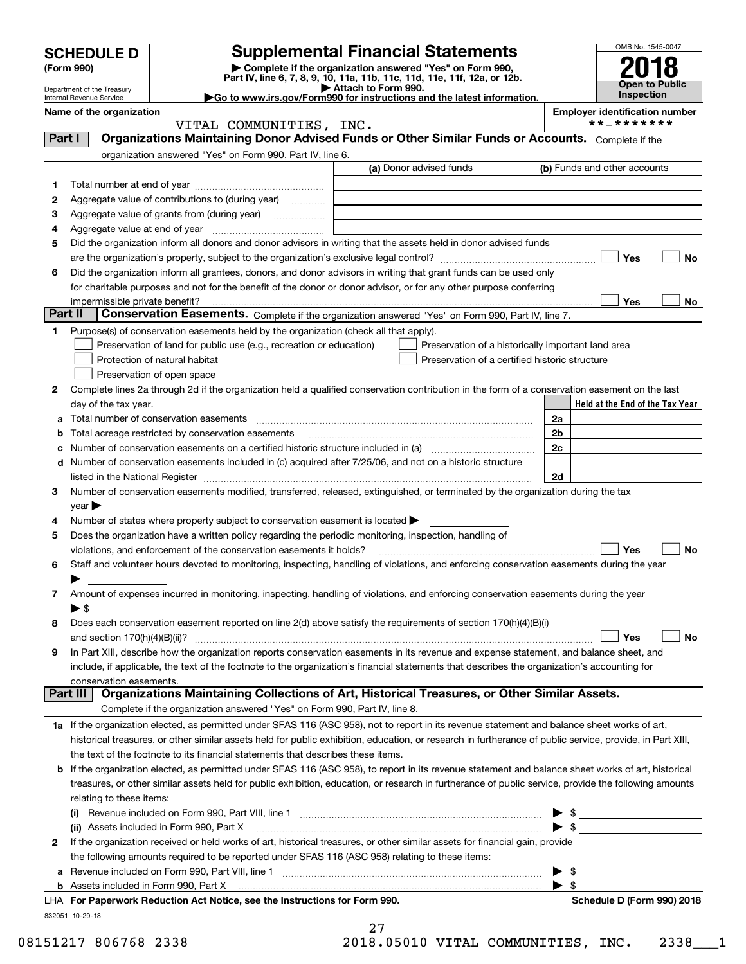|         | <b>SCHEDULE D</b>                                      |                                                                                                                                                                                                                               | <b>Supplemental Financial Statements</b>                                                        |                          | OMB No. 1545-0047                                   |           |
|---------|--------------------------------------------------------|-------------------------------------------------------------------------------------------------------------------------------------------------------------------------------------------------------------------------------|-------------------------------------------------------------------------------------------------|--------------------------|-----------------------------------------------------|-----------|
|         | (Form 990)                                             |                                                                                                                                                                                                                               | Complete if the organization answered "Yes" on Form 990,                                        |                          |                                                     |           |
|         |                                                        |                                                                                                                                                                                                                               | Part IV, line 6, 7, 8, 9, 10, 11a, 11b, 11c, 11d, 11e, 11f, 12a, or 12b.<br>Attach to Form 990. |                          | Open to Public                                      |           |
|         | Department of the Treasury<br>Internal Revenue Service |                                                                                                                                                                                                                               | Go to www.irs.gov/Form990 for instructions and the latest information.                          |                          | Inspection                                          |           |
|         | Name of the organization                               |                                                                                                                                                                                                                               |                                                                                                 |                          | <b>Employer identification number</b><br>**_******* |           |
| Part I  |                                                        | VITAL COMMUNITIES, INC.<br>Organizations Maintaining Donor Advised Funds or Other Similar Funds or Accounts. Complete if the                                                                                                  |                                                                                                 |                          |                                                     |           |
|         |                                                        | organization answered "Yes" on Form 990, Part IV, line 6.                                                                                                                                                                     |                                                                                                 |                          |                                                     |           |
|         |                                                        |                                                                                                                                                                                                                               | (a) Donor advised funds                                                                         |                          | (b) Funds and other accounts                        |           |
| 1       |                                                        |                                                                                                                                                                                                                               |                                                                                                 |                          |                                                     |           |
| 2       |                                                        | Aggregate value of contributions to (during year)                                                                                                                                                                             |                                                                                                 |                          |                                                     |           |
| з       |                                                        |                                                                                                                                                                                                                               |                                                                                                 |                          |                                                     |           |
| 4       |                                                        |                                                                                                                                                                                                                               |                                                                                                 |                          |                                                     |           |
| 5       |                                                        | Did the organization inform all donors and donor advisors in writing that the assets held in donor advised funds                                                                                                              |                                                                                                 |                          |                                                     |           |
|         |                                                        |                                                                                                                                                                                                                               |                                                                                                 |                          | Yes                                                 | No        |
| 6       |                                                        | Did the organization inform all grantees, donors, and donor advisors in writing that grant funds can be used only                                                                                                             |                                                                                                 |                          |                                                     |           |
|         |                                                        | for charitable purposes and not for the benefit of the donor or donor advisor, or for any other purpose conferring                                                                                                            |                                                                                                 |                          |                                                     |           |
|         | impermissible private benefit?                         |                                                                                                                                                                                                                               |                                                                                                 |                          | Yes                                                 | No        |
| Part II |                                                        | Conservation Easements. Complete if the organization answered "Yes" on Form 990, Part IV, line 7.                                                                                                                             |                                                                                                 |                          |                                                     |           |
| 1       |                                                        | Purpose(s) of conservation easements held by the organization (check all that apply).                                                                                                                                         |                                                                                                 |                          |                                                     |           |
|         |                                                        | Preservation of land for public use (e.g., recreation or education)                                                                                                                                                           | Preservation of a historically important land area                                              |                          |                                                     |           |
|         |                                                        | Protection of natural habitat                                                                                                                                                                                                 | Preservation of a certified historic structure                                                  |                          |                                                     |           |
|         |                                                        | Preservation of open space                                                                                                                                                                                                    |                                                                                                 |                          |                                                     |           |
| 2       |                                                        | Complete lines 2a through 2d if the organization held a qualified conservation contribution in the form of a conservation easement on the last                                                                                |                                                                                                 |                          |                                                     |           |
|         | day of the tax year.                                   |                                                                                                                                                                                                                               |                                                                                                 |                          | Held at the End of the Tax Year                     |           |
| а       |                                                        |                                                                                                                                                                                                                               |                                                                                                 | 2a                       |                                                     |           |
| b       |                                                        | Total acreage restricted by conservation easements                                                                                                                                                                            |                                                                                                 | 2 <sub>b</sub>           |                                                     |           |
| с       |                                                        |                                                                                                                                                                                                                               |                                                                                                 | 2c                       |                                                     |           |
| d       |                                                        | Number of conservation easements included in (c) acquired after 7/25/06, and not on a historic structure                                                                                                                      |                                                                                                 |                          |                                                     |           |
|         |                                                        | listed in the National Register [11, 1200] and the National Register [11, 1200] and the National Register [11, 1200] and the National Register [11, 1200] and the National Register [11, 1200] and the National Register [11, |                                                                                                 | 2d                       |                                                     |           |
| 3       |                                                        | Number of conservation easements modified, transferred, released, extinguished, or terminated by the organization during the tax                                                                                              |                                                                                                 |                          |                                                     |           |
|         | $\vee$ ear $\blacktriangleright$                       |                                                                                                                                                                                                                               |                                                                                                 |                          |                                                     |           |
| 4       |                                                        | Number of states where property subject to conservation easement is located $\blacktriangleright$                                                                                                                             |                                                                                                 |                          |                                                     |           |
| 5       |                                                        | Does the organization have a written policy regarding the periodic monitoring, inspection, handling of                                                                                                                        |                                                                                                 |                          |                                                     |           |
|         |                                                        | violations, and enforcement of the conservation easements it holds?                                                                                                                                                           |                                                                                                 |                          | Yes                                                 | <b>No</b> |
| 6       |                                                        | Staff and volunteer hours devoted to monitoring, inspecting, handling of violations, and enforcing conservation easements during the year                                                                                     |                                                                                                 |                          |                                                     |           |
|         |                                                        |                                                                                                                                                                                                                               |                                                                                                 |                          |                                                     |           |
| 7       |                                                        | Amount of expenses incurred in monitoring, inspecting, handling of violations, and enforcing conservation easements during the year                                                                                           |                                                                                                 |                          |                                                     |           |
|         | $\blacktriangleright$ \$                               |                                                                                                                                                                                                                               |                                                                                                 |                          |                                                     |           |
| 8       |                                                        | Does each conservation easement reported on line 2(d) above satisfy the requirements of section 170(h)(4)(B)(i)                                                                                                               |                                                                                                 |                          |                                                     |           |
|         |                                                        |                                                                                                                                                                                                                               |                                                                                                 |                          | Yes                                                 | No        |
| 9       |                                                        | In Part XIII, describe how the organization reports conservation easements in its revenue and expense statement, and balance sheet, and                                                                                       |                                                                                                 |                          |                                                     |           |
|         |                                                        | include, if applicable, the text of the footnote to the organization's financial statements that describes the organization's accounting for                                                                                  |                                                                                                 |                          |                                                     |           |
|         | conservation easements.<br>  Part III                  | Organizations Maintaining Collections of Art, Historical Treasures, or Other Similar Assets.                                                                                                                                  |                                                                                                 |                          |                                                     |           |
|         |                                                        | Complete if the organization answered "Yes" on Form 990, Part IV, line 8.                                                                                                                                                     |                                                                                                 |                          |                                                     |           |
|         |                                                        | 1a If the organization elected, as permitted under SFAS 116 (ASC 958), not to report in its revenue statement and balance sheet works of art,                                                                                 |                                                                                                 |                          |                                                     |           |
|         |                                                        | historical treasures, or other similar assets held for public exhibition, education, or research in furtherance of public service, provide, in Part XIII,                                                                     |                                                                                                 |                          |                                                     |           |
|         |                                                        | the text of the footnote to its financial statements that describes these items.                                                                                                                                              |                                                                                                 |                          |                                                     |           |
| b       |                                                        | If the organization elected, as permitted under SFAS 116 (ASC 958), to report in its revenue statement and balance sheet works of art, historical                                                                             |                                                                                                 |                          |                                                     |           |
|         |                                                        | treasures, or other similar assets held for public exhibition, education, or research in furtherance of public service, provide the following amounts                                                                         |                                                                                                 |                          |                                                     |           |
|         | relating to these items:                               |                                                                                                                                                                                                                               |                                                                                                 |                          |                                                     |           |
|         |                                                        |                                                                                                                                                                                                                               |                                                                                                 |                          | $\frac{1}{2}$                                       |           |
|         |                                                        | (ii) Assets included in Form 990, Part X                                                                                                                                                                                      |                                                                                                 | $\blacktriangleright$ \$ |                                                     |           |
| 2       |                                                        | If the organization received or held works of art, historical treasures, or other similar assets for financial gain, provide                                                                                                  |                                                                                                 |                          |                                                     |           |
|         |                                                        | the following amounts required to be reported under SFAS 116 (ASC 958) relating to these items:                                                                                                                               |                                                                                                 |                          |                                                     |           |
| a       |                                                        |                                                                                                                                                                                                                               |                                                                                                 | \$                       |                                                     |           |
|         | <b>b</b> Assets included in Form 990, Part X           |                                                                                                                                                                                                                               |                                                                                                 | -\$<br>▶                 |                                                     |           |
|         |                                                        | LHA For Paperwork Reduction Act Notice, see the Instructions for Form 990.                                                                                                                                                    |                                                                                                 |                          | Schedule D (Form 990) 2018                          |           |
|         | 832051 10-29-18                                        |                                                                                                                                                                                                                               |                                                                                                 |                          |                                                     |           |

| 08151217 806768 233 |  |  |
|---------------------|--|--|
|---------------------|--|--|

|  | 2018.05010 VITAL COMMUNITIES, INC. 2338 1 |  |  |
|--|-------------------------------------------|--|--|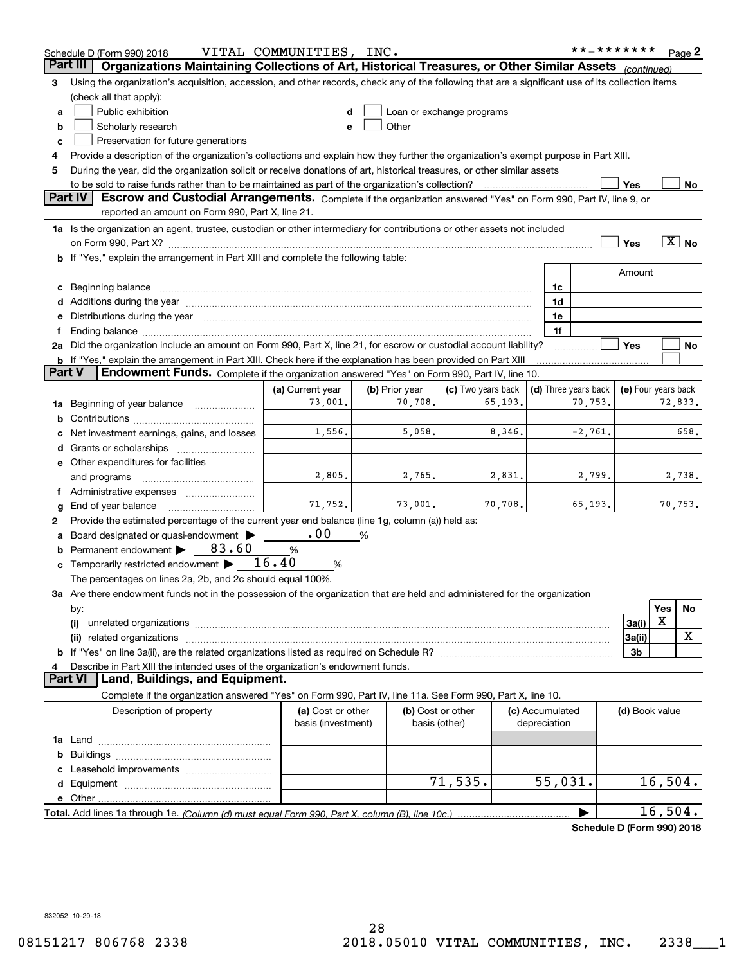| Organizations Maintaining Collections of Art, Historical Treasures, or Other Similar Assets<br>Part III<br>(continued)<br>Using the organization's acquisition, accession, and other records, check any of the following that are a significant use of its collection items<br>3<br>(check all that apply):<br>Public exhibition<br>Loan or exchange programs<br>a<br>Other and the contract of the contract of the contract of the contract of the contract of the contract of the contract of the contract of the contract of the contract of the contract of the contract of the contract of the<br>Scholarly research<br>b<br>Preservation for future generations<br>с<br>Provide a description of the organization's collections and explain how they further the organization's exempt purpose in Part XIII.<br>4<br>During the year, did the organization solicit or receive donations of art, historical treasures, or other similar assets<br>5<br>to be sold to raise funds rather than to be maintained as part of the organization's collection?<br>Yes<br>Escrow and Custodial Arrangements. Complete if the organization answered "Yes" on Form 990, Part IV, line 9, or<br><b>Part IV</b><br>reported an amount on Form 990, Part X, line 21.<br>1a Is the organization an agent, trustee, custodian or other intermediary for contributions or other assets not included<br>$\boxed{\text{X}}$ No<br>Yes<br>b If "Yes," explain the arrangement in Part XIII and complete the following table:<br>Amount<br>c Beginning balance measurements and the contract of the contract of the contract of the contract of the contract of the contract of the contract of the contract of the contract of the contract of the contract of the contr<br>1c<br>d Additions during the year measurement contains and a state of the year measurement of the year measurement of<br>1d<br>e Distributions during the year manufactured and contain an account of the year manufactured and the year manufactured and the year manufactured and the year manufactured and the year manufactured and the year manufactured<br>1e<br>1f<br>Yes<br>2a Did the organization include an amount on Form 990, Part X, line 21, for escrow or custodial account liability?<br>No<br><b>b</b> If "Yes," explain the arrangement in Part XIII. Check here if the explanation has been provided on Part XIII<br>Part V<br>Endowment Funds. Complete if the organization answered "Yes" on Form 990, Part IV, line 10.<br>(c) Two years back<br>(d) Three years back<br>(a) Current year<br>(b) Prior year<br>(e) Four years back<br>73,001.<br>70,708.<br>65,193.<br>70,753.<br>72,833.<br>1a Beginning of year balance<br>b<br>1,556.<br>5,058.<br>8,346.<br>$-2,761.$<br>658.<br>Net investment earnings, gains, and losses<br>e Other expenditures for facilities<br>2,805.<br>2,765.<br>2,831.<br>2,799.<br>2,738.<br>and programs<br>f Administrative expenses <i>manually communicative</i><br>71.752.<br>70,753.<br>73,001.<br>70,708.<br>65,193.<br>End of year balance<br>g<br>Provide the estimated percentage of the current year end balance (line 1g, column (a)) held as:<br>2<br>.00<br>Board designated or quasi-endowment<br>%<br>a<br><b>b</b> Permanent endowment $\triangleright$ 83.60<br>%<br><b>c</b> Temporarily restricted endowment $\blacktriangleright$ __16.40<br>%<br>The percentages on lines 2a, 2b, and 2c should equal 100%.<br>3a Are there endowment funds not in the possession of the organization that are held and administered for the organization<br><b>Yes</b><br>No<br>by:<br>X<br>3a(i)<br>(i)<br>х<br>3a(ii)<br>3b<br>Describe in Part XIII the intended uses of the organization's endowment funds.<br>4<br>Land, Buildings, and Equipment.<br><b>Part VI</b><br>Complete if the organization answered "Yes" on Form 990, Part IV, line 11a. See Form 990, Part X, line 10.<br>Description of property<br>(a) Cost or other<br>(b) Cost or other<br>(c) Accumulated<br>(d) Book value<br>basis (investment)<br>basis (other)<br>depreciation<br>b<br>71, 535.<br>55,031.<br>16,504.<br>16,504.<br>▶<br>Schedule D (Form 990) 2018 | Schedule D (Form 990) 2018 | VITAL COMMUNITIES, INC. |  |  | **_******* |  | Page 2 |
|--------------------------------------------------------------------------------------------------------------------------------------------------------------------------------------------------------------------------------------------------------------------------------------------------------------------------------------------------------------------------------------------------------------------------------------------------------------------------------------------------------------------------------------------------------------------------------------------------------------------------------------------------------------------------------------------------------------------------------------------------------------------------------------------------------------------------------------------------------------------------------------------------------------------------------------------------------------------------------------------------------------------------------------------------------------------------------------------------------------------------------------------------------------------------------------------------------------------------------------------------------------------------------------------------------------------------------------------------------------------------------------------------------------------------------------------------------------------------------------------------------------------------------------------------------------------------------------------------------------------------------------------------------------------------------------------------------------------------------------------------------------------------------------------------------------------------------------------------------------------------------------------------------------------------------------------------------------------------------------------------------------------------------------------------------------------------------------------------------------------------------------------------------------------------------------------------------------------------------------------------------------------------------------------------------------------------------------------------------------------------------------------------------------------------------------------------------------------------------------------------------------------------------------------------------------------------------------------------------------------------------------------------------------------------------------------------------------------------------------------------------------------------------------------------------------------------------------------------------------------------------------------------------------------------------------------------------------------------------------------------------------------------------------------------------------------------------------------------------------------------------------------------------------------------------------------------------------------------------------------------------------------------------------------------------------------------------------------------------------------------------------------------------------------------------------------------------------------------------------------------------------------------------------------------------------------------------------------------------------------------------------------------------------------------------------------------------------------------------------------------------------------------------------------------------------------------------------------------------------------------------------------------------------------------------------------------------------------------------------------------------------------------------------------------------------------------------------------------------------------------------------------------------------------------|----------------------------|-------------------------|--|--|------------|--|--------|
|                                                                                                                                                                                                                                                                                                                                                                                                                                                                                                                                                                                                                                                                                                                                                                                                                                                                                                                                                                                                                                                                                                                                                                                                                                                                                                                                                                                                                                                                                                                                                                                                                                                                                                                                                                                                                                                                                                                                                                                                                                                                                                                                                                                                                                                                                                                                                                                                                                                                                                                                                                                                                                                                                                                                                                                                                                                                                                                                                                                                                                                                                                                                                                                                                                                                                                                                                                                                                                                                                                                                                                                                                                                                                                                                                                                                                                                                                                                                                                                                                                                                                                                                                                          |                            |                         |  |  |            |  |        |
| No                                                                                                                                                                                                                                                                                                                                                                                                                                                                                                                                                                                                                                                                                                                                                                                                                                                                                                                                                                                                                                                                                                                                                                                                                                                                                                                                                                                                                                                                                                                                                                                                                                                                                                                                                                                                                                                                                                                                                                                                                                                                                                                                                                                                                                                                                                                                                                                                                                                                                                                                                                                                                                                                                                                                                                                                                                                                                                                                                                                                                                                                                                                                                                                                                                                                                                                                                                                                                                                                                                                                                                                                                                                                                                                                                                                                                                                                                                                                                                                                                                                                                                                                                                       |                            |                         |  |  |            |  |        |
|                                                                                                                                                                                                                                                                                                                                                                                                                                                                                                                                                                                                                                                                                                                                                                                                                                                                                                                                                                                                                                                                                                                                                                                                                                                                                                                                                                                                                                                                                                                                                                                                                                                                                                                                                                                                                                                                                                                                                                                                                                                                                                                                                                                                                                                                                                                                                                                                                                                                                                                                                                                                                                                                                                                                                                                                                                                                                                                                                                                                                                                                                                                                                                                                                                                                                                                                                                                                                                                                                                                                                                                                                                                                                                                                                                                                                                                                                                                                                                                                                                                                                                                                                                          |                            |                         |  |  |            |  |        |
|                                                                                                                                                                                                                                                                                                                                                                                                                                                                                                                                                                                                                                                                                                                                                                                                                                                                                                                                                                                                                                                                                                                                                                                                                                                                                                                                                                                                                                                                                                                                                                                                                                                                                                                                                                                                                                                                                                                                                                                                                                                                                                                                                                                                                                                                                                                                                                                                                                                                                                                                                                                                                                                                                                                                                                                                                                                                                                                                                                                                                                                                                                                                                                                                                                                                                                                                                                                                                                                                                                                                                                                                                                                                                                                                                                                                                                                                                                                                                                                                                                                                                                                                                                          |                            |                         |  |  |            |  |        |
|                                                                                                                                                                                                                                                                                                                                                                                                                                                                                                                                                                                                                                                                                                                                                                                                                                                                                                                                                                                                                                                                                                                                                                                                                                                                                                                                                                                                                                                                                                                                                                                                                                                                                                                                                                                                                                                                                                                                                                                                                                                                                                                                                                                                                                                                                                                                                                                                                                                                                                                                                                                                                                                                                                                                                                                                                                                                                                                                                                                                                                                                                                                                                                                                                                                                                                                                                                                                                                                                                                                                                                                                                                                                                                                                                                                                                                                                                                                                                                                                                                                                                                                                                                          |                            |                         |  |  |            |  |        |
|                                                                                                                                                                                                                                                                                                                                                                                                                                                                                                                                                                                                                                                                                                                                                                                                                                                                                                                                                                                                                                                                                                                                                                                                                                                                                                                                                                                                                                                                                                                                                                                                                                                                                                                                                                                                                                                                                                                                                                                                                                                                                                                                                                                                                                                                                                                                                                                                                                                                                                                                                                                                                                                                                                                                                                                                                                                                                                                                                                                                                                                                                                                                                                                                                                                                                                                                                                                                                                                                                                                                                                                                                                                                                                                                                                                                                                                                                                                                                                                                                                                                                                                                                                          |                            |                         |  |  |            |  |        |
|                                                                                                                                                                                                                                                                                                                                                                                                                                                                                                                                                                                                                                                                                                                                                                                                                                                                                                                                                                                                                                                                                                                                                                                                                                                                                                                                                                                                                                                                                                                                                                                                                                                                                                                                                                                                                                                                                                                                                                                                                                                                                                                                                                                                                                                                                                                                                                                                                                                                                                                                                                                                                                                                                                                                                                                                                                                                                                                                                                                                                                                                                                                                                                                                                                                                                                                                                                                                                                                                                                                                                                                                                                                                                                                                                                                                                                                                                                                                                                                                                                                                                                                                                                          |                            |                         |  |  |            |  |        |
|                                                                                                                                                                                                                                                                                                                                                                                                                                                                                                                                                                                                                                                                                                                                                                                                                                                                                                                                                                                                                                                                                                                                                                                                                                                                                                                                                                                                                                                                                                                                                                                                                                                                                                                                                                                                                                                                                                                                                                                                                                                                                                                                                                                                                                                                                                                                                                                                                                                                                                                                                                                                                                                                                                                                                                                                                                                                                                                                                                                                                                                                                                                                                                                                                                                                                                                                                                                                                                                                                                                                                                                                                                                                                                                                                                                                                                                                                                                                                                                                                                                                                                                                                                          |                            |                         |  |  |            |  |        |
|                                                                                                                                                                                                                                                                                                                                                                                                                                                                                                                                                                                                                                                                                                                                                                                                                                                                                                                                                                                                                                                                                                                                                                                                                                                                                                                                                                                                                                                                                                                                                                                                                                                                                                                                                                                                                                                                                                                                                                                                                                                                                                                                                                                                                                                                                                                                                                                                                                                                                                                                                                                                                                                                                                                                                                                                                                                                                                                                                                                                                                                                                                                                                                                                                                                                                                                                                                                                                                                                                                                                                                                                                                                                                                                                                                                                                                                                                                                                                                                                                                                                                                                                                                          |                            |                         |  |  |            |  |        |
|                                                                                                                                                                                                                                                                                                                                                                                                                                                                                                                                                                                                                                                                                                                                                                                                                                                                                                                                                                                                                                                                                                                                                                                                                                                                                                                                                                                                                                                                                                                                                                                                                                                                                                                                                                                                                                                                                                                                                                                                                                                                                                                                                                                                                                                                                                                                                                                                                                                                                                                                                                                                                                                                                                                                                                                                                                                                                                                                                                                                                                                                                                                                                                                                                                                                                                                                                                                                                                                                                                                                                                                                                                                                                                                                                                                                                                                                                                                                                                                                                                                                                                                                                                          |                            |                         |  |  |            |  |        |
|                                                                                                                                                                                                                                                                                                                                                                                                                                                                                                                                                                                                                                                                                                                                                                                                                                                                                                                                                                                                                                                                                                                                                                                                                                                                                                                                                                                                                                                                                                                                                                                                                                                                                                                                                                                                                                                                                                                                                                                                                                                                                                                                                                                                                                                                                                                                                                                                                                                                                                                                                                                                                                                                                                                                                                                                                                                                                                                                                                                                                                                                                                                                                                                                                                                                                                                                                                                                                                                                                                                                                                                                                                                                                                                                                                                                                                                                                                                                                                                                                                                                                                                                                                          |                            |                         |  |  |            |  |        |
|                                                                                                                                                                                                                                                                                                                                                                                                                                                                                                                                                                                                                                                                                                                                                                                                                                                                                                                                                                                                                                                                                                                                                                                                                                                                                                                                                                                                                                                                                                                                                                                                                                                                                                                                                                                                                                                                                                                                                                                                                                                                                                                                                                                                                                                                                                                                                                                                                                                                                                                                                                                                                                                                                                                                                                                                                                                                                                                                                                                                                                                                                                                                                                                                                                                                                                                                                                                                                                                                                                                                                                                                                                                                                                                                                                                                                                                                                                                                                                                                                                                                                                                                                                          |                            |                         |  |  |            |  |        |
|                                                                                                                                                                                                                                                                                                                                                                                                                                                                                                                                                                                                                                                                                                                                                                                                                                                                                                                                                                                                                                                                                                                                                                                                                                                                                                                                                                                                                                                                                                                                                                                                                                                                                                                                                                                                                                                                                                                                                                                                                                                                                                                                                                                                                                                                                                                                                                                                                                                                                                                                                                                                                                                                                                                                                                                                                                                                                                                                                                                                                                                                                                                                                                                                                                                                                                                                                                                                                                                                                                                                                                                                                                                                                                                                                                                                                                                                                                                                                                                                                                                                                                                                                                          |                            |                         |  |  |            |  |        |
|                                                                                                                                                                                                                                                                                                                                                                                                                                                                                                                                                                                                                                                                                                                                                                                                                                                                                                                                                                                                                                                                                                                                                                                                                                                                                                                                                                                                                                                                                                                                                                                                                                                                                                                                                                                                                                                                                                                                                                                                                                                                                                                                                                                                                                                                                                                                                                                                                                                                                                                                                                                                                                                                                                                                                                                                                                                                                                                                                                                                                                                                                                                                                                                                                                                                                                                                                                                                                                                                                                                                                                                                                                                                                                                                                                                                                                                                                                                                                                                                                                                                                                                                                                          |                            |                         |  |  |            |  |        |
|                                                                                                                                                                                                                                                                                                                                                                                                                                                                                                                                                                                                                                                                                                                                                                                                                                                                                                                                                                                                                                                                                                                                                                                                                                                                                                                                                                                                                                                                                                                                                                                                                                                                                                                                                                                                                                                                                                                                                                                                                                                                                                                                                                                                                                                                                                                                                                                                                                                                                                                                                                                                                                                                                                                                                                                                                                                                                                                                                                                                                                                                                                                                                                                                                                                                                                                                                                                                                                                                                                                                                                                                                                                                                                                                                                                                                                                                                                                                                                                                                                                                                                                                                                          |                            |                         |  |  |            |  |        |
|                                                                                                                                                                                                                                                                                                                                                                                                                                                                                                                                                                                                                                                                                                                                                                                                                                                                                                                                                                                                                                                                                                                                                                                                                                                                                                                                                                                                                                                                                                                                                                                                                                                                                                                                                                                                                                                                                                                                                                                                                                                                                                                                                                                                                                                                                                                                                                                                                                                                                                                                                                                                                                                                                                                                                                                                                                                                                                                                                                                                                                                                                                                                                                                                                                                                                                                                                                                                                                                                                                                                                                                                                                                                                                                                                                                                                                                                                                                                                                                                                                                                                                                                                                          |                            |                         |  |  |            |  |        |
|                                                                                                                                                                                                                                                                                                                                                                                                                                                                                                                                                                                                                                                                                                                                                                                                                                                                                                                                                                                                                                                                                                                                                                                                                                                                                                                                                                                                                                                                                                                                                                                                                                                                                                                                                                                                                                                                                                                                                                                                                                                                                                                                                                                                                                                                                                                                                                                                                                                                                                                                                                                                                                                                                                                                                                                                                                                                                                                                                                                                                                                                                                                                                                                                                                                                                                                                                                                                                                                                                                                                                                                                                                                                                                                                                                                                                                                                                                                                                                                                                                                                                                                                                                          |                            |                         |  |  |            |  |        |
|                                                                                                                                                                                                                                                                                                                                                                                                                                                                                                                                                                                                                                                                                                                                                                                                                                                                                                                                                                                                                                                                                                                                                                                                                                                                                                                                                                                                                                                                                                                                                                                                                                                                                                                                                                                                                                                                                                                                                                                                                                                                                                                                                                                                                                                                                                                                                                                                                                                                                                                                                                                                                                                                                                                                                                                                                                                                                                                                                                                                                                                                                                                                                                                                                                                                                                                                                                                                                                                                                                                                                                                                                                                                                                                                                                                                                                                                                                                                                                                                                                                                                                                                                                          |                            |                         |  |  |            |  |        |
|                                                                                                                                                                                                                                                                                                                                                                                                                                                                                                                                                                                                                                                                                                                                                                                                                                                                                                                                                                                                                                                                                                                                                                                                                                                                                                                                                                                                                                                                                                                                                                                                                                                                                                                                                                                                                                                                                                                                                                                                                                                                                                                                                                                                                                                                                                                                                                                                                                                                                                                                                                                                                                                                                                                                                                                                                                                                                                                                                                                                                                                                                                                                                                                                                                                                                                                                                                                                                                                                                                                                                                                                                                                                                                                                                                                                                                                                                                                                                                                                                                                                                                                                                                          |                            |                         |  |  |            |  |        |
|                                                                                                                                                                                                                                                                                                                                                                                                                                                                                                                                                                                                                                                                                                                                                                                                                                                                                                                                                                                                                                                                                                                                                                                                                                                                                                                                                                                                                                                                                                                                                                                                                                                                                                                                                                                                                                                                                                                                                                                                                                                                                                                                                                                                                                                                                                                                                                                                                                                                                                                                                                                                                                                                                                                                                                                                                                                                                                                                                                                                                                                                                                                                                                                                                                                                                                                                                                                                                                                                                                                                                                                                                                                                                                                                                                                                                                                                                                                                                                                                                                                                                                                                                                          |                            |                         |  |  |            |  |        |
|                                                                                                                                                                                                                                                                                                                                                                                                                                                                                                                                                                                                                                                                                                                                                                                                                                                                                                                                                                                                                                                                                                                                                                                                                                                                                                                                                                                                                                                                                                                                                                                                                                                                                                                                                                                                                                                                                                                                                                                                                                                                                                                                                                                                                                                                                                                                                                                                                                                                                                                                                                                                                                                                                                                                                                                                                                                                                                                                                                                                                                                                                                                                                                                                                                                                                                                                                                                                                                                                                                                                                                                                                                                                                                                                                                                                                                                                                                                                                                                                                                                                                                                                                                          |                            |                         |  |  |            |  |        |
|                                                                                                                                                                                                                                                                                                                                                                                                                                                                                                                                                                                                                                                                                                                                                                                                                                                                                                                                                                                                                                                                                                                                                                                                                                                                                                                                                                                                                                                                                                                                                                                                                                                                                                                                                                                                                                                                                                                                                                                                                                                                                                                                                                                                                                                                                                                                                                                                                                                                                                                                                                                                                                                                                                                                                                                                                                                                                                                                                                                                                                                                                                                                                                                                                                                                                                                                                                                                                                                                                                                                                                                                                                                                                                                                                                                                                                                                                                                                                                                                                                                                                                                                                                          |                            |                         |  |  |            |  |        |
|                                                                                                                                                                                                                                                                                                                                                                                                                                                                                                                                                                                                                                                                                                                                                                                                                                                                                                                                                                                                                                                                                                                                                                                                                                                                                                                                                                                                                                                                                                                                                                                                                                                                                                                                                                                                                                                                                                                                                                                                                                                                                                                                                                                                                                                                                                                                                                                                                                                                                                                                                                                                                                                                                                                                                                                                                                                                                                                                                                                                                                                                                                                                                                                                                                                                                                                                                                                                                                                                                                                                                                                                                                                                                                                                                                                                                                                                                                                                                                                                                                                                                                                                                                          |                            |                         |  |  |            |  |        |
|                                                                                                                                                                                                                                                                                                                                                                                                                                                                                                                                                                                                                                                                                                                                                                                                                                                                                                                                                                                                                                                                                                                                                                                                                                                                                                                                                                                                                                                                                                                                                                                                                                                                                                                                                                                                                                                                                                                                                                                                                                                                                                                                                                                                                                                                                                                                                                                                                                                                                                                                                                                                                                                                                                                                                                                                                                                                                                                                                                                                                                                                                                                                                                                                                                                                                                                                                                                                                                                                                                                                                                                                                                                                                                                                                                                                                                                                                                                                                                                                                                                                                                                                                                          |                            |                         |  |  |            |  |        |
|                                                                                                                                                                                                                                                                                                                                                                                                                                                                                                                                                                                                                                                                                                                                                                                                                                                                                                                                                                                                                                                                                                                                                                                                                                                                                                                                                                                                                                                                                                                                                                                                                                                                                                                                                                                                                                                                                                                                                                                                                                                                                                                                                                                                                                                                                                                                                                                                                                                                                                                                                                                                                                                                                                                                                                                                                                                                                                                                                                                                                                                                                                                                                                                                                                                                                                                                                                                                                                                                                                                                                                                                                                                                                                                                                                                                                                                                                                                                                                                                                                                                                                                                                                          |                            |                         |  |  |            |  |        |
|                                                                                                                                                                                                                                                                                                                                                                                                                                                                                                                                                                                                                                                                                                                                                                                                                                                                                                                                                                                                                                                                                                                                                                                                                                                                                                                                                                                                                                                                                                                                                                                                                                                                                                                                                                                                                                                                                                                                                                                                                                                                                                                                                                                                                                                                                                                                                                                                                                                                                                                                                                                                                                                                                                                                                                                                                                                                                                                                                                                                                                                                                                                                                                                                                                                                                                                                                                                                                                                                                                                                                                                                                                                                                                                                                                                                                                                                                                                                                                                                                                                                                                                                                                          |                            |                         |  |  |            |  |        |
|                                                                                                                                                                                                                                                                                                                                                                                                                                                                                                                                                                                                                                                                                                                                                                                                                                                                                                                                                                                                                                                                                                                                                                                                                                                                                                                                                                                                                                                                                                                                                                                                                                                                                                                                                                                                                                                                                                                                                                                                                                                                                                                                                                                                                                                                                                                                                                                                                                                                                                                                                                                                                                                                                                                                                                                                                                                                                                                                                                                                                                                                                                                                                                                                                                                                                                                                                                                                                                                                                                                                                                                                                                                                                                                                                                                                                                                                                                                                                                                                                                                                                                                                                                          |                            |                         |  |  |            |  |        |
|                                                                                                                                                                                                                                                                                                                                                                                                                                                                                                                                                                                                                                                                                                                                                                                                                                                                                                                                                                                                                                                                                                                                                                                                                                                                                                                                                                                                                                                                                                                                                                                                                                                                                                                                                                                                                                                                                                                                                                                                                                                                                                                                                                                                                                                                                                                                                                                                                                                                                                                                                                                                                                                                                                                                                                                                                                                                                                                                                                                                                                                                                                                                                                                                                                                                                                                                                                                                                                                                                                                                                                                                                                                                                                                                                                                                                                                                                                                                                                                                                                                                                                                                                                          |                            |                         |  |  |            |  |        |
|                                                                                                                                                                                                                                                                                                                                                                                                                                                                                                                                                                                                                                                                                                                                                                                                                                                                                                                                                                                                                                                                                                                                                                                                                                                                                                                                                                                                                                                                                                                                                                                                                                                                                                                                                                                                                                                                                                                                                                                                                                                                                                                                                                                                                                                                                                                                                                                                                                                                                                                                                                                                                                                                                                                                                                                                                                                                                                                                                                                                                                                                                                                                                                                                                                                                                                                                                                                                                                                                                                                                                                                                                                                                                                                                                                                                                                                                                                                                                                                                                                                                                                                                                                          |                            |                         |  |  |            |  |        |
|                                                                                                                                                                                                                                                                                                                                                                                                                                                                                                                                                                                                                                                                                                                                                                                                                                                                                                                                                                                                                                                                                                                                                                                                                                                                                                                                                                                                                                                                                                                                                                                                                                                                                                                                                                                                                                                                                                                                                                                                                                                                                                                                                                                                                                                                                                                                                                                                                                                                                                                                                                                                                                                                                                                                                                                                                                                                                                                                                                                                                                                                                                                                                                                                                                                                                                                                                                                                                                                                                                                                                                                                                                                                                                                                                                                                                                                                                                                                                                                                                                                                                                                                                                          |                            |                         |  |  |            |  |        |
|                                                                                                                                                                                                                                                                                                                                                                                                                                                                                                                                                                                                                                                                                                                                                                                                                                                                                                                                                                                                                                                                                                                                                                                                                                                                                                                                                                                                                                                                                                                                                                                                                                                                                                                                                                                                                                                                                                                                                                                                                                                                                                                                                                                                                                                                                                                                                                                                                                                                                                                                                                                                                                                                                                                                                                                                                                                                                                                                                                                                                                                                                                                                                                                                                                                                                                                                                                                                                                                                                                                                                                                                                                                                                                                                                                                                                                                                                                                                                                                                                                                                                                                                                                          |                            |                         |  |  |            |  |        |
|                                                                                                                                                                                                                                                                                                                                                                                                                                                                                                                                                                                                                                                                                                                                                                                                                                                                                                                                                                                                                                                                                                                                                                                                                                                                                                                                                                                                                                                                                                                                                                                                                                                                                                                                                                                                                                                                                                                                                                                                                                                                                                                                                                                                                                                                                                                                                                                                                                                                                                                                                                                                                                                                                                                                                                                                                                                                                                                                                                                                                                                                                                                                                                                                                                                                                                                                                                                                                                                                                                                                                                                                                                                                                                                                                                                                                                                                                                                                                                                                                                                                                                                                                                          |                            |                         |  |  |            |  |        |
|                                                                                                                                                                                                                                                                                                                                                                                                                                                                                                                                                                                                                                                                                                                                                                                                                                                                                                                                                                                                                                                                                                                                                                                                                                                                                                                                                                                                                                                                                                                                                                                                                                                                                                                                                                                                                                                                                                                                                                                                                                                                                                                                                                                                                                                                                                                                                                                                                                                                                                                                                                                                                                                                                                                                                                                                                                                                                                                                                                                                                                                                                                                                                                                                                                                                                                                                                                                                                                                                                                                                                                                                                                                                                                                                                                                                                                                                                                                                                                                                                                                                                                                                                                          |                            |                         |  |  |            |  |        |
|                                                                                                                                                                                                                                                                                                                                                                                                                                                                                                                                                                                                                                                                                                                                                                                                                                                                                                                                                                                                                                                                                                                                                                                                                                                                                                                                                                                                                                                                                                                                                                                                                                                                                                                                                                                                                                                                                                                                                                                                                                                                                                                                                                                                                                                                                                                                                                                                                                                                                                                                                                                                                                                                                                                                                                                                                                                                                                                                                                                                                                                                                                                                                                                                                                                                                                                                                                                                                                                                                                                                                                                                                                                                                                                                                                                                                                                                                                                                                                                                                                                                                                                                                                          |                            |                         |  |  |            |  |        |
|                                                                                                                                                                                                                                                                                                                                                                                                                                                                                                                                                                                                                                                                                                                                                                                                                                                                                                                                                                                                                                                                                                                                                                                                                                                                                                                                                                                                                                                                                                                                                                                                                                                                                                                                                                                                                                                                                                                                                                                                                                                                                                                                                                                                                                                                                                                                                                                                                                                                                                                                                                                                                                                                                                                                                                                                                                                                                                                                                                                                                                                                                                                                                                                                                                                                                                                                                                                                                                                                                                                                                                                                                                                                                                                                                                                                                                                                                                                                                                                                                                                                                                                                                                          |                            |                         |  |  |            |  |        |
|                                                                                                                                                                                                                                                                                                                                                                                                                                                                                                                                                                                                                                                                                                                                                                                                                                                                                                                                                                                                                                                                                                                                                                                                                                                                                                                                                                                                                                                                                                                                                                                                                                                                                                                                                                                                                                                                                                                                                                                                                                                                                                                                                                                                                                                                                                                                                                                                                                                                                                                                                                                                                                                                                                                                                                                                                                                                                                                                                                                                                                                                                                                                                                                                                                                                                                                                                                                                                                                                                                                                                                                                                                                                                                                                                                                                                                                                                                                                                                                                                                                                                                                                                                          |                            |                         |  |  |            |  |        |
|                                                                                                                                                                                                                                                                                                                                                                                                                                                                                                                                                                                                                                                                                                                                                                                                                                                                                                                                                                                                                                                                                                                                                                                                                                                                                                                                                                                                                                                                                                                                                                                                                                                                                                                                                                                                                                                                                                                                                                                                                                                                                                                                                                                                                                                                                                                                                                                                                                                                                                                                                                                                                                                                                                                                                                                                                                                                                                                                                                                                                                                                                                                                                                                                                                                                                                                                                                                                                                                                                                                                                                                                                                                                                                                                                                                                                                                                                                                                                                                                                                                                                                                                                                          |                            |                         |  |  |            |  |        |
|                                                                                                                                                                                                                                                                                                                                                                                                                                                                                                                                                                                                                                                                                                                                                                                                                                                                                                                                                                                                                                                                                                                                                                                                                                                                                                                                                                                                                                                                                                                                                                                                                                                                                                                                                                                                                                                                                                                                                                                                                                                                                                                                                                                                                                                                                                                                                                                                                                                                                                                                                                                                                                                                                                                                                                                                                                                                                                                                                                                                                                                                                                                                                                                                                                                                                                                                                                                                                                                                                                                                                                                                                                                                                                                                                                                                                                                                                                                                                                                                                                                                                                                                                                          |                            |                         |  |  |            |  |        |
|                                                                                                                                                                                                                                                                                                                                                                                                                                                                                                                                                                                                                                                                                                                                                                                                                                                                                                                                                                                                                                                                                                                                                                                                                                                                                                                                                                                                                                                                                                                                                                                                                                                                                                                                                                                                                                                                                                                                                                                                                                                                                                                                                                                                                                                                                                                                                                                                                                                                                                                                                                                                                                                                                                                                                                                                                                                                                                                                                                                                                                                                                                                                                                                                                                                                                                                                                                                                                                                                                                                                                                                                                                                                                                                                                                                                                                                                                                                                                                                                                                                                                                                                                                          |                            |                         |  |  |            |  |        |
|                                                                                                                                                                                                                                                                                                                                                                                                                                                                                                                                                                                                                                                                                                                                                                                                                                                                                                                                                                                                                                                                                                                                                                                                                                                                                                                                                                                                                                                                                                                                                                                                                                                                                                                                                                                                                                                                                                                                                                                                                                                                                                                                                                                                                                                                                                                                                                                                                                                                                                                                                                                                                                                                                                                                                                                                                                                                                                                                                                                                                                                                                                                                                                                                                                                                                                                                                                                                                                                                                                                                                                                                                                                                                                                                                                                                                                                                                                                                                                                                                                                                                                                                                                          |                            |                         |  |  |            |  |        |
|                                                                                                                                                                                                                                                                                                                                                                                                                                                                                                                                                                                                                                                                                                                                                                                                                                                                                                                                                                                                                                                                                                                                                                                                                                                                                                                                                                                                                                                                                                                                                                                                                                                                                                                                                                                                                                                                                                                                                                                                                                                                                                                                                                                                                                                                                                                                                                                                                                                                                                                                                                                                                                                                                                                                                                                                                                                                                                                                                                                                                                                                                                                                                                                                                                                                                                                                                                                                                                                                                                                                                                                                                                                                                                                                                                                                                                                                                                                                                                                                                                                                                                                                                                          |                            |                         |  |  |            |  |        |
|                                                                                                                                                                                                                                                                                                                                                                                                                                                                                                                                                                                                                                                                                                                                                                                                                                                                                                                                                                                                                                                                                                                                                                                                                                                                                                                                                                                                                                                                                                                                                                                                                                                                                                                                                                                                                                                                                                                                                                                                                                                                                                                                                                                                                                                                                                                                                                                                                                                                                                                                                                                                                                                                                                                                                                                                                                                                                                                                                                                                                                                                                                                                                                                                                                                                                                                                                                                                                                                                                                                                                                                                                                                                                                                                                                                                                                                                                                                                                                                                                                                                                                                                                                          |                            |                         |  |  |            |  |        |
|                                                                                                                                                                                                                                                                                                                                                                                                                                                                                                                                                                                                                                                                                                                                                                                                                                                                                                                                                                                                                                                                                                                                                                                                                                                                                                                                                                                                                                                                                                                                                                                                                                                                                                                                                                                                                                                                                                                                                                                                                                                                                                                                                                                                                                                                                                                                                                                                                                                                                                                                                                                                                                                                                                                                                                                                                                                                                                                                                                                                                                                                                                                                                                                                                                                                                                                                                                                                                                                                                                                                                                                                                                                                                                                                                                                                                                                                                                                                                                                                                                                                                                                                                                          |                            |                         |  |  |            |  |        |
|                                                                                                                                                                                                                                                                                                                                                                                                                                                                                                                                                                                                                                                                                                                                                                                                                                                                                                                                                                                                                                                                                                                                                                                                                                                                                                                                                                                                                                                                                                                                                                                                                                                                                                                                                                                                                                                                                                                                                                                                                                                                                                                                                                                                                                                                                                                                                                                                                                                                                                                                                                                                                                                                                                                                                                                                                                                                                                                                                                                                                                                                                                                                                                                                                                                                                                                                                                                                                                                                                                                                                                                                                                                                                                                                                                                                                                                                                                                                                                                                                                                                                                                                                                          |                            |                         |  |  |            |  |        |
|                                                                                                                                                                                                                                                                                                                                                                                                                                                                                                                                                                                                                                                                                                                                                                                                                                                                                                                                                                                                                                                                                                                                                                                                                                                                                                                                                                                                                                                                                                                                                                                                                                                                                                                                                                                                                                                                                                                                                                                                                                                                                                                                                                                                                                                                                                                                                                                                                                                                                                                                                                                                                                                                                                                                                                                                                                                                                                                                                                                                                                                                                                                                                                                                                                                                                                                                                                                                                                                                                                                                                                                                                                                                                                                                                                                                                                                                                                                                                                                                                                                                                                                                                                          |                            |                         |  |  |            |  |        |
|                                                                                                                                                                                                                                                                                                                                                                                                                                                                                                                                                                                                                                                                                                                                                                                                                                                                                                                                                                                                                                                                                                                                                                                                                                                                                                                                                                                                                                                                                                                                                                                                                                                                                                                                                                                                                                                                                                                                                                                                                                                                                                                                                                                                                                                                                                                                                                                                                                                                                                                                                                                                                                                                                                                                                                                                                                                                                                                                                                                                                                                                                                                                                                                                                                                                                                                                                                                                                                                                                                                                                                                                                                                                                                                                                                                                                                                                                                                                                                                                                                                                                                                                                                          |                            |                         |  |  |            |  |        |
|                                                                                                                                                                                                                                                                                                                                                                                                                                                                                                                                                                                                                                                                                                                                                                                                                                                                                                                                                                                                                                                                                                                                                                                                                                                                                                                                                                                                                                                                                                                                                                                                                                                                                                                                                                                                                                                                                                                                                                                                                                                                                                                                                                                                                                                                                                                                                                                                                                                                                                                                                                                                                                                                                                                                                                                                                                                                                                                                                                                                                                                                                                                                                                                                                                                                                                                                                                                                                                                                                                                                                                                                                                                                                                                                                                                                                                                                                                                                                                                                                                                                                                                                                                          |                            |                         |  |  |            |  |        |
|                                                                                                                                                                                                                                                                                                                                                                                                                                                                                                                                                                                                                                                                                                                                                                                                                                                                                                                                                                                                                                                                                                                                                                                                                                                                                                                                                                                                                                                                                                                                                                                                                                                                                                                                                                                                                                                                                                                                                                                                                                                                                                                                                                                                                                                                                                                                                                                                                                                                                                                                                                                                                                                                                                                                                                                                                                                                                                                                                                                                                                                                                                                                                                                                                                                                                                                                                                                                                                                                                                                                                                                                                                                                                                                                                                                                                                                                                                                                                                                                                                                                                                                                                                          |                            |                         |  |  |            |  |        |
|                                                                                                                                                                                                                                                                                                                                                                                                                                                                                                                                                                                                                                                                                                                                                                                                                                                                                                                                                                                                                                                                                                                                                                                                                                                                                                                                                                                                                                                                                                                                                                                                                                                                                                                                                                                                                                                                                                                                                                                                                                                                                                                                                                                                                                                                                                                                                                                                                                                                                                                                                                                                                                                                                                                                                                                                                                                                                                                                                                                                                                                                                                                                                                                                                                                                                                                                                                                                                                                                                                                                                                                                                                                                                                                                                                                                                                                                                                                                                                                                                                                                                                                                                                          |                            |                         |  |  |            |  |        |
|                                                                                                                                                                                                                                                                                                                                                                                                                                                                                                                                                                                                                                                                                                                                                                                                                                                                                                                                                                                                                                                                                                                                                                                                                                                                                                                                                                                                                                                                                                                                                                                                                                                                                                                                                                                                                                                                                                                                                                                                                                                                                                                                                                                                                                                                                                                                                                                                                                                                                                                                                                                                                                                                                                                                                                                                                                                                                                                                                                                                                                                                                                                                                                                                                                                                                                                                                                                                                                                                                                                                                                                                                                                                                                                                                                                                                                                                                                                                                                                                                                                                                                                                                                          |                            |                         |  |  |            |  |        |
|                                                                                                                                                                                                                                                                                                                                                                                                                                                                                                                                                                                                                                                                                                                                                                                                                                                                                                                                                                                                                                                                                                                                                                                                                                                                                                                                                                                                                                                                                                                                                                                                                                                                                                                                                                                                                                                                                                                                                                                                                                                                                                                                                                                                                                                                                                                                                                                                                                                                                                                                                                                                                                                                                                                                                                                                                                                                                                                                                                                                                                                                                                                                                                                                                                                                                                                                                                                                                                                                                                                                                                                                                                                                                                                                                                                                                                                                                                                                                                                                                                                                                                                                                                          |                            |                         |  |  |            |  |        |

832052 10-29-18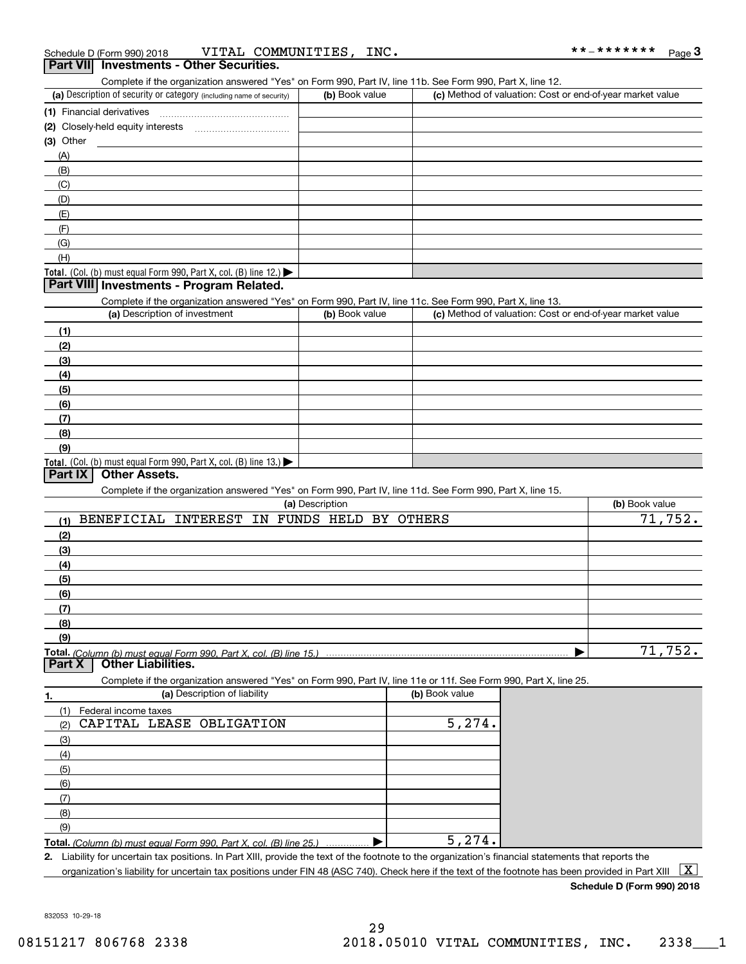| (a) Description of security or category (including name of security)                                                                        | (b) Book value          | Complete if the organization answered "Yes" on Form 990, Part IV, line 11b. See Form 990, Part X, line 12. | (c) Method of valuation: Cost or end-of-year market value |                |
|---------------------------------------------------------------------------------------------------------------------------------------------|-------------------------|------------------------------------------------------------------------------------------------------------|-----------------------------------------------------------|----------------|
|                                                                                                                                             |                         |                                                                                                            |                                                           |                |
| (1) Financial derivatives                                                                                                                   |                         |                                                                                                            |                                                           |                |
| (2) Closely-held equity interests                                                                                                           |                         |                                                                                                            |                                                           |                |
| $(3)$ Other                                                                                                                                 |                         |                                                                                                            |                                                           |                |
| (A)                                                                                                                                         |                         |                                                                                                            |                                                           |                |
| (B)                                                                                                                                         |                         |                                                                                                            |                                                           |                |
| (C)                                                                                                                                         |                         |                                                                                                            |                                                           |                |
| (D)                                                                                                                                         |                         |                                                                                                            |                                                           |                |
| (E)                                                                                                                                         |                         |                                                                                                            |                                                           |                |
| (F)                                                                                                                                         |                         |                                                                                                            |                                                           |                |
| (G)                                                                                                                                         |                         |                                                                                                            |                                                           |                |
| (H)                                                                                                                                         |                         |                                                                                                            |                                                           |                |
| <b>Total.</b> (Col. (b) must equal Form 990, Part X, col. (B) line 12.)<br>Part VIII Investments - Program Related.                         |                         |                                                                                                            |                                                           |                |
|                                                                                                                                             |                         |                                                                                                            |                                                           |                |
| Complete if the organization answered "Yes" on Form 990, Part IV, line 11c. See Form 990, Part X, line 13.<br>(a) Description of investment |                         |                                                                                                            |                                                           |                |
|                                                                                                                                             | (b) Book value          |                                                                                                            | (c) Method of valuation: Cost or end-of-year market value |                |
| (1)                                                                                                                                         |                         |                                                                                                            |                                                           |                |
| (2)                                                                                                                                         |                         |                                                                                                            |                                                           |                |
| (3)                                                                                                                                         |                         |                                                                                                            |                                                           |                |
| (4)                                                                                                                                         |                         |                                                                                                            |                                                           |                |
| (5)                                                                                                                                         |                         |                                                                                                            |                                                           |                |
| (6)                                                                                                                                         |                         |                                                                                                            |                                                           |                |
| (7)                                                                                                                                         |                         |                                                                                                            |                                                           |                |
| (8)                                                                                                                                         |                         |                                                                                                            |                                                           |                |
| (9)                                                                                                                                         |                         |                                                                                                            |                                                           |                |
|                                                                                                                                             |                         |                                                                                                            |                                                           |                |
| <b>Total.</b> (Col. (b) must equal Form 990, Part X, col. (B) line 13.)                                                                     |                         |                                                                                                            |                                                           |                |
| <b>Other Assets.</b><br>Part IX                                                                                                             |                         |                                                                                                            |                                                           |                |
| Complete if the organization answered "Yes" on Form 990, Part IV, line 11d. See Form 990, Part X, line 15.                                  |                         |                                                                                                            |                                                           |                |
|                                                                                                                                             | (a) Description         |                                                                                                            |                                                           | (b) Book value |
| <b>BENEFICIAL</b><br>INTEREST<br>(1)                                                                                                        | IN FUNDS HELD BY OTHERS |                                                                                                            |                                                           |                |
| (2)                                                                                                                                         |                         |                                                                                                            |                                                           |                |
| (3)                                                                                                                                         |                         |                                                                                                            |                                                           |                |
| (4)                                                                                                                                         |                         |                                                                                                            |                                                           |                |
| (5)                                                                                                                                         |                         |                                                                                                            |                                                           |                |
| (6)                                                                                                                                         |                         |                                                                                                            |                                                           |                |
| (7)                                                                                                                                         |                         |                                                                                                            |                                                           |                |
| (8)                                                                                                                                         |                         |                                                                                                            |                                                           |                |
| (9)                                                                                                                                         |                         |                                                                                                            |                                                           | 71,752.        |
|                                                                                                                                             |                         |                                                                                                            |                                                           | 71,752.        |
| <b>Other Liabilities.</b><br>Part X                                                                                                         |                         |                                                                                                            |                                                           |                |
| Complete if the organization answered "Yes" on Form 990, Part IV, line 11e or 11f. See Form 990, Part X, line 25.                           |                         |                                                                                                            |                                                           |                |
| (a) Description of liability                                                                                                                |                         | (b) Book value                                                                                             |                                                           |                |
| (1)                                                                                                                                         |                         |                                                                                                            |                                                           |                |
| Federal income taxes<br>CAPITAL LEASE<br>OBLIGATION<br>(2)                                                                                  |                         | 5, 274.                                                                                                    |                                                           |                |
| (3)                                                                                                                                         |                         |                                                                                                            |                                                           |                |
|                                                                                                                                             |                         |                                                                                                            |                                                           |                |
| (4)                                                                                                                                         |                         |                                                                                                            |                                                           |                |
| (5)                                                                                                                                         |                         |                                                                                                            |                                                           |                |
| 1.<br>(6)                                                                                                                                   |                         |                                                                                                            |                                                           |                |
| (7)                                                                                                                                         |                         |                                                                                                            |                                                           |                |
| (8)<br>(9)                                                                                                                                  |                         |                                                                                                            |                                                           |                |

organization's liability for uncertain tax positions under FIN 48 (ASC 740). Check here if the text of the footnote has been provided in Part XIII  $~\boxed{{\rm X}}$ 

**Schedule D (Form 990) 2018**

832053 10-29-18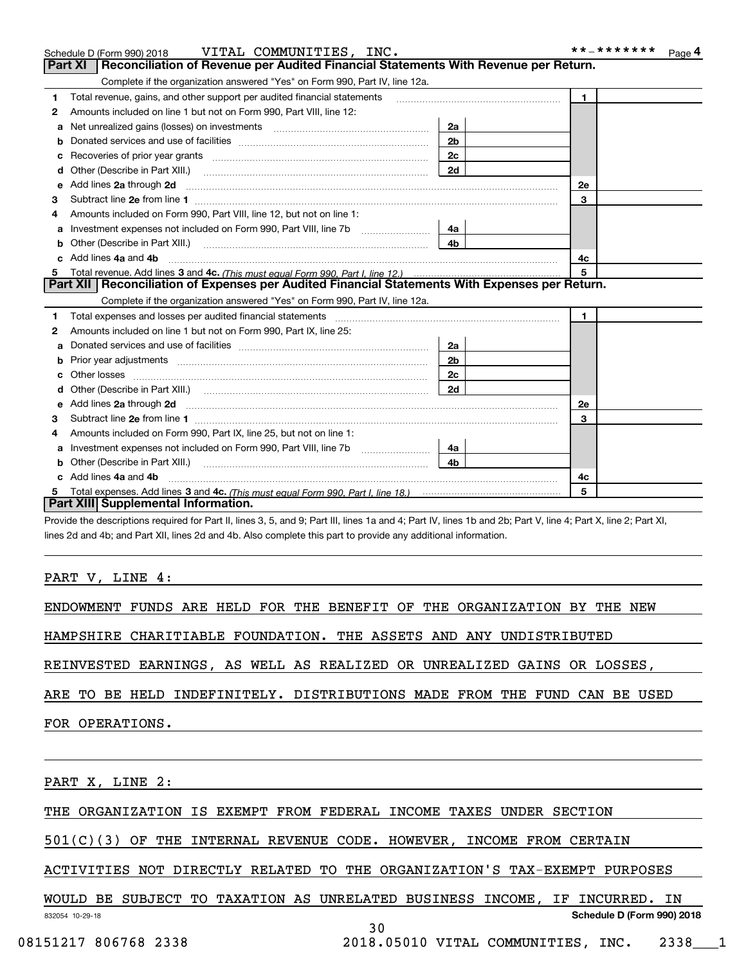|    | Schedule D (Form 990) 2018 VITAL COMMUNITIES, INC.                                                                                                                                                                             |                | * * _ * * * * * * *<br>Page 4 |
|----|--------------------------------------------------------------------------------------------------------------------------------------------------------------------------------------------------------------------------------|----------------|-------------------------------|
|    | Part XI<br>Reconciliation of Revenue per Audited Financial Statements With Revenue per Return.                                                                                                                                 |                |                               |
|    | Complete if the organization answered "Yes" on Form 990, Part IV, line 12a.                                                                                                                                                    |                |                               |
| 1  | Total revenue, gains, and other support per audited financial statements                                                                                                                                                       |                | $\mathbf{1}$                  |
| 2  | Amounts included on line 1 but not on Form 990, Part VIII, line 12:                                                                                                                                                            |                |                               |
| a  | Net unrealized gains (losses) on investments [11] matter contracts and the unrealized gains (losses) on investments                                                                                                            | 2a             |                               |
|    |                                                                                                                                                                                                                                | 2 <sub>b</sub> |                               |
|    |                                                                                                                                                                                                                                | 2c             |                               |
| d  |                                                                                                                                                                                                                                | 2d             |                               |
| е  | Add lines 2a through 2d <b>must be a constructed as the constant of the constant of the constant of the construction</b>                                                                                                       |                | <b>2e</b>                     |
| 3  |                                                                                                                                                                                                                                |                | 3                             |
| 4  | Amounts included on Form 990, Part VIII, line 12, but not on line 1:                                                                                                                                                           |                |                               |
|    |                                                                                                                                                                                                                                | 4a             |                               |
| b  |                                                                                                                                                                                                                                | 4 <sub>b</sub> |                               |
| c. | Add lines 4a and 4b                                                                                                                                                                                                            |                | 4c                            |
|    |                                                                                                                                                                                                                                |                | 5                             |
|    | Part XII   Reconciliation of Expenses per Audited Financial Statements With Expenses per Return.                                                                                                                               |                |                               |
|    | Complete if the organization answered "Yes" on Form 990, Part IV, line 12a.                                                                                                                                                    |                |                               |
| 1  | Total expenses and losses per audited financial statements [11] [12] contain an according to the statements [11] [12] and the statements [12] and the statements [12] and the statements and the statements and the statements |                | $\mathbf{1}$                  |
| 2  | Amounts included on line 1 but not on Form 990, Part IX, line 25:                                                                                                                                                              |                |                               |
| a  |                                                                                                                                                                                                                                | 2a             |                               |
|    |                                                                                                                                                                                                                                | 2 <sub>b</sub> |                               |
| c  |                                                                                                                                                                                                                                | 2с             |                               |
| d  |                                                                                                                                                                                                                                | 2d             |                               |
|    |                                                                                                                                                                                                                                |                | 2e                            |
| 3  |                                                                                                                                                                                                                                |                | 3                             |
| 4  | Amounts included on Form 990, Part IX, line 25, but not on line 1:                                                                                                                                                             |                |                               |
|    | Investment expenses not included on Form 990, Part VIII, line 7b [1000000000000000000000000000000000                                                                                                                           | 4a l           |                               |
| b  |                                                                                                                                                                                                                                | 4b.            |                               |
|    | c Add lines 4a and 4b                                                                                                                                                                                                          |                | 4c                            |
|    |                                                                                                                                                                                                                                |                | 5                             |
|    | Part XIII Supplemental Information.                                                                                                                                                                                            |                |                               |

Provide the descriptions required for Part II, lines 3, 5, and 9; Part III, lines 1a and 4; Part IV, lines 1b and 2b; Part V, line 4; Part X, line 2; Part XI, lines 2d and 4b; and Part XII, lines 2d and 4b. Also complete this part to provide any additional information.

### PART V, LINE 4:

ENDOWMENT FUNDS ARE HELD FOR THE BENEFIT OF THE ORGANIZATION BY THE NEW

HAMPSHIRE CHARITIABLE FOUNDATION. THE ASSETS AND ANY UNDISTRIBUTED

REINVESTED EARNINGS, AS WELL AS REALIZED OR UNREALIZED GAINS OR LOSSES,

ARE TO BE HELD INDEFINITELY. DISTRIBUTIONS MADE FROM THE FUND CAN BE USED

FOR OPERATIONS.

PART X, LINE 2:

THE ORGANIZATION IS EXEMPT FROM FEDERAL INCOME TAXES UNDER SECTION

501(C)(3) OF THE INTERNAL REVENUE CODE. HOWEVER, INCOME FROM CERTAIN

ACTIVITIES NOT DIRECTLY RELATED TO THE ORGANIZATION'S TAX-EXEMPT PURPOSES

832054 10-29-18 **Schedule D (Form 990) 2018** WOULD BE SUBJECT TO TAXATION AS UNRELATED BUSINESS INCOME, IF INCURRED. IN

30

08151217 806768 2338 2018.05010 VITAL COMMUNITIES, INC. 2338 1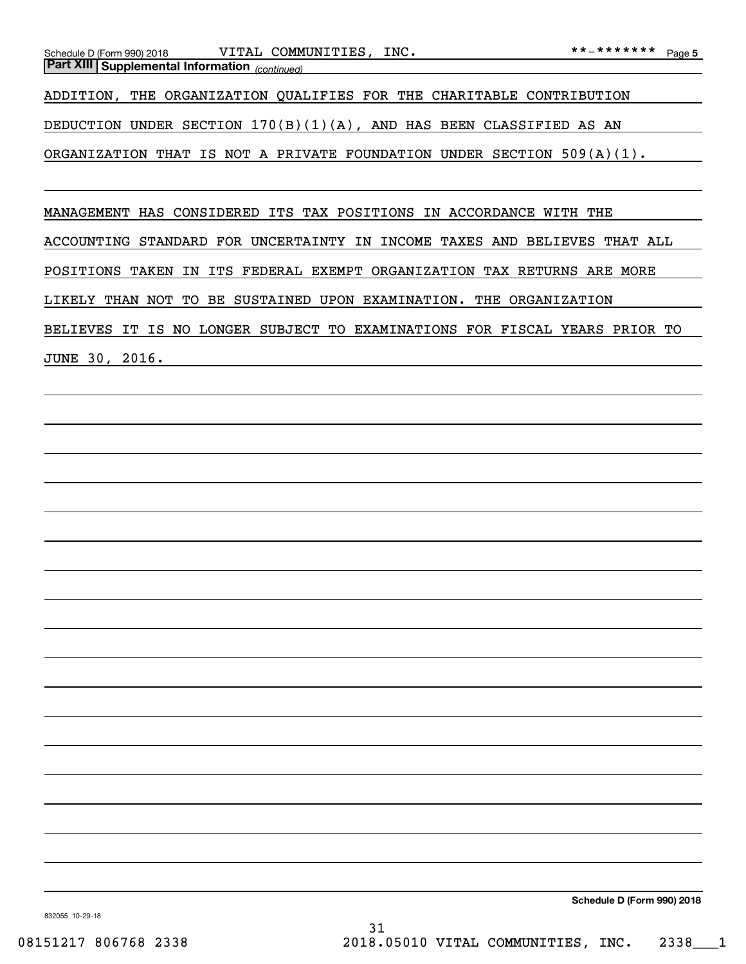ADDITION, THE ORGANIZATION QUALIFIES FOR THE CHARITABLE CONTRIBUTION

DEDUCTION UNDER SECTION  $170(B)(1)(A)$ , AND HAS BEEN CLASSIFIED AS AN

ORGANIZATION THAT IS NOT A PRIVATE FOUNDATION UNDER SECTION 509(A)(1).

MANAGEMENT HAS CONSIDERED ITS TAX POSITIONS IN ACCORDANCE WITH THE

ACCOUNTING STANDARD FOR UNCERTAINTY IN INCOME TAXES AND BELIEVES THAT ALL

POSITIONS TAKEN IN ITS FEDERAL EXEMPT ORGANIZATION TAX RETURNS ARE MORE

LIKELY THAN NOT TO BE SUSTAINED UPON EXAMINATION. THE ORGANIZATION

BELIEVES IT IS NO LONGER SUBJECT TO EXAMINATIONS FOR FISCAL YEARS PRIOR TO

JUNE 30, 2016.

**Schedule D (Form 990) 2018**

832055 10-29-18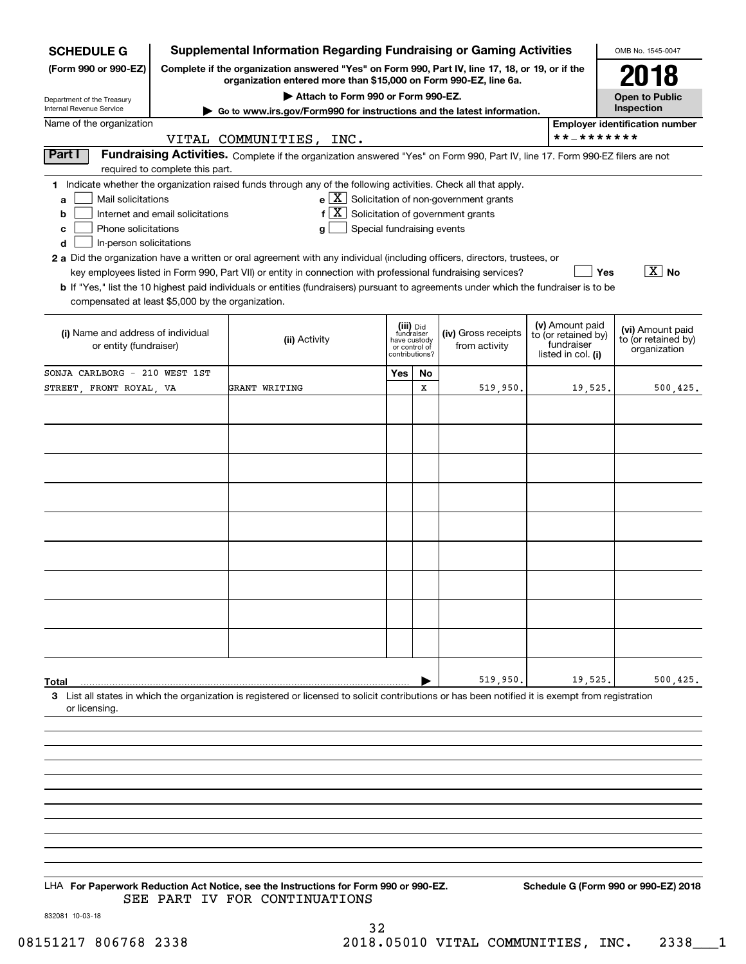| <b>SCHEDULE G</b>                                                                                                          |                                 | <b>Supplemental Information Regarding Fundraising or Gaming Activities</b>                                                                                          |     |                                         |                     |                     |                                  | OMB No. 1545-0047                       |
|----------------------------------------------------------------------------------------------------------------------------|---------------------------------|---------------------------------------------------------------------------------------------------------------------------------------------------------------------|-----|-----------------------------------------|---------------------|---------------------|----------------------------------|-----------------------------------------|
| (Form 990 or 990-EZ)                                                                                                       |                                 | Complete if the organization answered "Yes" on Form 990, Part IV, line 17, 18, or 19, or if the<br>organization entered more than \$15,000 on Form 990-EZ, line 6a. |     |                                         |                     |                     |                                  | 2018                                    |
| Department of the Treasury                                                                                                 |                                 | Attach to Form 990 or Form 990-EZ.                                                                                                                                  |     |                                         |                     |                     |                                  | <b>Open to Public</b>                   |
| Internal Revenue Service                                                                                                   |                                 | ► Go to www.irs.gov/Form990 for instructions and the latest information.                                                                                            |     |                                         |                     |                     |                                  | Inspection                              |
| Name of the organization                                                                                                   |                                 |                                                                                                                                                                     |     |                                         |                     |                     | **_*******                       | <b>Employer identification number</b>   |
| Part I                                                                                                                     |                                 | VITAL COMMUNITIES, INC.<br>Fundraising Activities. Complete if the organization answered "Yes" on Form 990, Part IV, line 17. Form 990-EZ filers are not            |     |                                         |                     |                     |                                  |                                         |
|                                                                                                                            | required to complete this part. |                                                                                                                                                                     |     |                                         |                     |                     |                                  |                                         |
|                                                                                                                            |                                 | 1 Indicate whether the organization raised funds through any of the following activities. Check all that apply.                                                     |     |                                         |                     |                     |                                  |                                         |
| $\mathbf{e} \times \mathbf{X}$ Solicitation of non-government grants<br>Mail solicitations<br>a                            |                                 |                                                                                                                                                                     |     |                                         |                     |                     |                                  |                                         |
| f $X$ Solicitation of government grants<br>Internet and email solicitations<br>b                                           |                                 |                                                                                                                                                                     |     |                                         |                     |                     |                                  |                                         |
| Special fundraising events<br>Phone solicitations<br>с<br>g                                                                |                                 |                                                                                                                                                                     |     |                                         |                     |                     |                                  |                                         |
| In-person solicitations<br>d                                                                                               |                                 |                                                                                                                                                                     |     |                                         |                     |                     |                                  |                                         |
| 2 a Did the organization have a written or oral agreement with any individual (including officers, directors, trustees, or |                                 |                                                                                                                                                                     |     |                                         |                     |                     |                                  |                                         |
| key employees listed in Form 990, Part VII) or entity in connection with professional fundraising services?<br>Yes         |                                 |                                                                                                                                                                     |     |                                         |                     | $ \overline{X} $ No |                                  |                                         |
|                                                                                                                            |                                 | <b>b</b> If "Yes," list the 10 highest paid individuals or entities (fundraisers) pursuant to agreements under which the fundraiser is to be                        |     |                                         |                     |                     |                                  |                                         |
| compensated at least \$5,000 by the organization.                                                                          |                                 |                                                                                                                                                                     |     |                                         |                     |                     |                                  |                                         |
|                                                                                                                            |                                 |                                                                                                                                                                     |     |                                         |                     |                     | (v) Amount paid                  |                                         |
| (i) Name and address of individual                                                                                         |                                 | (ii) Activity                                                                                                                                                       |     | (iii) Did<br>fundraiser<br>have custody | (iv) Gross receipts |                     | to (or retained by)              | (vi) Amount paid<br>to (or retained by) |
| or entity (fundraiser)                                                                                                     |                                 |                                                                                                                                                                     |     | or control of<br>contributions?         | from activity       |                     | fundraiser<br>listed in col. (i) | organization                            |
| SONJA CARLBORG - 210 WEST 1ST                                                                                              |                                 |                                                                                                                                                                     |     |                                         |                     |                     |                                  |                                         |
| STREET FRONT ROYAL VA                                                                                                      |                                 | GRANT WRITING                                                                                                                                                       | Yes | No<br>X                                 | 519,950.            |                     | 19,525.                          | 500, 425.                               |
|                                                                                                                            |                                 |                                                                                                                                                                     |     |                                         |                     |                     |                                  |                                         |
|                                                                                                                            |                                 |                                                                                                                                                                     |     |                                         |                     |                     |                                  |                                         |
|                                                                                                                            |                                 |                                                                                                                                                                     |     |                                         |                     |                     |                                  |                                         |
|                                                                                                                            |                                 |                                                                                                                                                                     |     |                                         |                     |                     |                                  |                                         |
|                                                                                                                            |                                 |                                                                                                                                                                     |     |                                         |                     |                     |                                  |                                         |
|                                                                                                                            |                                 |                                                                                                                                                                     |     |                                         |                     |                     |                                  |                                         |
|                                                                                                                            |                                 |                                                                                                                                                                     |     |                                         |                     |                     |                                  |                                         |
|                                                                                                                            |                                 |                                                                                                                                                                     |     |                                         |                     |                     |                                  |                                         |
|                                                                                                                            |                                 |                                                                                                                                                                     |     |                                         |                     |                     |                                  |                                         |
|                                                                                                                            |                                 |                                                                                                                                                                     |     |                                         |                     |                     |                                  |                                         |
|                                                                                                                            |                                 |                                                                                                                                                                     |     |                                         |                     |                     |                                  |                                         |
|                                                                                                                            |                                 |                                                                                                                                                                     |     |                                         |                     |                     |                                  |                                         |
|                                                                                                                            |                                 |                                                                                                                                                                     |     |                                         |                     |                     |                                  |                                         |
|                                                                                                                            |                                 |                                                                                                                                                                     |     |                                         |                     |                     |                                  |                                         |
|                                                                                                                            |                                 |                                                                                                                                                                     |     |                                         |                     |                     |                                  |                                         |
|                                                                                                                            |                                 |                                                                                                                                                                     |     |                                         |                     |                     |                                  |                                         |
|                                                                                                                            |                                 |                                                                                                                                                                     |     |                                         |                     |                     |                                  |                                         |
|                                                                                                                            |                                 |                                                                                                                                                                     |     |                                         |                     |                     |                                  |                                         |
| Total                                                                                                                      |                                 |                                                                                                                                                                     |     |                                         | 519,950             |                     | 19,525                           | 500, 425.                               |
|                                                                                                                            |                                 | 3 List all states in which the organization is registered or licensed to solicit contributions or has been notified it is exempt from registration                  |     |                                         |                     |                     |                                  |                                         |
| or licensing.                                                                                                              |                                 |                                                                                                                                                                     |     |                                         |                     |                     |                                  |                                         |
|                                                                                                                            |                                 |                                                                                                                                                                     |     |                                         |                     |                     |                                  |                                         |
|                                                                                                                            |                                 |                                                                                                                                                                     |     |                                         |                     |                     |                                  |                                         |
|                                                                                                                            |                                 |                                                                                                                                                                     |     |                                         |                     |                     |                                  |                                         |
|                                                                                                                            |                                 |                                                                                                                                                                     |     |                                         |                     |                     |                                  |                                         |
|                                                                                                                            |                                 |                                                                                                                                                                     |     |                                         |                     |                     |                                  |                                         |

LHA For Paperwork Reduction Act Notice, see the Instructions for Form 990 or 990-EZ. Schedule G (Form 990 or 990-EZ) 2018 SEE PART IV FOR CONTINUATIONS

832081 10-03-18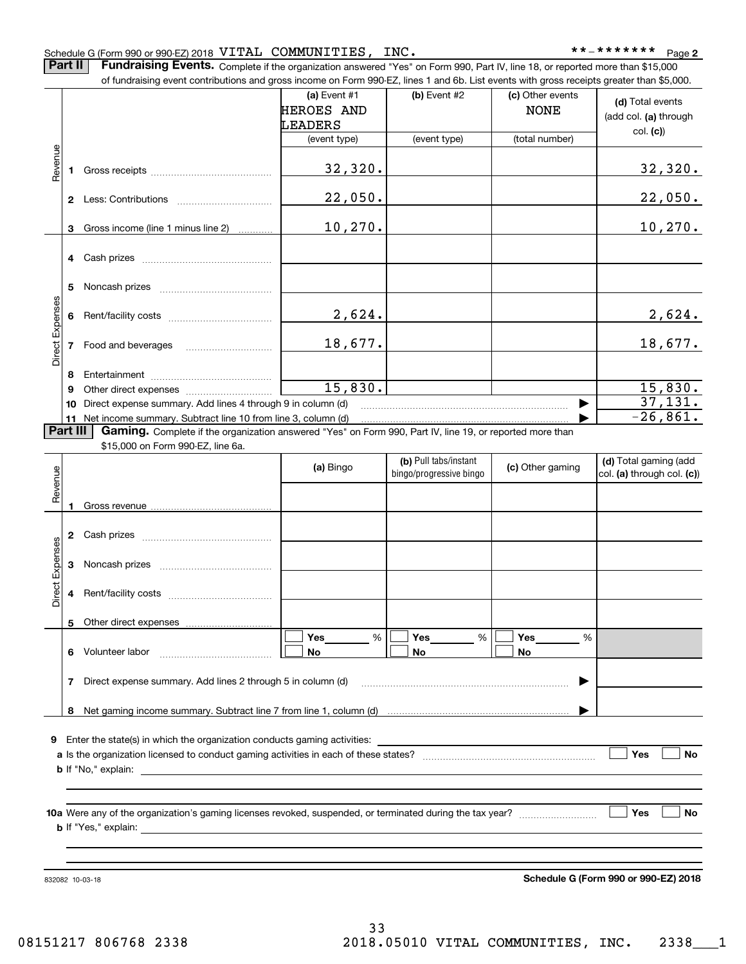### Schedule G (Form 990 or 990-EZ) 2018 <code>VITAL COMMUNITIES</code> , <code>INC</code> .  $\hfill$  \* \*  $\hfill$  \* \* - \* \* \* \* \* \* \* Page

**2**

Part II | Fundraising Events. Complete if the organization answered "Yes" on Form 990, Part IV, line 18, or reported more than \$15,000 of fundraising event contributions and gross income on Form 990-EZ, lines 1 and 6b. List events with gross receipts greater than \$5,000.

|                 |        | of fundraising event contributions and gross income on Form 990-EZ, lines T and 6D. List events with gross receipts greater than \$5,000. | (a) Event $#1$<br>HEROES AND<br>LEADERS | $(b)$ Event #2                                   | (c) Other events<br><b>NONE</b> | (d) Total events<br>(add col. (a) through<br>col. (c) |
|-----------------|--------|-------------------------------------------------------------------------------------------------------------------------------------------|-----------------------------------------|--------------------------------------------------|---------------------------------|-------------------------------------------------------|
|                 |        |                                                                                                                                           | (event type)                            | (event type)                                     | (total number)                  |                                                       |
| Revenue         | 1      |                                                                                                                                           | 32,320.                                 |                                                  |                                 | 32,320.                                               |
|                 |        |                                                                                                                                           | 22,050.                                 |                                                  |                                 | 22,050.                                               |
|                 | 3      | Gross income (line 1 minus line 2)                                                                                                        | 10,270.                                 |                                                  |                                 | 10, 270.                                              |
|                 | 4      | Cash prizes                                                                                                                               |                                         |                                                  |                                 |                                                       |
|                 | 5      |                                                                                                                                           |                                         |                                                  |                                 |                                                       |
| Direct Expenses | 6      |                                                                                                                                           | 2,624.                                  |                                                  |                                 | 2,624.                                                |
|                 | 7      |                                                                                                                                           | 18,677.                                 |                                                  |                                 | 18,677.                                               |
|                 |        |                                                                                                                                           |                                         |                                                  |                                 |                                                       |
|                 | 8<br>9 |                                                                                                                                           | 15,830.                                 |                                                  |                                 | 15,830.                                               |
|                 | 10     | Direct expense summary. Add lines 4 through 9 in column (d)                                                                               |                                         |                                                  |                                 | 37,131.                                               |
|                 |        | 11 Net income summary. Subtract line 10 from line 3, column (d)                                                                           |                                         |                                                  |                                 | $\overline{-26}$ , 861.                               |
| Part III        |        | Gaming. Complete if the organization answered "Yes" on Form 990, Part IV, line 19, or reported more than                                  |                                         |                                                  |                                 |                                                       |
|                 |        | \$15,000 on Form 990-EZ, line 6a.                                                                                                         |                                         |                                                  |                                 |                                                       |
| Revenue         |        |                                                                                                                                           | (a) Bingo                               | (b) Pull tabs/instant<br>bingo/progressive bingo | (c) Other gaming                | (d) Total gaming (add<br>col. (a) through col. (c))   |
|                 | 1      |                                                                                                                                           |                                         |                                                  |                                 |                                                       |
|                 | 2      |                                                                                                                                           |                                         |                                                  |                                 |                                                       |
|                 | 3      |                                                                                                                                           |                                         |                                                  |                                 |                                                       |
| Direct Expenses | 4      |                                                                                                                                           |                                         |                                                  |                                 |                                                       |
|                 |        | 5 Other direct expenses                                                                                                                   |                                         |                                                  |                                 |                                                       |
|                 |        |                                                                                                                                           | Yes<br>%                                | Yes<br>%                                         | Yes<br>%                        |                                                       |
|                 | 6      | Volunteer labor                                                                                                                           | No                                      | No                                               | No                              |                                                       |
|                 |        |                                                                                                                                           |                                         |                                                  |                                 |                                                       |
|                 | 7      | Direct expense summary. Add lines 2 through 5 in column (d)                                                                               |                                         |                                                  |                                 |                                                       |
|                 | 8      |                                                                                                                                           |                                         |                                                  |                                 |                                                       |
|                 |        |                                                                                                                                           |                                         |                                                  |                                 |                                                       |
|                 |        | 9 Enter the state(s) in which the organization conducts gaming activities:                                                                |                                         |                                                  |                                 |                                                       |
|                 |        |                                                                                                                                           |                                         |                                                  |                                 | Yes<br>No                                             |
|                 |        | <b>b</b> If "No," explain:                                                                                                                |                                         |                                                  |                                 |                                                       |
|                 |        |                                                                                                                                           |                                         |                                                  |                                 |                                                       |
|                 |        |                                                                                                                                           |                                         |                                                  |                                 |                                                       |
|                 |        |                                                                                                                                           |                                         |                                                  |                                 | Yes<br>No                                             |
|                 |        | <b>b</b> If "Yes," explain:                                                                                                               |                                         |                                                  |                                 |                                                       |
|                 |        |                                                                                                                                           |                                         |                                                  |                                 |                                                       |
|                 |        |                                                                                                                                           |                                         |                                                  |                                 |                                                       |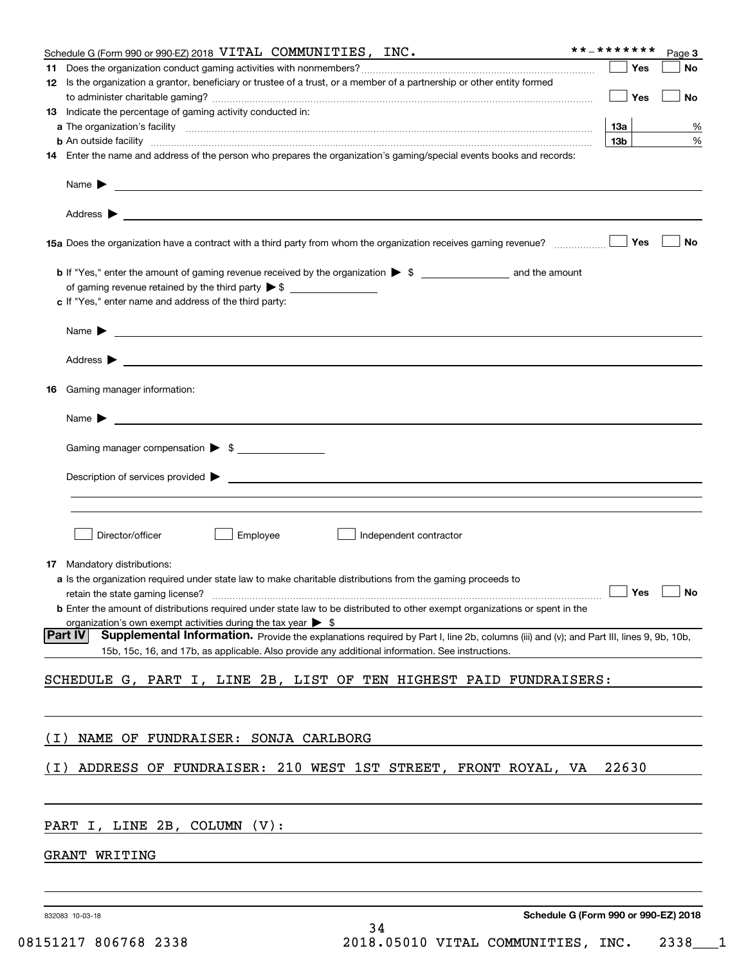|       | Schedule G (Form 990 or 990-EZ) 2018 VITAL COMMUNITIES, INC.                                                                                                                                                                                                 | **_*******      | Page 3                               |
|-------|--------------------------------------------------------------------------------------------------------------------------------------------------------------------------------------------------------------------------------------------------------------|-----------------|--------------------------------------|
|       |                                                                                                                                                                                                                                                              |                 | Yes<br>No                            |
|       | 12 Is the organization a grantor, beneficiary or trustee of a trust, or a member of a partnership or other entity formed                                                                                                                                     | Yes             | No                                   |
|       | <b>13</b> Indicate the percentage of gaming activity conducted in:                                                                                                                                                                                           |                 |                                      |
|       |                                                                                                                                                                                                                                                              | 13а             | %                                    |
|       | <b>b</b> An outside facility <i>www.communicality communicality communicality communicality communicality communicality communicality communicality communicality communicality communicality communicality communicality communicali</i>                    | 13 <sub>b</sub> | $\%$                                 |
|       | 14 Enter the name and address of the person who prepares the organization's gaming/special events books and records:                                                                                                                                         |                 |                                      |
|       |                                                                                                                                                                                                                                                              |                 |                                      |
|       |                                                                                                                                                                                                                                                              |                 |                                      |
|       |                                                                                                                                                                                                                                                              |                 | Yes<br><b>No</b>                     |
|       |                                                                                                                                                                                                                                                              |                 |                                      |
|       | c If "Yes," enter name and address of the third party:                                                                                                                                                                                                       |                 |                                      |
|       | Name $\blacktriangleright$ $\bot$                                                                                                                                                                                                                            |                 |                                      |
|       |                                                                                                                                                                                                                                                              |                 |                                      |
| 16.   | Gaming manager information:                                                                                                                                                                                                                                  |                 |                                      |
|       | Name $\blacktriangleright$ $\lrcorner$                                                                                                                                                                                                                       |                 |                                      |
|       | Gaming manager compensation > \$                                                                                                                                                                                                                             |                 |                                      |
|       |                                                                                                                                                                                                                                                              |                 |                                      |
|       |                                                                                                                                                                                                                                                              |                 |                                      |
|       | Employee<br>Director/officer<br>Independent contractor                                                                                                                                                                                                       |                 |                                      |
|       | 17 Mandatory distributions:                                                                                                                                                                                                                                  |                 |                                      |
|       | a Is the organization required under state law to make charitable distributions from the gaming proceeds to                                                                                                                                                  |                 |                                      |
|       | retain the state gaming license? <b>Construction and the state gaming license</b> ? No                                                                                                                                                                       |                 |                                      |
|       | <b>b</b> Enter the amount of distributions required under state law to be distributed to other exempt organizations or spent in the<br>organization's own exempt activities during the tax year $\triangleright$ \$                                          |                 |                                      |
|       | <b>Part IV</b><br>Supplemental Information. Provide the explanations required by Part I, line 2b, columns (iii) and (v); and Part III, lines 9, 9b, 10b,<br>15b, 15c, 16, and 17b, as applicable. Also provide any additional information. See instructions. |                 |                                      |
|       | SCHEDULE G, PART I, LINE 2B, LIST OF TEN HIGHEST PAID FUNDRAISERS:                                                                                                                                                                                           |                 |                                      |
|       |                                                                                                                                                                                                                                                              |                 |                                      |
| ( I ) | NAME OF FUNDRAISER: SONJA CARLBORG                                                                                                                                                                                                                           |                 |                                      |
| ( I ) | ADDRESS OF FUNDRAISER: 210 WEST 1ST STREET, FRONT ROYAL, VA                                                                                                                                                                                                  | 22630           |                                      |
|       |                                                                                                                                                                                                                                                              |                 |                                      |
|       | PART I, LINE 2B, COLUMN (V):<br><u> 1989 - Johann Stein, marwolaethau a bhann an t-Amhainn an t-Amhainn an t-Amhainn an t-Amhainn an t-Amhainn a</u>                                                                                                         |                 |                                      |
|       | GRANT WRITING                                                                                                                                                                                                                                                |                 |                                      |
|       |                                                                                                                                                                                                                                                              |                 |                                      |
|       |                                                                                                                                                                                                                                                              |                 |                                      |
|       | 832083 10-03-18                                                                                                                                                                                                                                              |                 | Schedule G (Form 990 or 990-EZ) 2018 |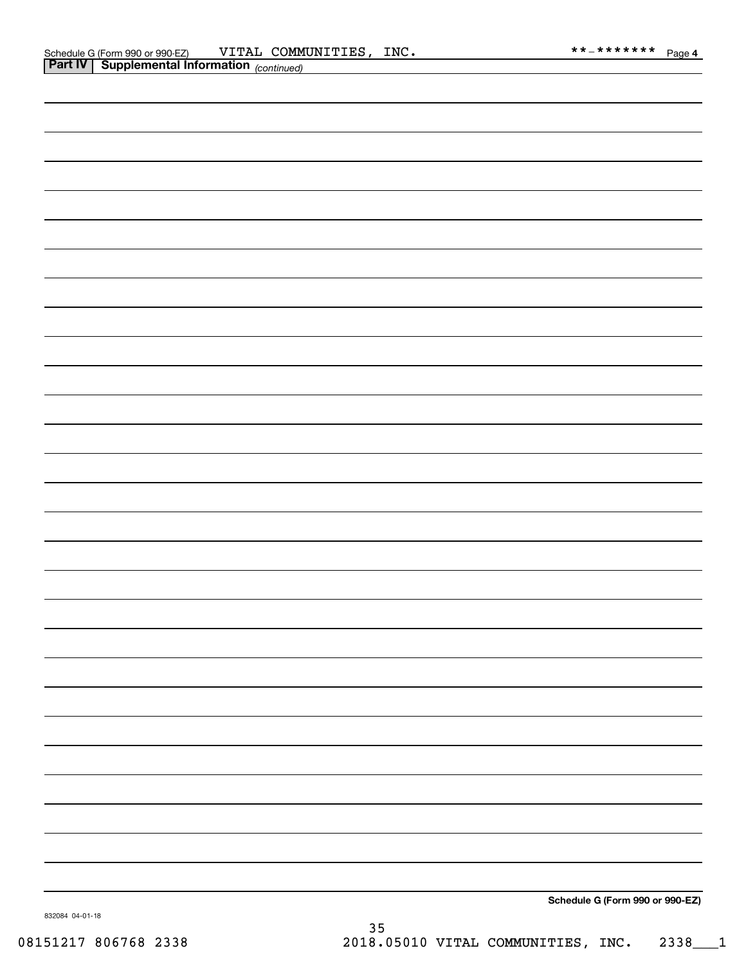| <b>Part IV Supplemental Information</b> (continued) |                                 |
|-----------------------------------------------------|---------------------------------|
|                                                     |                                 |
|                                                     |                                 |
|                                                     |                                 |
|                                                     |                                 |
|                                                     |                                 |
|                                                     |                                 |
|                                                     |                                 |
|                                                     |                                 |
|                                                     |                                 |
|                                                     |                                 |
|                                                     |                                 |
|                                                     |                                 |
|                                                     |                                 |
|                                                     |                                 |
|                                                     |                                 |
|                                                     |                                 |
|                                                     |                                 |
|                                                     |                                 |
|                                                     |                                 |
|                                                     |                                 |
|                                                     |                                 |
|                                                     |                                 |
|                                                     |                                 |
|                                                     |                                 |
|                                                     |                                 |
|                                                     |                                 |
|                                                     |                                 |
|                                                     |                                 |
|                                                     |                                 |
|                                                     |                                 |
|                                                     |                                 |
|                                                     | Schedule G (Form 990 or 990-EZ) |

832084 04-01-18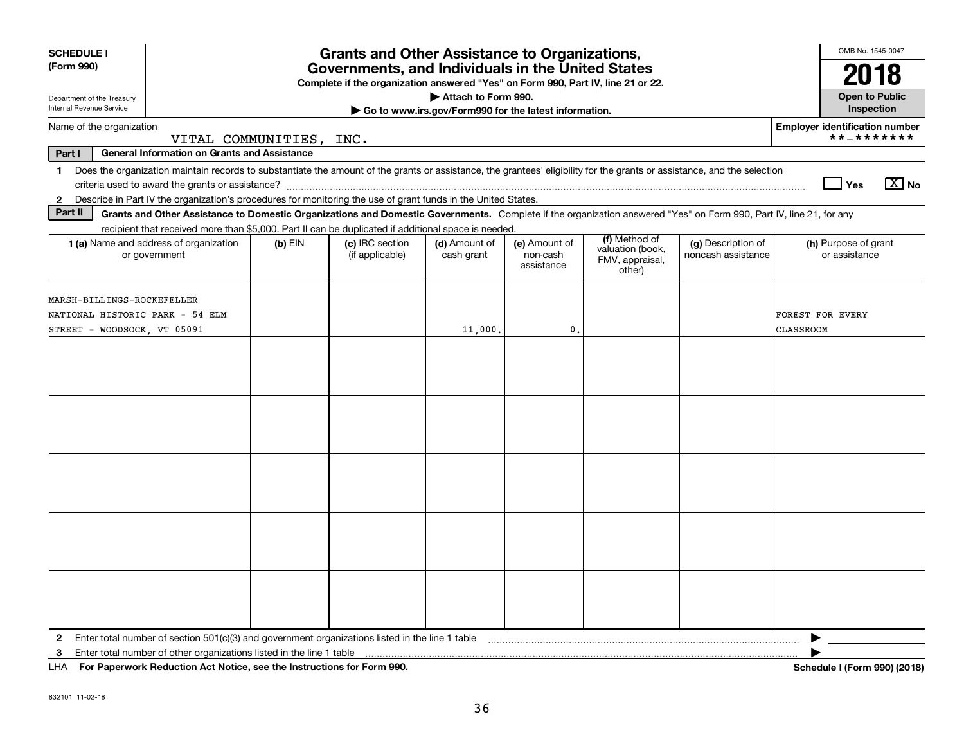| <b>SCHEDULE I</b>                                                                                                                                                                                                                                                                                                                                               |                         | <b>Grants and Other Assistance to Organizations,</b>                                                                                  |                                                                              |                                         |                                               |                                          | OMB No. 1545-0047                                   |
|-----------------------------------------------------------------------------------------------------------------------------------------------------------------------------------------------------------------------------------------------------------------------------------------------------------------------------------------------------------------|-------------------------|---------------------------------------------------------------------------------------------------------------------------------------|------------------------------------------------------------------------------|-----------------------------------------|-----------------------------------------------|------------------------------------------|-----------------------------------------------------|
| (Form 990)                                                                                                                                                                                                                                                                                                                                                      |                         | Governments, and Individuals in the United States<br>Complete if the organization answered "Yes" on Form 990, Part IV, line 21 or 22. |                                                                              |                                         |                                               |                                          | 2018                                                |
| Department of the Treasury<br>Internal Revenue Service                                                                                                                                                                                                                                                                                                          |                         |                                                                                                                                       | Attach to Form 990.<br>Go to www.irs.gov/Form990 for the latest information. |                                         |                                               |                                          | <b>Open to Public</b><br>Inspection                 |
| Name of the organization                                                                                                                                                                                                                                                                                                                                        | VITAL COMMUNITIES, INC. |                                                                                                                                       |                                                                              |                                         |                                               |                                          | <b>Employer identification number</b><br>**_******* |
| General Information on Grants and Assistance<br>Part I                                                                                                                                                                                                                                                                                                          |                         |                                                                                                                                       |                                                                              |                                         |                                               |                                          |                                                     |
| Does the organization maintain records to substantiate the amount of the grants or assistance, the grantees' eligibility for the grants or assistance, and the selection<br>1.<br>Describe in Part IV the organization's procedures for monitoring the use of grant funds in the United States.<br>$\mathbf{2}$                                                 |                         |                                                                                                                                       |                                                                              |                                         |                                               |                                          | $X$ No<br>Yes                                       |
| Part II<br>Grants and Other Assistance to Domestic Organizations and Domestic Governments. Complete if the organization answered "Yes" on Form 990, Part IV, line 21, for any                                                                                                                                                                                   |                         |                                                                                                                                       |                                                                              |                                         |                                               |                                          |                                                     |
| recipient that received more than \$5,000. Part II can be duplicated if additional space is needed.                                                                                                                                                                                                                                                             |                         |                                                                                                                                       |                                                                              |                                         | (f) Method of                                 |                                          |                                                     |
| <b>1 (a)</b> Name and address of organization<br>or government                                                                                                                                                                                                                                                                                                  | $(b)$ EIN               | (c) IRC section<br>(if applicable)                                                                                                    | (d) Amount of<br>cash grant                                                  | (e) Amount of<br>non-cash<br>assistance | valuation (book,<br>FMV, appraisal,<br>other) | (g) Description of<br>noncash assistance | (h) Purpose of grant<br>or assistance               |
| <b>MARSH-BILLINGS-ROCKEFELLER</b><br>NATIONAL HISTORIC PARK - 54 ELM<br>STREET - WOODSOCK, VT 05091                                                                                                                                                                                                                                                             |                         |                                                                                                                                       | 11,000.                                                                      | $\mathfrak{o}$ .                        |                                               |                                          | FOREST FOR EVERY<br><b>CLASSROOM</b>                |
|                                                                                                                                                                                                                                                                                                                                                                 |                         |                                                                                                                                       |                                                                              |                                         |                                               |                                          |                                                     |
|                                                                                                                                                                                                                                                                                                                                                                 |                         |                                                                                                                                       |                                                                              |                                         |                                               |                                          |                                                     |
|                                                                                                                                                                                                                                                                                                                                                                 |                         |                                                                                                                                       |                                                                              |                                         |                                               |                                          |                                                     |
|                                                                                                                                                                                                                                                                                                                                                                 |                         |                                                                                                                                       |                                                                              |                                         |                                               |                                          |                                                     |
|                                                                                                                                                                                                                                                                                                                                                                 |                         |                                                                                                                                       |                                                                              |                                         |                                               |                                          |                                                     |
| 2 Enter total number of section 501(c)(3) and government organizations listed in the line 1 table [10] content content content and the line in table [10] content content content and material content and the line 1 table [1<br>3<br>$111A - 2.0$ . The contract $B_1$ denotes $A_2$ to $A_3$ the second contract the contract $A_3$ of $B_3$ and $A_3$ $A_4$ |                         |                                                                                                                                       |                                                                              |                                         |                                               |                                          | ▶<br><b>L.L. LIP 0001/00401</b>                     |

**For Paperwork Reduction Act Notice, see the Instructions for Form 990. Schedule I (Form 990) (2018)** LHA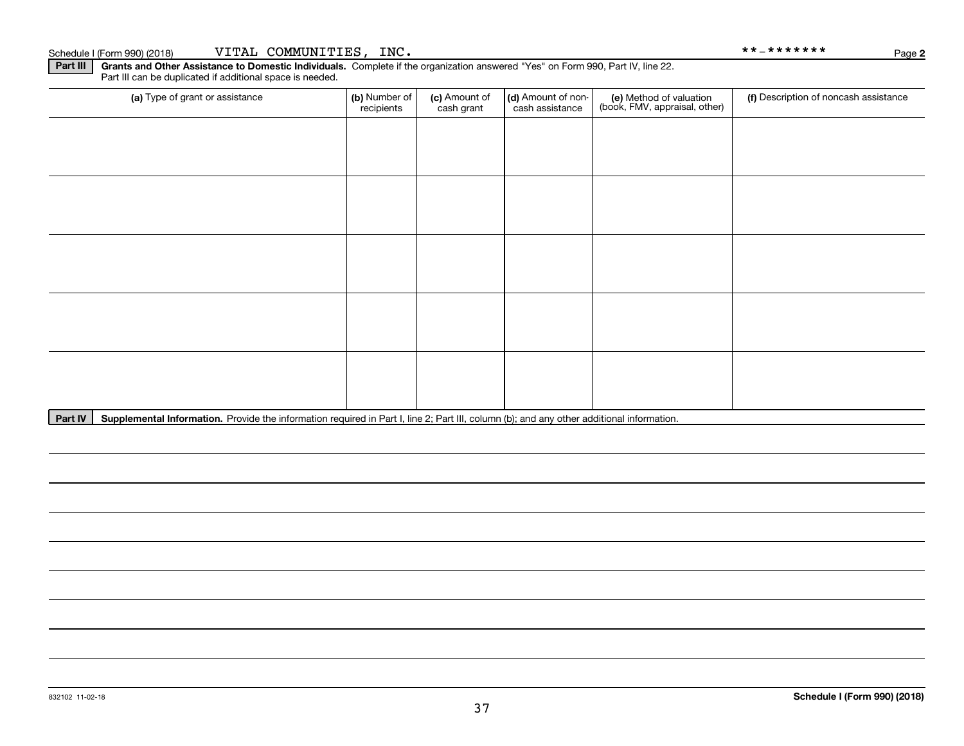Part III | Grants and Other Assistance to Domestic Individuals. Complete if the organization answered "Yes" on Form 990, Part IV, line 22. Part III can be duplicated if additional space is needed.

| (a) Type of grant or assistance | (b) Number of<br>recipients | (c) Amount of<br>cash grant | (d) Amount of non-<br>cash assistance | (e) Method of valuation<br>(book, FMV, appraisal, other) | (f) Description of noncash assistance |
|---------------------------------|-----------------------------|-----------------------------|---------------------------------------|----------------------------------------------------------|---------------------------------------|
|                                 |                             |                             |                                       |                                                          |                                       |
|                                 |                             |                             |                                       |                                                          |                                       |
|                                 |                             |                             |                                       |                                                          |                                       |
|                                 |                             |                             |                                       |                                                          |                                       |
|                                 |                             |                             |                                       |                                                          |                                       |
|                                 |                             |                             |                                       |                                                          |                                       |
|                                 |                             |                             |                                       |                                                          |                                       |
|                                 |                             |                             |                                       |                                                          |                                       |
|                                 |                             |                             |                                       |                                                          |                                       |
|                                 |                             |                             |                                       |                                                          |                                       |

Part IV | Supplemental Information. Provide the information required in Part I, line 2; Part III, column (b); and any other additional information.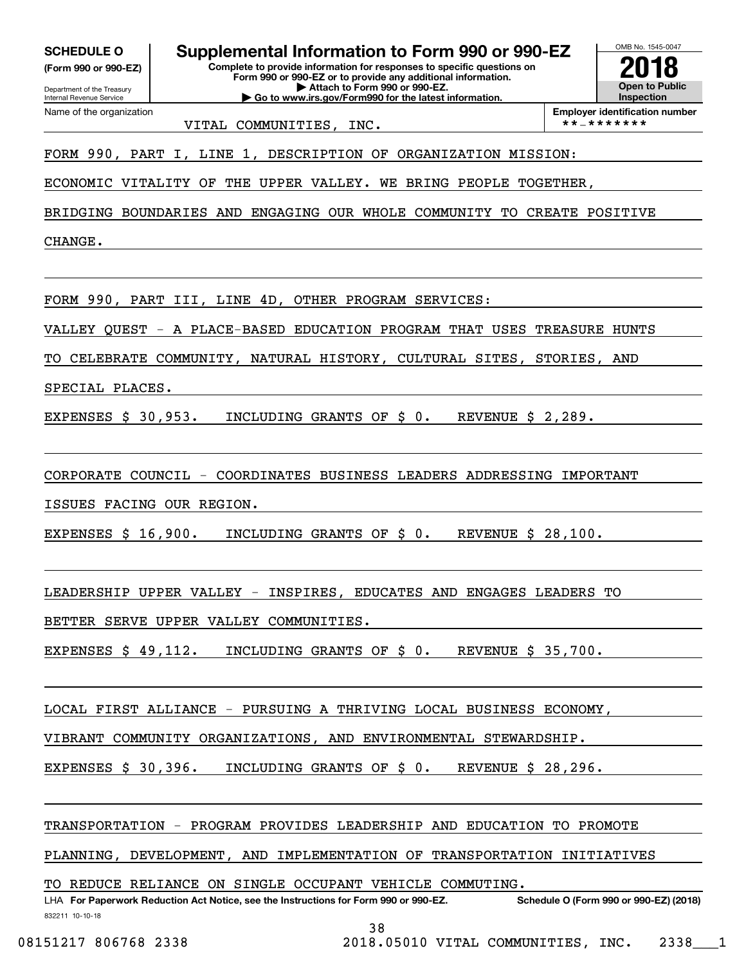**(Form 990 or 990-EZ)**

Department of the Treasury Internal Revenue Service Name of the organization

**SCHEDULE O Supplemental Information to Form 990 or 990-EZ**  $\frac{\text{OMB No. 1545-004}}{\text{Complet to provide 10 fC, 201}}$ 

**Complete to provide information for responses to specific questions on Form 990 or 990-EZ or to provide any additional information. | Attach to Form 990 or 990-EZ. | Go to www.irs.gov/Form990 for the latest information.**



**Employer identification number** VITAL COMMUNITIES, INC.  $\vert$  \*\*-\*\*\*\*\*\*\*

FORM 990, PART I, LINE 1, DESCRIPTION OF ORGANIZATION MISSION:

ECONOMIC VITALITY OF THE UPPER VALLEY. WE BRING PEOPLE TOGETHER,

BRIDGING BOUNDARIES AND ENGAGING OUR WHOLE COMMUNITY TO CREATE POSITIVE

CHANGE.

FORM 990, PART III, LINE 4D, OTHER PROGRAM SERVICES:

VALLEY QUEST - A PLACE-BASED EDUCATION PROGRAM THAT USES TREASURE HUNTS

TO CELEBRATE COMMUNITY, NATURAL HISTORY, CULTURAL SITES, STORIES, AND

SPECIAL PLACES.

EXPENSES \$ 30,953. INCLUDING GRANTS OF \$ 0. REVENUE \$ 2,289.

CORPORATE COUNCIL - COORDINATES BUSINESS LEADERS ADDRESSING IMPORTANT

ISSUES FACING OUR REGION.

EXPENSES \$ 16,900. INCLUDING GRANTS OF \$ 0. REVENUE \$ 28,100.

LEADERSHIP UPPER VALLEY - INSPIRES, EDUCATES AND ENGAGES LEADERS TO

BETTER SERVE UPPER VALLEY COMMUNITIES.

EXPENSES \$ 49,112. INCLUDING GRANTS OF \$ 0. REVENUE \$ 35,700.

LOCAL FIRST ALLIANCE - PURSUING A THRIVING LOCAL BUSINESS ECONOMY,

VIBRANT COMMUNITY ORGANIZATIONS, AND ENVIRONMENTAL STEWARDSHIP.

EXPENSES \$ 30,396. INCLUDING GRANTS OF \$ 0. REVENUE \$ 28,296.

TRANSPORTATION - PROGRAM PROVIDES LEADERSHIP AND EDUCATION TO PROMOTE

PLANNING, DEVELOPMENT, AND IMPLEMENTATION OF TRANSPORTATION INITIATIVES

TO REDUCE RELIANCE ON SINGLE OCCUPANT VEHICLE COMMUTING.

832211 10-10-18 **For Paperwork Reduction Act Notice, see the Instructions for Form 990 or 990-EZ. Schedule O (Form 990 or 990-EZ) (2018)** LHA

38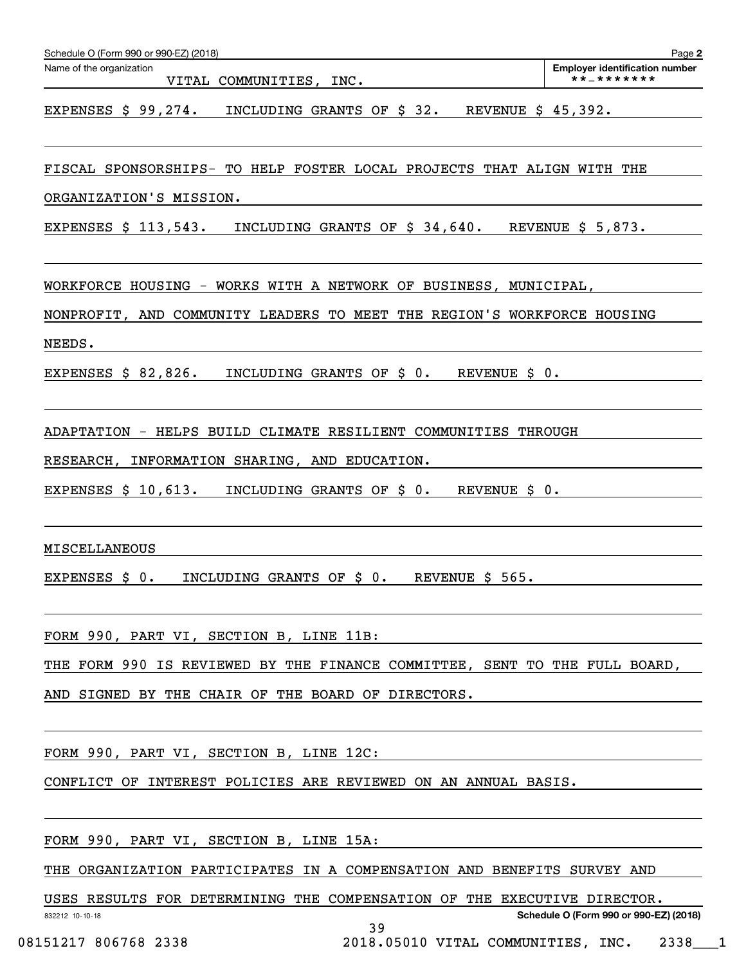| Schedule O (Form 990 or 990-EZ) (2018)                                                                          | Page 2                                              |
|-----------------------------------------------------------------------------------------------------------------|-----------------------------------------------------|
| Name of the organization<br>VITAL COMMUNITIES, INC.                                                             | <b>Employer identification number</b><br>**_******* |
| INCLUDING GRANTS OF \$ 32.<br>EXPENSES $$99,274.$<br>REVENUE \$ 45,392.                                         |                                                     |
| FISCAL SPONSORSHIPS-<br>TO HELP FOSTER LOCAL PROJECTS THAT ALIGN WITH THE                                       |                                                     |
| ORGANIZATION'S MISSION.                                                                                         |                                                     |
| EXPENSES \$ 113,543.<br>INCLUDING GRANTS OF \$ 34,640.                                                          | REVENUE $$5,873.$                                   |
| WORKFORCE HOUSING -<br>WORKS WITH A NETWORK OF BUSINESS, MUNICIPAL,                                             |                                                     |
| NONPROFIT, AND COMMUNITY LEADERS TO MEET THE REGION'S WORKFORCE HOUSING                                         |                                                     |
| NEEDS.                                                                                                          |                                                     |
| EXPENSES $$82,826.$<br>INCLUDING GRANTS OF \$ 0.<br>REVENUE \$ 0.                                               |                                                     |
| ADAPTATION - HELPS BUILD CLIMATE RESILIENT COMMUNITIES THROUGH                                                  |                                                     |
| RESEARCH, INFORMATION SHARING, AND EDUCATION.                                                                   |                                                     |
| INCLUDING GRANTS OF \$ 0.<br>EXPENSES $$10,613.$<br>REVENUE \$ 0.                                               |                                                     |
| MISCELLANEOUS                                                                                                   |                                                     |
| REVENUE \$ 565.<br>EXPENSES \$ 0.<br>INCLUDING GRANTS OF \$ 0.                                                  |                                                     |
| FORM 990, PART VI, SECTION B, LINE 11B:                                                                         |                                                     |
| THE FORM 990 IS REVIEWED BY THE FINANCE COMMITTEE, SENT TO THE FULL BOARD,                                      |                                                     |
| AND SIGNED BY THE CHAIR OF THE BOARD OF DIRECTORS. The manuscript of the set of the set of the set of the set o |                                                     |
| FORM 990, PART VI, SECTION B, LINE 12C:                                                                         |                                                     |
| CONFLICT OF INTEREST POLICIES ARE REVIEWED ON AN ANNUAL BASIS.                                                  |                                                     |
|                                                                                                                 |                                                     |
| THE ORGANIZATION PARTICIPATES IN A COMPENSATION AND BENEFITS SURVEY AND                                         |                                                     |

USES RESULTS FOR DETERMINING THE COMPENSATION OF THE EXECUTIVE DIRECTOR.

39

832212 10-10-18

**Schedule O (Form 990 or 990-EZ) (2018)**

08151217 806768 2338 2018.05010 VITAL COMMUNITIES, INC. 2338 1